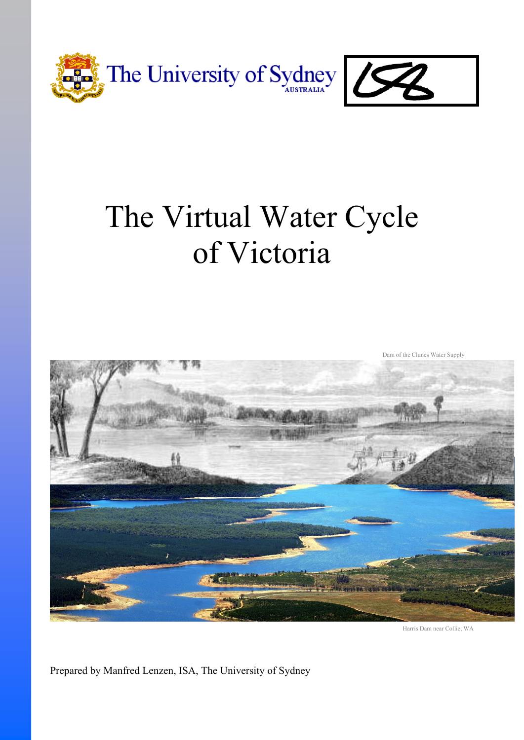

# The Virtual Water Cycle of Victoria



Harris Dam near Collie, WA

Prepared by Manfred Lenzen, ISA, The University of Sydney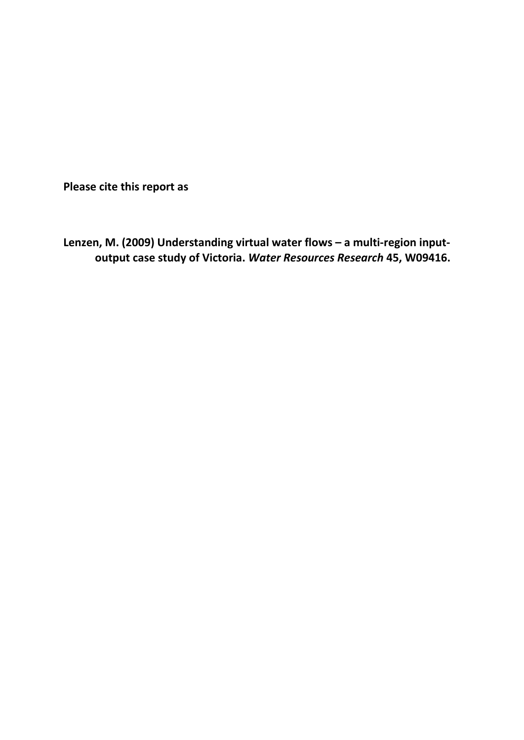**Please cite this report as**

**Lenzen, M. (2009) Understanding virtual water flows – a multi-region inputoutput case study of Victoria.** *Water Resources Research* **45, W09416.**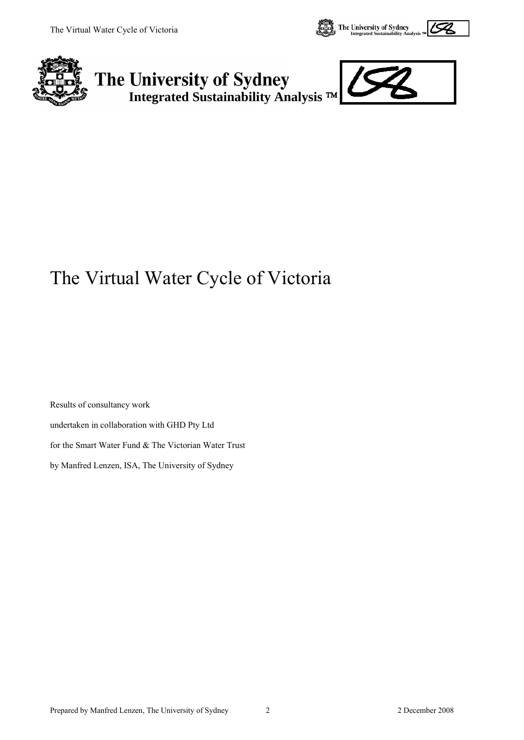





## The Virtual Water Cycle of Victoria

Results of consultancy work undertaken in collaboration with GHD Pty Ltd for the Smart Water Fund & The Victorian Water Trust by Manfred Lenzen, ISA, The University of Sydney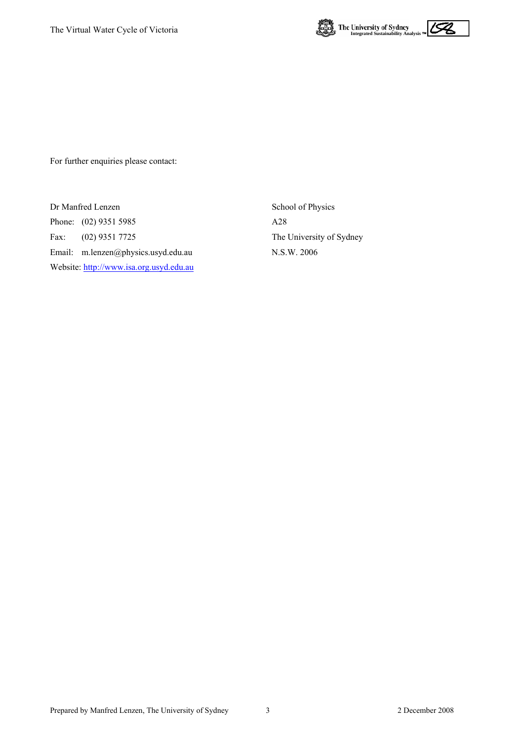



For further enquiries please contact:

Dr Manfred Lenzen School of Physics Phone: (02) 9351 5985 A28 Fax: (02) 9351 7725 The University of Sydney Email: m.lenzen@physics.usyd.edu.au N.S.W. 2006 Website: [http://www.isa.org.usyd.edu.au](http://www.isa.org.usyd.edu.au/)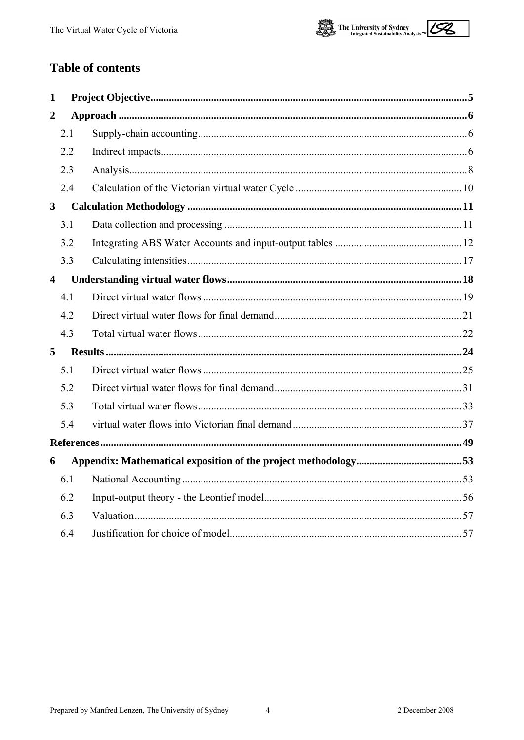

## **Table of contents**

| 1                       |  |
|-------------------------|--|
| $\overline{2}$          |  |
| 2.1                     |  |
| 2.2                     |  |
| 2.3                     |  |
| 2.4                     |  |
| $\overline{\mathbf{3}}$ |  |
| 3.1                     |  |
| 3.2                     |  |
| 3.3                     |  |
| $\overline{\mathbf{4}}$ |  |
| 4.1                     |  |
| 4.2                     |  |
| 4.3                     |  |
| 5                       |  |
| 5.1                     |  |
| 5.2                     |  |
| 5.3                     |  |
| 5.4                     |  |
|                         |  |
| 6                       |  |
| 6.1                     |  |
| 6.2                     |  |
| 6.3                     |  |
| 6.4                     |  |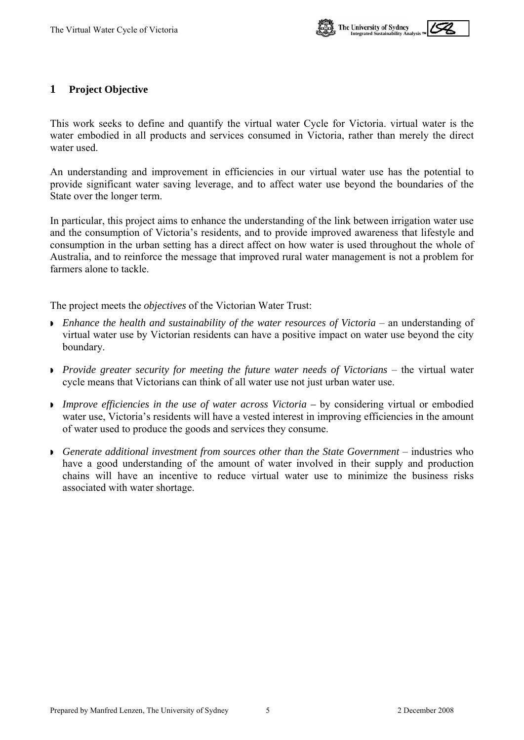

#### <span id="page-7-0"></span>**1 Project Objective**

This work seeks to define and quantify the virtual water Cycle for Victoria. virtual water is the water embodied in all products and services consumed in Victoria, rather than merely the direct water used.

An understanding and improvement in efficiencies in our virtual water use has the potential to provide significant water saving leverage, and to affect water use beyond the boundaries of the State over the longer term.

In particular, this project aims to enhance the understanding of the link between irrigation water use and the consumption of Victoria's residents, and to provide improved awareness that lifestyle and consumption in the urban setting has a direct affect on how water is used throughout the whole of Australia, and to reinforce the message that improved rural water management is not a problem for farmers alone to tackle.

The project meets the *objectives* of the Victorian Water Trust:

- **E**nhance the health and sustainability of the water resources of Victoria an understanding of virtual water use by Victorian residents can have a positive impact on water use beyond the city boundary.
- *Provide greater security for meeting the future water needs of Victorians* the virtual water cycle means that Victorians can think of all water use not just urban water use.
- **Improve efficiencies in the use of water across Victoria by considering virtual or embodied** water use, Victoria's residents will have a vested interest in improving efficiencies in the amount of water used to produce the goods and services they consume.
- **Generate additional investment from sources other than the State Government** industries who have a good understanding of the amount of water involved in their supply and production chains will have an incentive to reduce virtual water use to minimize the business risks associated with water shortage.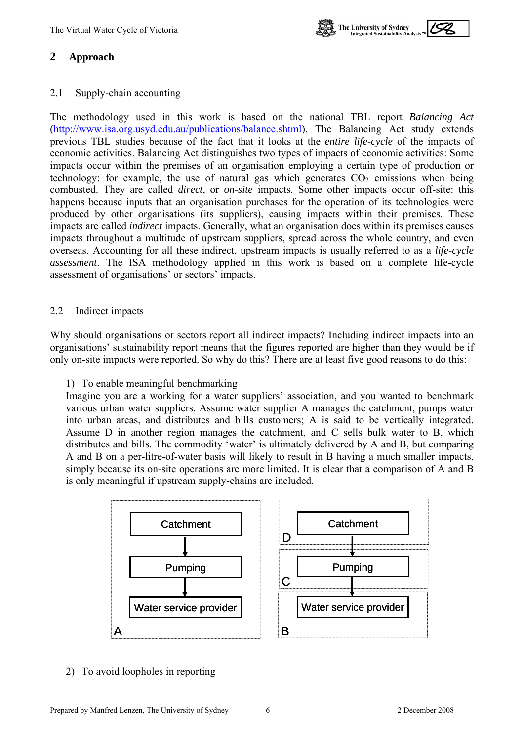

## <span id="page-8-0"></span>**2 Approach**

#### 2.1 Supply-chain accounting

The methodology used in this work is based on the national TBL report *Balancing Act*  ([http://www.isa.org.usyd.edu.au/publications/balance.shtml\)](http://www.isa.org.usyd.edu.au/publications/balance.shtml). The Balancing Act study extends previous TBL studies because of the fact that it looks at the *entire life-cycle* of the impacts of economic activities. Balancing Act distinguishes two types of impacts of economic activities: Some impacts occur within the premises of an organisation employing a certain type of production or technology: for example, the use of natural gas which generates  $CO<sub>2</sub>$  emissions when being combusted. They are called *direct*, or *on-site* impacts. Some other impacts occur off-site: this happens because inputs that an organisation purchases for the operation of its technologies were produced by other organisations (its suppliers), causing impacts within their premises. These impacts are called *indirect* impacts. Generally, what an organisation does within its premises causes impacts throughout a multitude of upstream suppliers, spread across the whole country, and even overseas. Accounting for all these indirect, upstream impacts is usually referred to as a *life-cycle assessment*. The ISA methodology applied in this work is based on a complete life-cycle assessment of organisations' or sectors' impacts.

#### 2.2 Indirect impacts

Why should organisations or sectors report all indirect impacts? Including indirect impacts into an organisations' sustainability report means that the figures reported are higher than they would be if only on-site impacts were reported. So why do this? There are at least five good reasons to do this:

#### 1) To enable meaningful benchmarking

Imagine you are a working for a water suppliers' association, and you wanted to benchmark various urban water suppliers. Assume water supplier A manages the catchment, pumps water into urban areas, and distributes and bills customers; A is said to be vertically integrated. Assume D in another region manages the catchment, and C sells bulk water to B, which distributes and bills. The commodity 'water' is ultimately delivered by A and B, but comparing A and B on a per-litre-of-water basis will likely to result in B having a much smaller impacts, simply because its on-site operations are more limited. It is clear that a comparison of A and B is only meaningful if upstream supply-chains are included.



#### 2) To avoid loopholes in reporting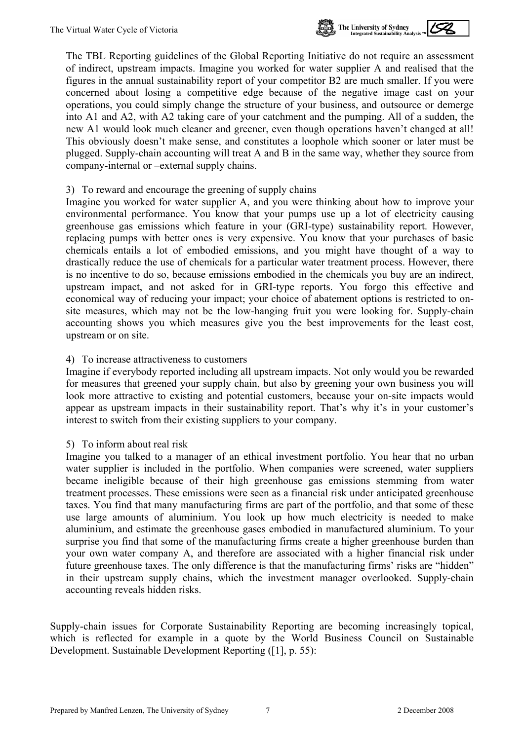

The TBL Reporting guidelines of the Global Reporting Initiative do not require an assessment of indirect, upstream impacts. Imagine you worked for water supplier A and realised that the figures in the annual sustainability report of your competitor B2 are much smaller. If you were concerned about losing a competitive edge because of the negative image cast on your operations, you could simply change the structure of your business, and outsource or demerge into A1 and A2, with A2 taking care of your catchment and the pumping. All of a sudden, the new A1 would look much cleaner and greener, even though operations haven't changed at all! This obviously doesn't make sense, and constitutes a loophole which sooner or later must be plugged. Supply-chain accounting will treat A and B in the same way, whether they source from company-internal or –external supply chains.

#### 3) To reward and encourage the greening of supply chains

Imagine you worked for water supplier A, and you were thinking about how to improve your environmental performance. You know that your pumps use up a lot of electricity causing greenhouse gas emissions which feature in your (GRI-type) sustainability report. However, replacing pumps with better ones is very expensive. You know that your purchases of basic chemicals entails a lot of embodied emissions, and you might have thought of a way to drastically reduce the use of chemicals for a particular water treatment process. However, there is no incentive to do so, because emissions embodied in the chemicals you buy are an indirect, upstream impact, and not asked for in GRI-type reports. You forgo this effective and economical way of reducing your impact; your choice of abatement options is restricted to onsite measures, which may not be the low-hanging fruit you were looking for. Supply-chain accounting shows you which measures give you the best improvements for the least cost, upstream or on site.

#### 4) To increase attractiveness to customers

Imagine if everybody reported including all upstream impacts. Not only would you be rewarded for measures that greened your supply chain, but also by greening your own business you will look more attractive to existing and potential customers, because your on-site impacts would appear as upstream impacts in their sustainability report. That's why it's in your customer's interest to switch from their existing suppliers to your company.

#### 5) To inform about real risk

Imagine you talked to a manager of an ethical investment portfolio. You hear that no urban water supplier is included in the portfolio. When companies were screened, water suppliers became ineligible because of their high greenhouse gas emissions stemming from water treatment processes. These emissions were seen as a financial risk under anticipated greenhouse taxes. You find that many manufacturing firms are part of the portfolio, and that some of these use large amounts of aluminium. You look up how much electricity is needed to make aluminium, and estimate the greenhouse gases embodied in manufactured aluminium. To your surprise you find that some of the manufacturing firms create a higher greenhouse burden than your own water company A, and therefore are associated with a higher financial risk under future greenhouse taxes. The only difference is that the manufacturing firms' risks are "hidden" in their upstream supply chains, which the investment manager overlooked. Supply-chain accounting reveals hidden risks.

Supply-chain issues for Corporate Sustainability Reporting are becoming increasingly topical, which is reflected for example in a quote by the World Business Council on Sustainable Development. Sustainable Development Reporting ([1], p. 55):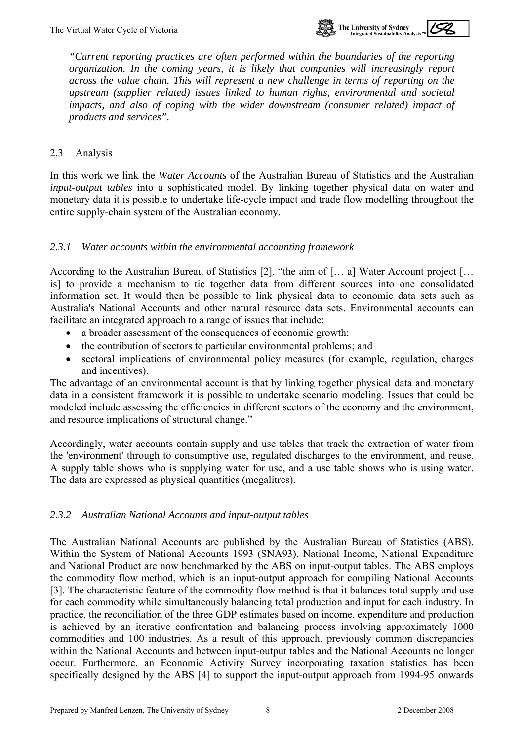

<span id="page-10-0"></span>*"Current reporting practices are often performed within the boundaries of the reporting organization. In the coming years, it is likely that companies will increasingly report across the value chain. This will represent a new challenge in terms of reporting on the upstream (supplier related) issues linked to human rights, environmental and societal impacts, and also of coping with the wider downstream (consumer related) impact of products and services".* 

#### 2.3 Analysis

In this work we link the *Water Accounts* of the Australian Bureau of Statistics and the Australian *input-output tables* into a sophisticated model. By linking together physical data on water and monetary data it is possible to undertake life-cycle impact and trade flow modelling throughout the entire supply-chain system of the Australian economy.

#### *2.3.1 Water accounts within the environmental accounting framework*

According to the Australian Bureau of Statistics [2], "the aim of [… a] Water Account project [… is] to provide a mechanism to tie together data from different sources into one consolidated information set. It would then be possible to link physical data to economic data sets such as Australia's National Accounts and other natural resource data sets. Environmental accounts can facilitate an integrated approach to a range of issues that include:

- a broader assessment of the consequences of economic growth;
- the contribution of sectors to particular environmental problems; and
- sectoral implications of environmental policy measures (for example, regulation, charges and incentives).

The advantage of an environmental account is that by linking together physical data and monetary data in a consistent framework it is possible to undertake scenario modeling. Issues that could be modeled include assessing the efficiencies in different sectors of the economy and the environment, and resource implications of structural change."

Accordingly, water accounts contain supply and use tables that track the extraction of water from the 'environment' through to consumptive use, regulated discharges to the environment, and reuse. A supply table shows who is supplying water for use, and a use table shows who is using water. The data are expressed as physical quantities (megalitres).

#### *2.3.2 Australian National Accounts and input-output tables*

The Australian National Accounts are published by the Australian Bureau of Statistics (ABS). Within the System of National Accounts 1993 (SNA93), National Income, National Expenditure and National Product are now benchmarked by the ABS on input-output tables. The ABS employs the commodity flow method, which is an input-output approach for compiling National Accounts [3]. The characteristic feature of the commodity flow method is that it balances total supply and use for each commodity while simultaneously balancing total production and input for each industry. In practice, the reconciliation of the three GDP estimates based on income, expenditure and production is achieved by an iterative confrontation and balancing process involving approximately 1000 commodities and 100 industries. As a result of this approach, previously common discrepancies within the National Accounts and between input-output tables and the National Accounts no longer occur. Furthermore, an Economic Activity Survey incorporating taxation statistics has been specifically designed by the ABS [4] to support the input-output approach from 1994-95 onwards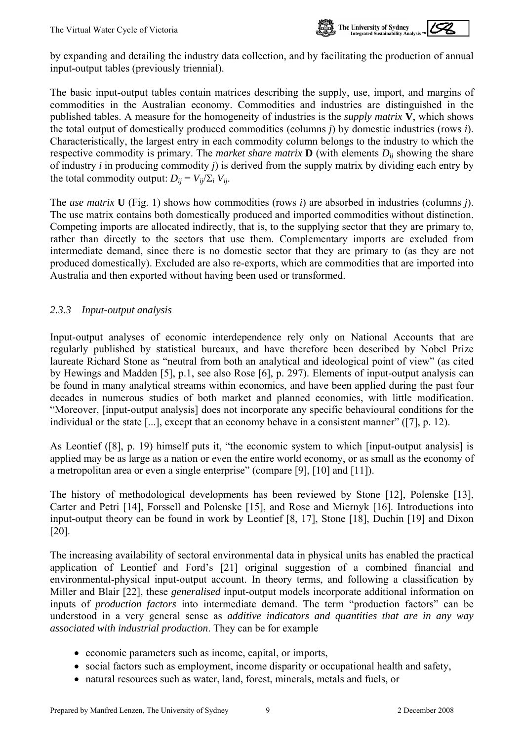

by expanding and detailing the industry data collection, and by facilitating the production of annual input-output tables (previously triennial).

The basic input-output tables contain matrices describing the supply, use, import, and margins of commodities in the Australian economy. Commodities and industries are distinguished in the published tables. A measure for the homogeneity of industries is the *supply matrix* **V**, which shows the total output of domestically produced commodities (columns *j*) by domestic industries (rows *i*). Characteristically, the largest entry in each commodity column belongs to the industry to which the respective commodity is primary. The *market share matrix*  $\mathbf{D}$  (with elements  $D_{ii}$  showing the share of industry *i* in producing commodity *j*) is derived from the supply matrix by dividing each entry by the total commodity output:  $D_{ii} = V_{ii}/\Sigma_i V_{ii}$ .

The *use matrix* **U** (Fig. 1) shows how commodities (rows *i*) are absorbed in industries (columns *j*). The use matrix contains both domestically produced and imported commodities without distinction. Competing imports are allocated indirectly, that is, to the supplying sector that they are primary to, rather than directly to the sectors that use them. Complementary imports are excluded from intermediate demand, since there is no domestic sector that they are primary to (as they are not produced domestically). Excluded are also re-exports, which are commodities that are imported into Australia and then exported without having been used or transformed.

#### *2.3.3 Input-output analysis*

Input-output analyses of economic interdependence rely only on National Accounts that are regularly published by statistical bureaux, and have therefore been described by Nobel Prize laureate Richard Stone as "neutral from both an analytical and ideological point of view" (as cited by Hewings and Madden [5], p.1, see also Rose [6], p. 297). Elements of input-output analysis can be found in many analytical streams within economics, and have been applied during the past four decades in numerous studies of both market and planned economies, with little modification. "Moreover, [input-output analysis] does not incorporate any specific behavioural conditions for the individual or the state [...], except that an economy behave in a consistent manner" ([7], p. 12).

As Leontief ([8], p. 19) himself puts it, "the economic system to which [input-output analysis] is applied may be as large as a nation or even the entire world economy, or as small as the economy of a metropolitan area or even a single enterprise" (compare [9], [10] and [11]).

The history of methodological developments has been reviewed by Stone [12], Polenske [13], Carter and Petri [14], Forssell and Polenske [15], and Rose and Miernyk [16]. Introductions into input-output theory can be found in work by Leontief [8, 17], Stone [18], Duchin [19] and Dixon [20].

The increasing availability of sectoral environmental data in physical units has enabled the practical application of Leontief and Ford's [21] original suggestion of a combined financial and environmental-physical input-output account. In theory terms, and following a classification by Miller and Blair [22], these *generalised* input-output models incorporate additional information on inputs of *production factors* into intermediate demand. The term "production factors" can be understood in a very general sense as *additive indicators and quantities that are in any way associated with industrial production*. They can be for example

- economic parameters such as income, capital, or imports,
- social factors such as employment, income disparity or occupational health and safety,
- natural resources such as water, land, forest, minerals, metals and fuels, or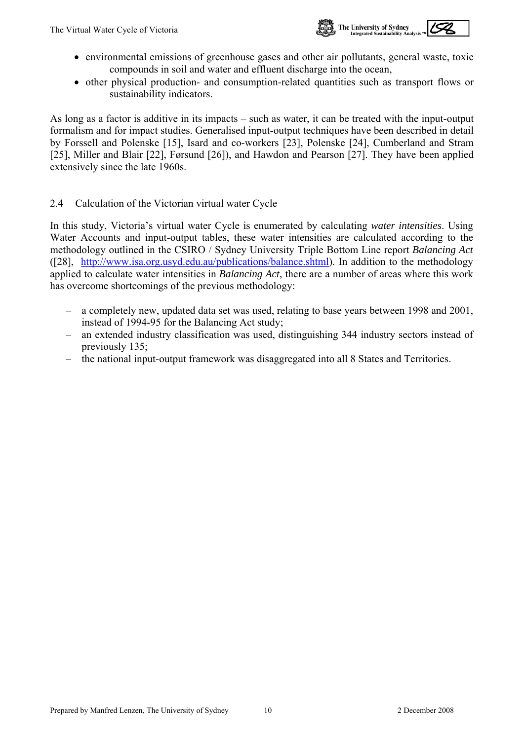

- <span id="page-12-0"></span>• environmental emissions of greenhouse gases and other air pollutants, general waste, toxic compounds in soil and water and effluent discharge into the ocean,
- other physical production- and consumption-related quantities such as transport flows or sustainability indicators.

As long as a factor is additive in its impacts – such as water, it can be treated with the input-output formalism and for impact studies. Generalised input-output techniques have been described in detail by Forssell and Polenske [15], Isard and co-workers [23], Polenske [24], Cumberland and Stram [25], Miller and Blair [22], Førsund [26]), and Hawdon and Pearson [27]. They have been applied extensively since the late 1960s.

#### 2.4 Calculation of the Victorian virtual water Cycle

In this study, Victoria's virtual water Cycle is enumerated by calculating *water intensities*. Using Water Accounts and input-output tables, these water intensities are calculated according to the methodology outlined in the CSIRO / Sydney University Triple Bottom Line report *Balancing Act* ([28], [http://www.isa.org.usyd.edu.au/publications/balance.shtml\)](http://www.isa.org.usyd.edu.au/publications/balance.shtml). In addition to the methodology applied to calculate water intensities in *Balancing Act*, there are a number of areas where this work has overcome shortcomings of the previous methodology:

- a completely new, updated data set was used, relating to base years between 1998 and 2001, instead of 1994-95 for the Balancing Act study;
- an extended industry classification was used, distinguishing 344 industry sectors instead of previously 135;
- the national input-output framework was disaggregated into all 8 States and Territories.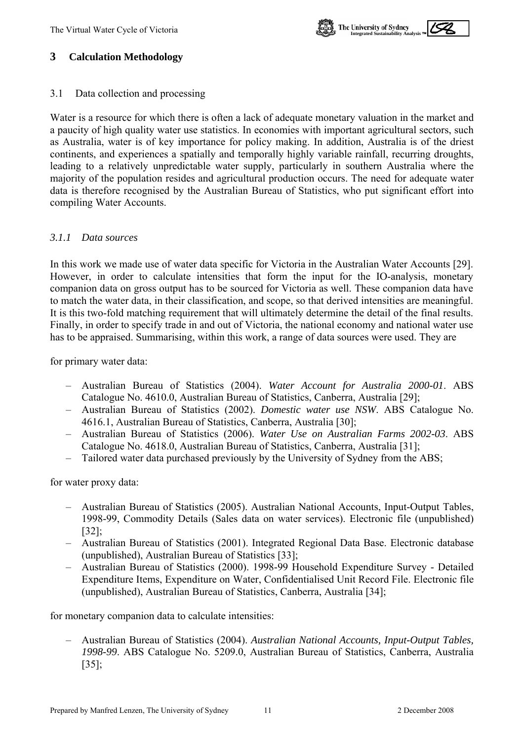

### <span id="page-13-0"></span>**3 Calculation Methodology**

3.1 Data collection and processing

Water is a resource for which there is often a lack of adequate monetary valuation in the market and a paucity of high quality water use statistics. In economies with important agricultural sectors, such as Australia, water is of key importance for policy making. In addition, Australia is of the driest continents, and experiences a spatially and temporally highly variable rainfall, recurring droughts, leading to a relatively unpredictable water supply, particularly in southern Australia where the majority of the population resides and agricultural production occurs. The need for adequate water data is therefore recognised by the Australian Bureau of Statistics, who put significant effort into compiling Water Accounts.

#### *3.1.1 Data sources*

In this work we made use of water data specific for Victoria in the Australian Water Accounts [29]. However, in order to calculate intensities that form the input for the IO-analysis, monetary companion data on gross output has to be sourced for Victoria as well. These companion data have to match the water data, in their classification, and scope, so that derived intensities are meaningful. It is this two-fold matching requirement that will ultimately determine the detail of the final results. Finally, in order to specify trade in and out of Victoria, the national economy and national water use has to be appraised. Summarising, within this work, a range of data sources were used. They are

for primary water data:

- Australian Bureau of Statistics (2004). *Water Account for Australia 2000-01*. ABS Catalogue No. 4610.0, Australian Bureau of Statistics, Canberra, Australia [29];
- Australian Bureau of Statistics (2002). *Domestic water use NSW*. ABS Catalogue No. 4616.1, Australian Bureau of Statistics, Canberra, Australia [30];
- Australian Bureau of Statistics (2006). *Water Use on Australian Farms 2002-03*. ABS Catalogue No. 4618.0, Australian Bureau of Statistics, Canberra, Australia [31];
- Tailored water data purchased previously by the University of Sydney from the ABS;

for water proxy data:

- Australian Bureau of Statistics (2005). Australian National Accounts, Input-Output Tables, 1998-99, Commodity Details (Sales data on water services). Electronic file (unpublished) [32];
- Australian Bureau of Statistics (2001). Integrated Regional Data Base. Electronic database (unpublished), Australian Bureau of Statistics [33];
- Australian Bureau of Statistics (2000). 1998-99 Household Expenditure Survey Detailed Expenditure Items, Expenditure on Water, Confidentialised Unit Record File. Electronic file (unpublished), Australian Bureau of Statistics, Canberra, Australia [34];

for monetary companion data to calculate intensities:

– Australian Bureau of Statistics (2004). *Australian National Accounts, Input-Output Tables, 1998-99*. ABS Catalogue No. 5209.0, Australian Bureau of Statistics, Canberra, Australia [35];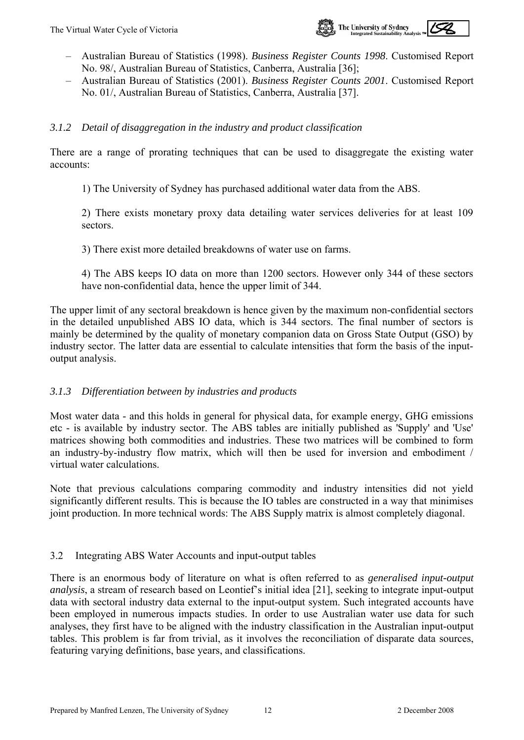

- <span id="page-14-0"></span>– Australian Bureau of Statistics (1998). *Business Register Counts 1998*. Customised Report No. 98/, Australian Bureau of Statistics, Canberra, Australia [36];
- Australian Bureau of Statistics (2001). *Business Register Counts 2001*. Customised Report No. 01/, Australian Bureau of Statistics, Canberra, Australia [37].

#### *3.1.2 Detail of disaggregation in the industry and product classification*

There are a range of prorating techniques that can be used to disaggregate the existing water accounts:

1) The University of Sydney has purchased additional water data from the ABS.

2) There exists monetary proxy data detailing water services deliveries for at least 109 sectors.

3) There exist more detailed breakdowns of water use on farms.

4) The ABS keeps IO data on more than 1200 sectors. However only 344 of these sectors have non-confidential data, hence the upper limit of 344.

The upper limit of any sectoral breakdown is hence given by the maximum non-confidential sectors in the detailed unpublished ABS IO data, which is 344 sectors. The final number of sectors is mainly be determined by the quality of monetary companion data on Gross State Output (GSO) by industry sector. The latter data are essential to calculate intensities that form the basis of the inputoutput analysis.

#### *3.1.3 Differentiation between by industries and products*

Most water data - and this holds in general for physical data, for example energy, GHG emissions etc - is available by industry sector. The ABS tables are initially published as 'Supply' and 'Use' matrices showing both commodities and industries. These two matrices will be combined to form an industry-by-industry flow matrix, which will then be used for inversion and embodiment / virtual water calculations.

Note that previous calculations comparing commodity and industry intensities did not yield significantly different results. This is because the IO tables are constructed in a way that minimises joint production. In more technical words: The ABS Supply matrix is almost completely diagonal.

#### 3.2 Integrating ABS Water Accounts and input-output tables

There is an enormous body of literature on what is often referred to as *generalised input-output analysis*, a stream of research based on Leontief's initial idea [21], seeking to integrate input-output data with sectoral industry data external to the input-output system. Such integrated accounts have been employed in numerous impacts studies. In order to use Australian water use data for such analyses, they first have to be aligned with the industry classification in the Australian input-output tables. This problem is far from trivial, as it involves the reconciliation of disparate data sources, featuring varying definitions, base years, and classifications.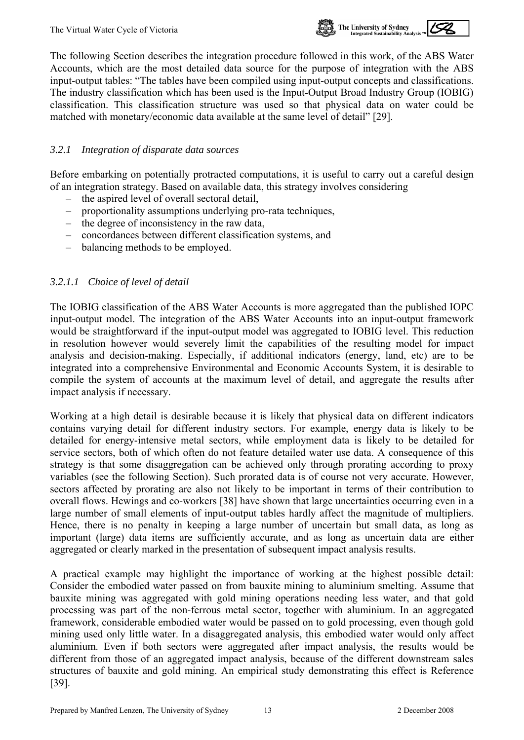

The following Section describes the integration procedure followed in this work, of the ABS Water Accounts, which are the most detailed data source for the purpose of integration with the ABS input-output tables: "The tables have been compiled using input-output concepts and classifications. The industry classification which has been used is the Input-Output Broad Industry Group (IOBIG) classification. This classification structure was used so that physical data on water could be matched with monetary/economic data available at the same level of detail" [29].

#### *3.2.1 Integration of disparate data sources*

Before embarking on potentially protracted computations, it is useful to carry out a careful design of an integration strategy. Based on available data, this strategy involves considering

- the aspired level of overall sectoral detail,<br>
proportionality assumptions underlying pro-
- proportionality assumptions underlying pro-rata techniques,
- the degree of inconsistency in the raw data,
- concordances between different classification systems, and
- balancing methods to be employed.

#### *3.2.1.1 Choice of level of detail*

The IOBIG classification of the ABS Water Accounts is more aggregated than the published IOPC input-output model. The integration of the ABS Water Accounts into an input-output framework would be straightforward if the input-output model was aggregated to IOBIG level. This reduction in resolution however would severely limit the capabilities of the resulting model for impact analysis and decision-making. Especially, if additional indicators (energy, land, etc) are to be integrated into a comprehensive Environmental and Economic Accounts System, it is desirable to compile the system of accounts at the maximum level of detail, and aggregate the results after impact analysis if necessary.

Working at a high detail is desirable because it is likely that physical data on different indicators contains varying detail for different industry sectors. For example, energy data is likely to be detailed for energy-intensive metal sectors, while employment data is likely to be detailed for service sectors, both of which often do not feature detailed water use data. A consequence of this strategy is that some disaggregation can be achieved only through prorating according to proxy variables (see the following Section). Such prorated data is of course not very accurate. However, sectors affected by prorating are also not likely to be important in terms of their contribution to overall flows. Hewings and co-workers [38] have shown that large uncertainties occurring even in a large number of small elements of input-output tables hardly affect the magnitude of multipliers. Hence, there is no penalty in keeping a large number of uncertain but small data, as long as important (large) data items are sufficiently accurate, and as long as uncertain data are either aggregated or clearly marked in the presentation of subsequent impact analysis results.

A practical example may highlight the importance of working at the highest possible detail: Consider the embodied water passed on from bauxite mining to aluminium smelting. Assume that bauxite mining was aggregated with gold mining operations needing less water, and that gold processing was part of the non-ferrous metal sector, together with aluminium. In an aggregated framework, considerable embodied water would be passed on to gold processing, even though gold mining used only little water. In a disaggregated analysis, this embodied water would only affect aluminium. Even if both sectors were aggregated after impact analysis, the results would be different from those of an aggregated impact analysis, because of the different downstream sales structures of bauxite and gold mining. An empirical study demonstrating this effect is Reference [39].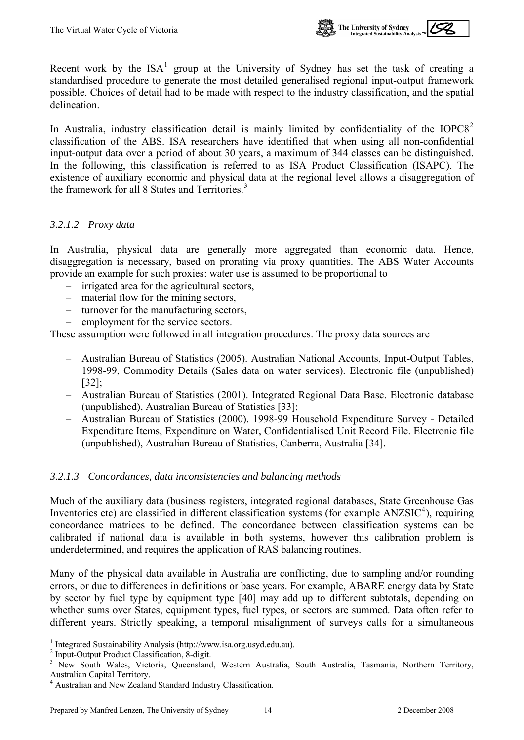

<span id="page-16-0"></span>Recent work by the  $ISA<sup>1</sup>$  $ISA<sup>1</sup>$  $ISA<sup>1</sup>$  group at the University of Sydney has set the task of creating a standardised procedure to generate the most detailed generalised regional input-output framework possible. Choices of detail had to be made with respect to the industry classification, and the spatial delineation.

In Australia, industry classification detail is mainly limited by confidentiality of the  $IOPCS<sup>2</sup>$  $IOPCS<sup>2</sup>$  $IOPCS<sup>2</sup>$ classification of the ABS. ISA researchers have identified that when using all non-confidential input-output data over a period of about 30 years, a maximum of 344 classes can be distinguished. In the following, this classification is referred to as ISA Product Classification (ISAPC). The existence of auxiliary economic and physical data at the regional level allows a disaggregation of the framework for all 8 States and Territories.<sup>[3](#page-16-0)</sup>

#### <span id="page-16-1"></span>*3.2.1.2 Proxy data*

In Australia, physical data are generally more aggregated than economic data. Hence, disaggregation is necessary, based on prorating via proxy quantities. The ABS Water Accounts provide an example for such proxies: water use is assumed to be proportional to

- irrigated area for the agricultural sectors,
- material flow for the mining sectors,
- turnover for the manufacturing sectors,
- employment for the service sectors.

These assumption were followed in all integration procedures. The proxy data sources are

- Australian Bureau of Statistics (2005). Australian National Accounts, Input-Output Tables, 1998-99, Commodity Details (Sales data on water services). Electronic file (unpublished) [32];
- Australian Bureau of Statistics (2001). Integrated Regional Data Base. Electronic database (unpublished), Australian Bureau of Statistics [33];
- Australian Bureau of Statistics (2000). 1998-99 Household Expenditure Survey Detailed Expenditure Items, Expenditure on Water, Confidentialised Unit Record File. Electronic file (unpublished), Australian Bureau of Statistics, Canberra, Australia [34].

## *3.2.1.3 Concordances, data inconsistencies and balancing methods*

Much of the auxiliary data (business registers, integrated regional databases, State Greenhouse Gas Inventories etc) are classified in different classification systems (for example  $ANZSIC<sup>4</sup>$  $ANZSIC<sup>4</sup>$  $ANZSIC<sup>4</sup>$ ), requiring concordance matrices to be defined. The concordance between classification systems can be calibrated if national data is available in both systems, however this calibration problem is underdetermined, and requires the application of RAS balancing routines.

Many of the physical data available in Australia are conflicting, due to sampling and/or rounding errors, or due to differences in definitions or base years. For example, ABARE energy data by State by sector by fuel type by equipment type [40] may add up to different subtotals, depending on whether sums over States, equipment types, fuel types, or sectors are summed. Data often refer to different years. Strictly speaking, a temporal misalignment of surveys calls for a simultaneous

l

<sup>1</sup> Integrated Sustainability Analysis (http://www.isa.org.usyd.edu.au).

<sup>2</sup> Input-Output Product Classification, 8-digit.

<sup>&</sup>lt;sup>3</sup> New South Wales, Victoria, Queensland, Western Australia, South Australia, Tasmania, Northern Territory, Australian Capital Territory. 4 Australian and New Zealand Standard Industry Classification.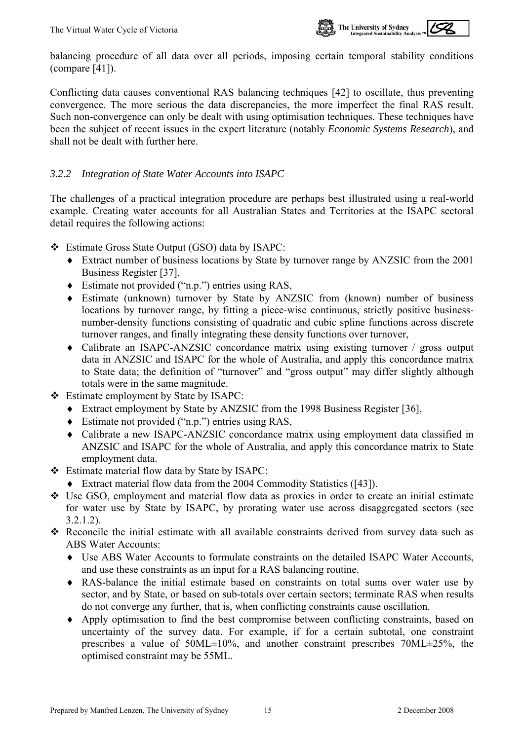

balancing procedure of all data over all periods, imposing certain temporal stability conditions (compare [41]).

Conflicting data causes conventional RAS balancing techniques [42] to oscillate, thus preventing convergence. The more serious the data discrepancies, the more imperfect the final RAS result. Such non-convergence can only be dealt with using optimisation techniques. These techniques have been the subject of recent issues in the expert literature (notably *Economic Systems Research*), and shall not be dealt with further here.

#### *3.2.2 Integration of State Water Accounts into ISAPC*

The challenges of a practical integration procedure are perhaps best illustrated using a real-world example. Creating water accounts for all Australian States and Territories at the ISAPC sectoral detail requires the following actions:

- Estimate Gross State Output (GSO) data by ISAPC:
	- ♦ Extract number of business locations by State by turnover range by ANZSIC from the 2001 Business Register [37],
	- ♦ Estimate not provided ("n.p.") entries using RAS,
	- ♦ Estimate (unknown) turnover by State by ANZSIC from (known) number of business locations by turnover range, by fitting a piece-wise continuous, strictly positive businessnumber-density functions consisting of quadratic and cubic spline functions across discrete turnover ranges, and finally integrating these density functions over turnover,
	- ♦ Calibrate an ISAPC-ANZSIC concordance matrix using existing turnover / gross output data in ANZSIC and ISAPC for the whole of Australia, and apply this concordance matrix to State data; the definition of "turnover" and "gross output" may differ slightly although totals were in the same magnitude.
- Estimate employment by State by ISAPC:
	- ♦ Extract employment by State by ANZSIC from the 1998 Business Register [36],
	- ♦ Estimate not provided ("n.p.") entries using RAS,
	- ♦ Calibrate a new ISAPC-ANZSIC concordance matrix using employment data classified in ANZSIC and ISAPC for the whole of Australia, and apply this concordance matrix to State employment data.
- Estimate material flow data by State by ISAPC:
	- ♦ Extract material flow data from the 2004 Commodity Statistics ([43]).
- Use GSO, employment and material flow data as proxies in order to create an initial estimate for water use by State by ISAPC, by prorating water use across disaggregated sectors (see  [3.2.1.2\)](#page-16-1).
- Reconcile the initial estimate with all available constraints derived from survey data such as ABS Water Accounts:
	- ♦ Use ABS Water Accounts to formulate constraints on the detailed ISAPC Water Accounts, and use these constraints as an input for a RAS balancing routine.
	- ♦ RAS-balance the initial estimate based on constraints on total sums over water use by sector, and by State, or based on sub-totals over certain sectors; terminate RAS when results do not converge any further, that is, when conflicting constraints cause oscillation.
	- ♦ Apply optimisation to find the best compromise between conflicting constraints, based on uncertainty of the survey data. For example, if for a certain subtotal, one constraint prescribes a value of 50ML±10%, and another constraint prescribes 70ML±25%, the optimised constraint may be 55ML.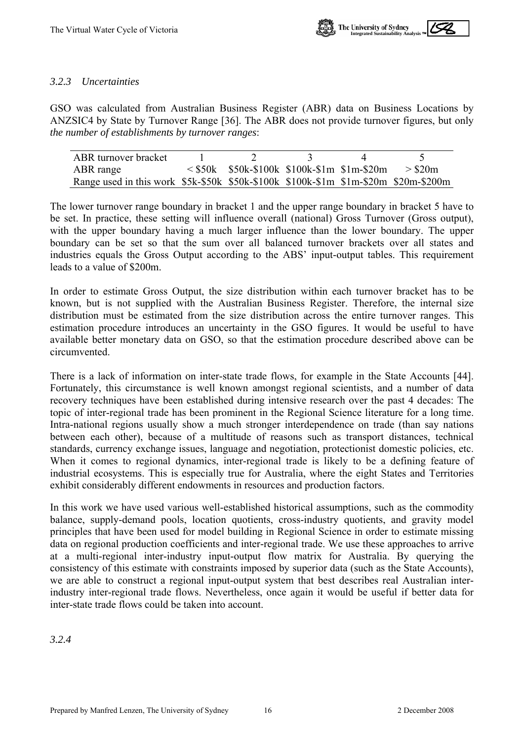

#### *3.2.3 Uncertainties*

GSO was calculated from Australian Business Register (ABR) data on Business Locations by ANZSIC4 by State by Turnover Range [36]. The ABR does not provide turnover figures, but only *the number of establishments by turnover ranges*:

| ABR turnover bracket                                                                |                                                 |  |           |
|-------------------------------------------------------------------------------------|-------------------------------------------------|--|-----------|
| ABR range                                                                           | $\le$ \$50k \$50k-\$100k \$100k-\$1m \$1m-\$20m |  | $>$ \$20m |
| Range used in this work \$5k-\$50k \$50k-\$100k \$100k-\$1m \$1m-\$20m \$20m-\$200m |                                                 |  |           |

The lower turnover range boundary in bracket 1 and the upper range boundary in bracket 5 have to be set. In practice, these setting will influence overall (national) Gross Turnover (Gross output), with the upper boundary having a much larger influence than the lower boundary. The upper boundary can be set so that the sum over all balanced turnover brackets over all states and industries equals the Gross Output according to the ABS' input-output tables. This requirement leads to a value of \$200m.

In order to estimate Gross Output, the size distribution within each turnover bracket has to be known, but is not supplied with the Australian Business Register. Therefore, the internal size distribution must be estimated from the size distribution across the entire turnover ranges. This estimation procedure introduces an uncertainty in the GSO figures. It would be useful to have available better monetary data on GSO, so that the estimation procedure described above can be circumvented.

There is a lack of information on inter-state trade flows, for example in the State Accounts [44]. Fortunately, this circumstance is well known amongst regional scientists, and a number of data recovery techniques have been established during intensive research over the past 4 decades: The topic of inter-regional trade has been prominent in the Regional Science literature for a long time. Intra-national regions usually show a much stronger interdependence on trade (than say nations between each other), because of a multitude of reasons such as transport distances, technical standards, currency exchange issues, language and negotiation, protectionist domestic policies, etc. When it comes to regional dynamics, inter-regional trade is likely to be a defining feature of industrial ecosystems. This is especially true for Australia, where the eight States and Territories exhibit considerably different endowments in resources and production factors.

In this work we have used various well-established historical assumptions, such as the commodity balance, supply-demand pools, location quotients, cross-industry quotients, and gravity model principles that have been used for model building in Regional Science in order to estimate missing data on regional production coefficients and inter-regional trade. We use these approaches to arrive at a multi-regional inter-industry input-output flow matrix for Australia. By querying the consistency of this estimate with constraints imposed by superior data (such as the State Accounts), we are able to construct a regional input-output system that best describes real Australian interindustry inter-regional trade flows. Nevertheless, once again it would be useful if better data for inter-state trade flows could be taken into account.

*3.2.4*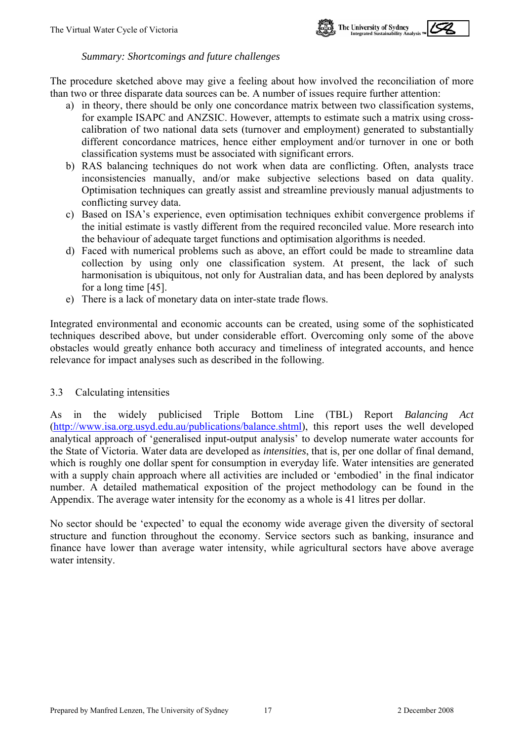

#### *Summary: Shortcomings and future challenges*

<span id="page-19-0"></span>The procedure sketched above may give a feeling about how involved the reconciliation of more than two or three disparate data sources can be. A number of issues require further attention:

- a) in theory, there should be only one concordance matrix between two classification systems, for example ISAPC and ANZSIC. However, attempts to estimate such a matrix using crosscalibration of two national data sets (turnover and employment) generated to substantially different concordance matrices, hence either employment and/or turnover in one or both classification systems must be associated with significant errors.
- b) RAS balancing techniques do not work when data are conflicting. Often, analysts trace inconsistencies manually, and/or make subjective selections based on data quality. Optimisation techniques can greatly assist and streamline previously manual adjustments to conflicting survey data.
- c) Based on ISA's experience, even optimisation techniques exhibit convergence problems if the initial estimate is vastly different from the required reconciled value. More research into the behaviour of adequate target functions and optimisation algorithms is needed.
- d) Faced with numerical problems such as above, an effort could be made to streamline data collection by using only one classification system. At present, the lack of such harmonisation is ubiquitous, not only for Australian data, and has been deplored by analysts for a long time [45].
- e) There is a lack of monetary data on inter-state trade flows.

Integrated environmental and economic accounts can be created, using some of the sophisticated techniques described above, but under considerable effort. Overcoming only some of the above obstacles would greatly enhance both accuracy and timeliness of integrated accounts, and hence relevance for impact analyses such as described in the following.

#### Calculating intensities 3.3

As in the widely publicised Triple Bottom Line (TBL) Report *Balancing Act* ([http://www.isa.org.usyd.edu.au/publications/balance.shtml\)](http://www.isa.org.usyd.edu.au/publications/balance.shtml), this report uses the well developed analytical approach of 'generalised input-output analysis' to develop numerate water accounts for the State of Victoria. Water data are developed as *intensities*, that is, per one dollar of final demand, which is roughly one dollar spent for consumption in everyday life. Water intensities are generated with a supply chain approach where all activities are included or 'embodied' in the final indicator number. A detailed mathematical exposition of the project methodology can be found in the Appendix. The average water intensity for the economy as a whole is 41 litres per dollar.

No sector should be 'expected' to equal the economy wide average given the diversity of sectoral structure and function throughout the economy. Service sectors such as banking, insurance and finance have lower than average water intensity, while agricultural sectors have above average water intensity.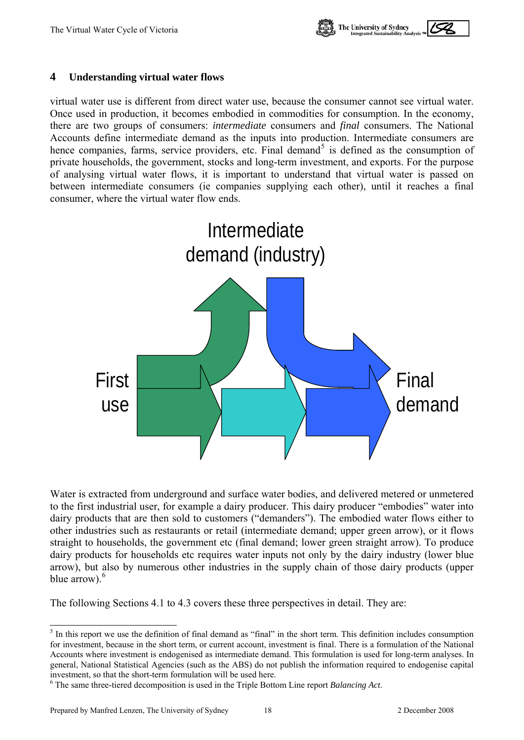

#### <span id="page-20-1"></span><span id="page-20-0"></span>**4 Understanding virtual water flows**

virtual water use is different from direct water use, because the consumer cannot see virtual water. Once used in production, it becomes embodied in commodities for consumption. In the economy, there are two groups of consumers: *intermediate* consumers and *final* consumers. The National Accounts define intermediate demand as the inputs into production. Intermediate consumers are hence companies, farms, service providers, etc. Final demand<sup>[5](#page-20-0)</sup> is defined as the consumption of private households, the government, stocks and long-term investment, and exports. For the purpose of analysing virtual water flows, it is important to understand that virtual water is passed on between intermediate consumers (ie companies supplying each other), until it reaches a final consumer, where the virtual water flow ends.



Water is extracted from underground and surface water bodies, and delivered metered or unmetered to the first industrial user, for example a dairy producer. This dairy producer "embodies" water into dairy products that are then sold to customers ("demanders"). The embodied water flows either to other industries such as restaurants or retail (intermediate demand; upper green arrow), or it flows straight to households, the government etc (final demand; lower green straight arrow). To produce dairy products for households etc requires water inputs not only by the dairy industry (lower blue arrow), but also by numerous other industries in the supply chain of those dairy products (upper blue arrow). $<sup>6</sup>$  $<sup>6</sup>$  $<sup>6</sup>$ </sup>

The following Sections 4.1 to 4.3 covers these three perspectives in detail. They are:

<sup>&</sup>lt;sup>5</sup> In this report we use the definition of final demand as "final" in the short term. This definition includes consumption for investment, because in the short term, or current account, investment is final. There is a formulation of the National Accounts where investment is endogenised as intermediate demand. This formulation is used for long-term analyses. In general, National Statistical Agencies (such as the ABS) do not publish the information required to endogenise capital investment, so that the short-term formulation will be used here.

<sup>6</sup> The same three-tiered decomposition is used in the Triple Bottom Line report *Balancing Act*.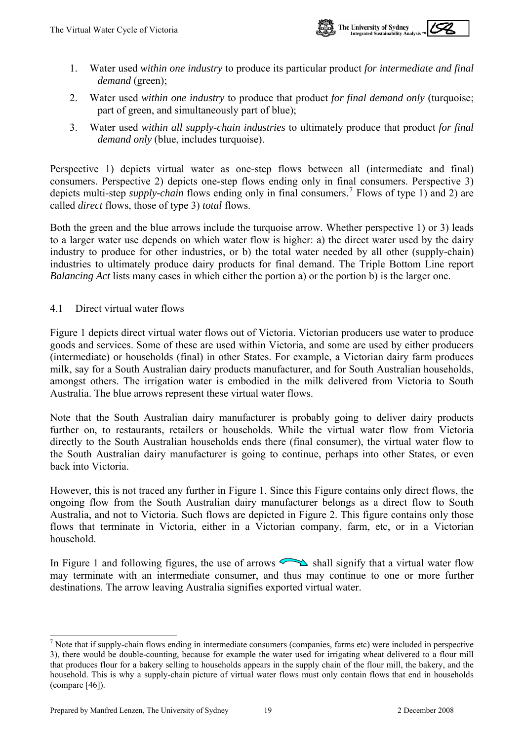

- <span id="page-21-0"></span>1. Water used *within one industry* to produce its particular product *for intermediate and final demand* (green);
- 2. Water used *within one industry* to produce that product *for final demand only* (turquoise; part of green, and simultaneously part of blue);
- 3. Water used *within all supply-chain industries* to ultimately produce that product *for final demand only* (blue, includes turquoise).

Perspective 1) depicts virtual water as one-step flows between all (intermediate and final) consumers. Perspective 2) depicts one-step flows ending only in final consumers. Perspective 3) depicts multi-step *supply-chain* flows ending only in final consumers.<sup>[7](#page-21-0)</sup> Flows of type 1) and 2) are called *direct* flows, those of type 3) *total* flows.

Both the green and the blue arrows include the turquoise arrow. Whether perspective 1) or 3) leads to a larger water use depends on which water flow is higher: a) the direct water used by the dairy industry to produce for other industries, or b) the total water needed by all other (supply-chain) industries to ultimately produce dairy products for final demand. The Triple Bottom Line report *Balancing Act* lists many cases in which either the portion a) or the portion b) is the larger one.

<span id="page-21-1"></span>4.1 Direct virtual water flows

Figure 1 depicts direct virtual water flows out of Victoria. Victorian producers use water to produce goods and services. Some of these are used within Victoria, and some are used by either producers (intermediate) or households (final) in other States. For example, a Victorian dairy farm produces milk, say for a South Australian dairy products manufacturer, and for South Australian households, amongst others. The irrigation water is embodied in the milk delivered from Victoria to South Australia. The blue arrows represent these virtual water flows.

Note that the South Australian dairy manufacturer is probably going to deliver dairy products further on, to restaurants, retailers or households. While the virtual water flow from Victoria directly to the South Australian households ends there (final consumer), the virtual water flow to the South Australian dairy manufacturer is going to continue, perhaps into other States, or even back into Victoria.

However, this is not traced any further in Figure 1. Since this Figure contains only direct flows, the ongoing flow from the South Australian dairy manufacturer belongs as a direct flow to South Australia, and not to Victoria. Such flows are depicted in Figure 2. This figure contains only those flows that terminate in Victoria, either in a Victorian company, farm, etc, or in a Victorian household.

In Figure 1 and following figures, the use of arrows  $\sum_{n=1}^{\infty}$  shall signify that a virtual water flow may terminate with an intermediate consumer, and thus may continue to one or more further destinations. The arrow leaving Australia signifies exported virtual water.

l

 $<sup>7</sup>$  Note that if supply-chain flows ending in intermediate consumers (companies, farms etc) were included in perspective</sup> 3), there would be double-counting, because for example the water used for irrigating wheat delivered to a flour mill that produces flour for a bakery selling to households appears in the supply chain of the flour mill, the bakery, and the household. This is why a supply-chain picture of virtual water flows must only contain flows that end in households (compare [46]).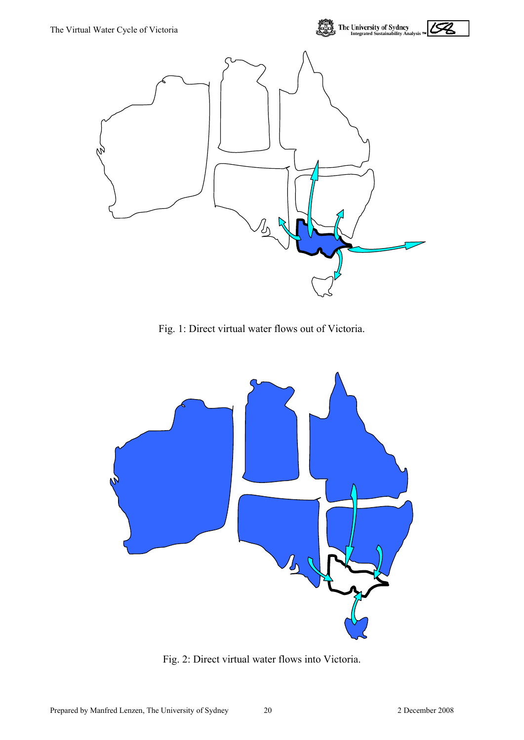

Fig. 1: Direct virtual water flows out of Victoria.



Fig. 2: Direct virtual water flows into Victoria.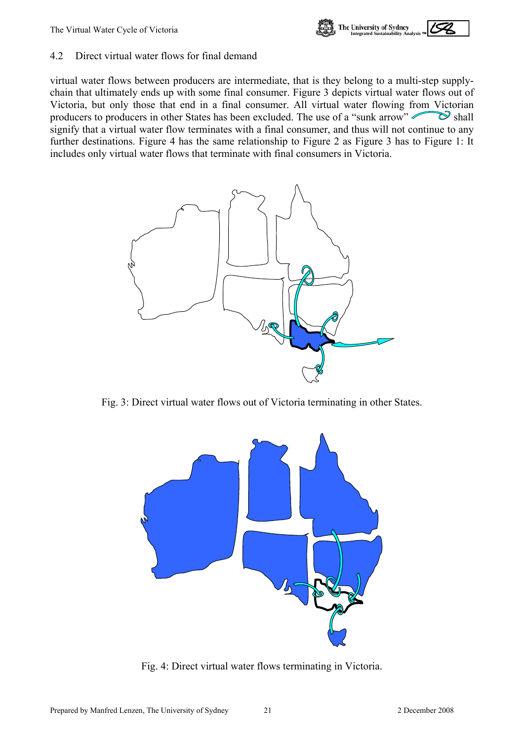

#### <span id="page-23-1"></span><span id="page-23-0"></span>4.2 Direct virtual water flows for final demand

virtual water flows between producers are intermediate, that is they belong to a multi-step supplychain that ultimately ends up with some final consumer. Figure 3 depicts virtual water flows out of Victoria, but only those that end in a final consumer. All virtual water flowing from Victorian producers to producers in other States has been excluded. The use of a "sunk arrow"  $\gg$  shall signify that a virtual water flow terminates with a final consumer, and thus will not continue to any further destinations. Figure 4 has the same relationship to Figure 2 as Figure 3 has to Figure 1: It includes only virtual water flows that terminate with final consumers in Victoria.



Fig. 3: Direct virtual water flows out of Victoria terminating in other States.



Fig. 4: Direct virtual water flows terminating in Victoria.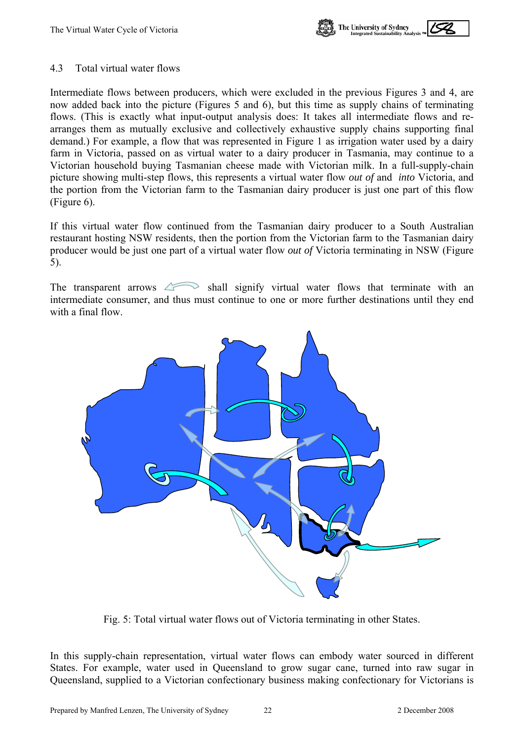

#### <span id="page-24-1"></span><span id="page-24-0"></span>4.3 Total virtual water flows

Intermediate flows between producers, which were excluded in the previous Figures 3 and 4, are now added back into the picture (Figures 5 and 6), but this time as supply chains of terminating flows. (This is exactly what input-output analysis does: It takes all intermediate flows and rearranges them as mutually exclusive and collectively exhaustive supply chains supporting final demand.) For example, a flow that was represented in Figure 1 as irrigation water used by a dairy farm in Victoria, passed on as virtual water to a dairy producer in Tasmania, may continue to a Victorian household buying Tasmanian cheese made with Victorian milk. In a full-supply-chain picture showing multi-step flows, this represents a virtual water flow *out of* and *into* Victoria, and the portion from the Victorian farm to the Tasmanian dairy producer is just one part of this flow (Figure 6).

If this virtual water flow continued from the Tasmanian dairy producer to a South Australian restaurant hosting NSW residents, then the portion from the Victorian farm to the Tasmanian dairy producer would be just one part of a virtual water flow *out of* Victoria terminating in NSW (Figure 5).

The transparent arrows  $\triangle$  shall signify virtual water flows that terminate with an intermediate consumer, and thus must continue to one or more further destinations until they end with a final flow.



Fig. 5: Total virtual water flows out of Victoria terminating in other States.

In this supply-chain representation, virtual water flows can embody water sourced in different States. For example, water used in Queensland to grow sugar cane, turned into raw sugar in Queensland, supplied to a Victorian confectionary business making confectionary for Victorians is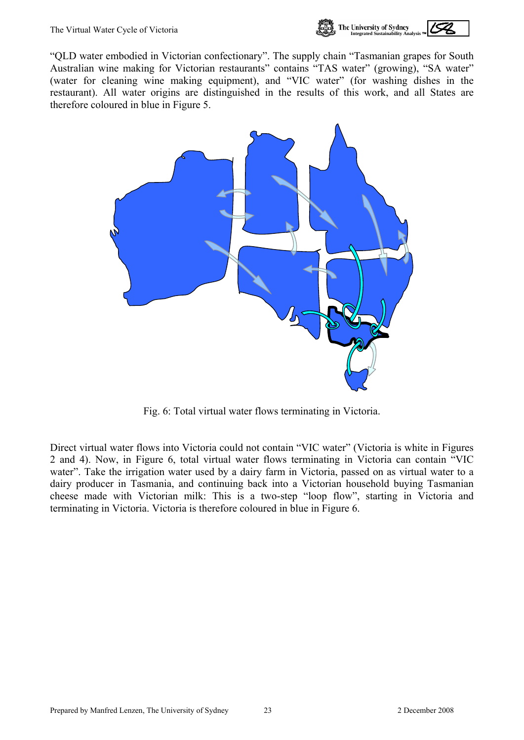

"QLD water embodied in Victorian confectionary". The supply chain "Tasmanian grapes for South Australian wine making for Victorian restaurants" contains "TAS water" (growing), "SA water" (water for cleaning wine making equipment), and "VIC water" (for washing dishes in the restaurant). All water origins are distinguished in the results of this work, and all States are therefore coloured in blue in Figure 5.



Fig. 6: Total virtual water flows terminating in Victoria.

Direct virtual water flows into Victoria could not contain "VIC water" (Victoria is white in Figures 2 and 4). Now, in Figure 6, total virtual water flows terminating in Victoria can contain "VIC water". Take the irrigation water used by a dairy farm in Victoria, passed on as virtual water to a dairy producer in Tasmania, and continuing back into a Victorian household buying Tasmanian cheese made with Victorian milk: This is a two-step "loop flow", starting in Victoria and terminating in Victoria. Victoria is therefore coloured in blue in Figure 6.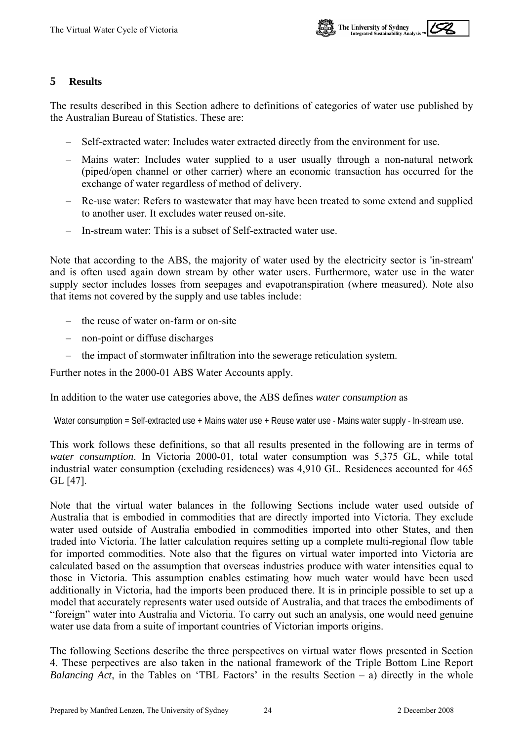

#### <span id="page-26-0"></span>**5 Results**

The results described in this Section adhere to definitions of categories of water use published by the Australian Bureau of Statistics. These are:

- Self-extracted water: Includes water extracted directly from the environment for use.
- Mains water: Includes water supplied to a user usually through a non-natural network (piped/open channel or other carrier) where an economic transaction has occurred for the exchange of water regardless of method of delivery.
- Re-use water: Refers to wastewater that may have been treated to some extend and supplied to another user. It excludes water reused on-site.
- In-stream water: This is a subset of Self-extracted water use.

Note that according to the ABS, the majority of water used by the electricity sector is 'in-stream' and is often used again down stream by other water users. Furthermore, water use in the water supply sector includes losses from seepages and evapotranspiration (where measured). Note also that items not covered by the supply and use tables include:

- the reuse of water on-farm or on-site
- non-point or diffuse discharges
- the impact of stormwater infiltration into the sewerage reticulation system.

Further notes in the 2000-01 ABS Water Accounts apply.

In addition to the water use categories above, the ABS defines *water consumption* as

Water consumption = Self-extracted use + Mains water use + Reuse water use - Mains water supply - In-stream use.

This work follows these definitions, so that all results presented in the following are in terms of *water consumption*. In Victoria 2000-01, total water consumption was 5,375 GL, while total industrial water consumption (excluding residences) was 4,910 GL. Residences accounted for 465 GL [47].

Note that the virtual water balances in the following Sections include water used outside of Australia that is embodied in commodities that are directly imported into Victoria. They exclude water used outside of Australia embodied in commodities imported into other States, and then traded into Victoria. The latter calculation requires setting up a complete multi-regional flow table for imported commodities. Note also that the figures on virtual water imported into Victoria are calculated based on the assumption that overseas industries produce with water intensities equal to those in Victoria. This assumption enables estimating how much water would have been used additionally in Victoria, had the imports been produced there. It is in principle possible to set up a model that accurately represents water used outside of Australia, and that traces the embodiments of "foreign" water into Australia and Victoria. To carry out such an analysis, one would need genuine water use data from a suite of important countries of Victorian imports origins.

The following Sections describe the three perspectives on virtual water flows presented in Section  [4](#page-20-1). These perpectives are also taken in the national framework of the Triple Bottom Line Report *Balancing Act*, in the Tables on 'TBL Factors' in the results Section  $-$  a) directly in the whole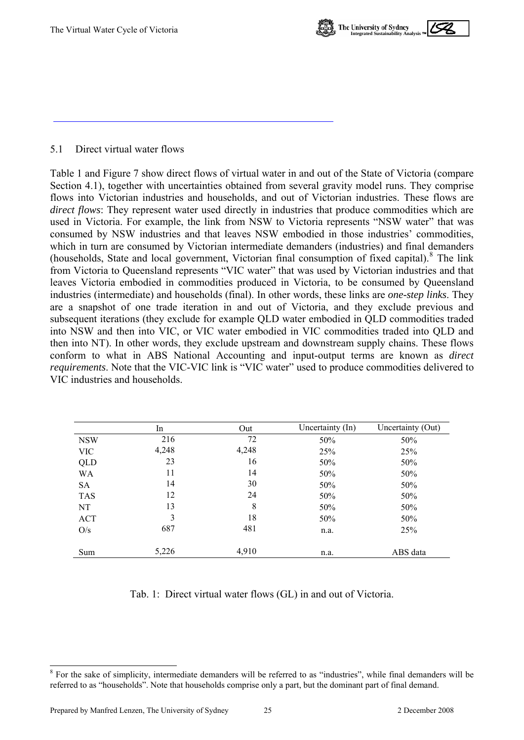

#### <span id="page-27-1"></span><span id="page-27-0"></span>5.1 Direct virtual water flows

Table 1 and Figure 7 show direct flows of virtual water in and out of the State of Victoria (compare Section [4.1\)](#page-21-1), together with uncertainties obtained from several gravity model runs. They comprise flows into Victorian industries and households, and out of Victorian industries. These flows are *direct flows*: They represent water used directly in industries that produce commodities which are used in Victoria. For example, the link from NSW to Victoria represents "NSW water" that was consumed by NSW industries and that leaves NSW embodied in those industries' commodities, which in turn are consumed by Victorian intermediate demanders (industries) and final demanders (households, State and local government, Victorian final consumption of fixed capital).<sup>[8](#page-27-0)</sup> The link from Victoria to Queensland represents "VIC water" that was used by Victorian industries and that leaves Victoria embodied in commodities produced in Victoria, to be consumed by Queensland industries (intermediate) and households (final). In other words, these links are *one-step links*. They are a snapshot of one trade iteration in and out of Victoria, and they exclude previous and subsequent iterations (they exclude for example QLD water embodied in QLD commodities traded into NSW and then into VIC, or VIC water embodied in VIC commodities traded into QLD and then into NT). In other words, they exclude upstream and downstream supply chains. These flows conform to what in ABS National Accounting and input-output terms are known as *direct requirements*. Note that the VIC-VIC link is "VIC water" used to produce commodities delivered to VIC industries and households.

|            | In    | Out   | Uncertainty (In) | Uncertainty (Out) |
|------------|-------|-------|------------------|-------------------|
| <b>NSW</b> | 216   | 72    | 50%              | 50%               |
| <b>VIC</b> | 4,248 | 4,248 | 25%              | 25%               |
| QLD        | 23    | 16    | 50%              | 50%               |
| WA         | 11    | 14    | 50%              | 50%               |
| SA         | 14    | 30    | 50%              | 50%               |
| <b>TAS</b> | 12    | 24    | 50%              | 50%               |
| NT         | 13    | 8     | 50%              | 50%               |
| <b>ACT</b> | 3     | 18    | 50%              | 50%               |
| O/s        | 687   | 481   | n.a.             | 25%               |
| Sum        | 5,226 | 4,910 | n.a.             | ABS data          |

Tab. 1: Direct virtual water flows (GL) in and out of Victoria.

l <sup>8</sup> For the sake of simplicity, intermediate demanders will be referred to as "industries", while final demanders will be referred to as "households". Note that households comprise only a part, but the dominant part of final demand.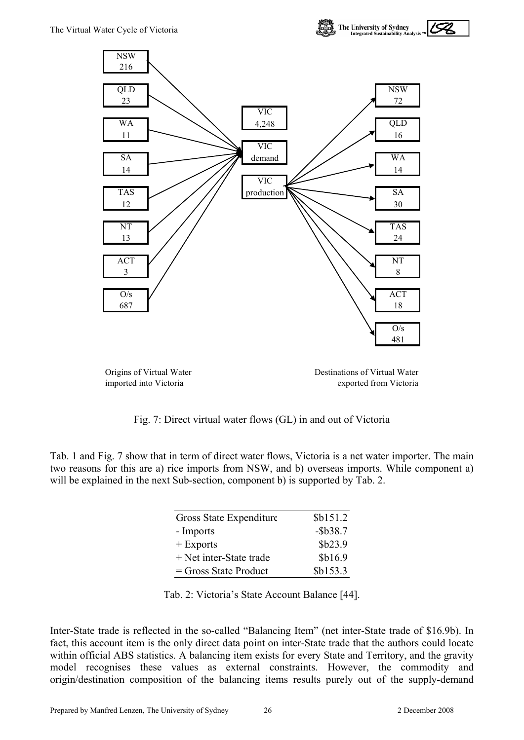

Origins of Virtual Water Destinations of Virtual Water imported into Victoria exported from Victoria

Fig. 7: Direct virtual water flows (GL) in and out of Victoria

Tab. 1 and Fig. 7 show that in term of direct water flows, Victoria is a net water importer. The main two reasons for this are a) rice imports from NSW, and b) overseas imports. While component a) will be explained in the next Sub-section, component b) is supported by Tab. 2.

| Gross State Expenditure | \$b151.2    |
|-------------------------|-------------|
| - Imports               | $-$ \$b38.7 |
| $+$ Exports             | \$b23.9     |
| + Net inter-State trade | \$b16.9     |
| $=$ Gross State Product | \$b153.3    |

|  | Tab. 2: Victoria's State Account Balance [44]. |  |  |  |  |
|--|------------------------------------------------|--|--|--|--|
|--|------------------------------------------------|--|--|--|--|

Inter-State trade is reflected in the so-called "Balancing Item" (net inter-State trade of \$16.9b). In fact, this account item is the only direct data point on inter-State trade that the authors could locate within official ABS statistics. A balancing item exists for every State and Territory, and the gravity model recognises these values as external constraints. However, the commodity and origin/destination composition of the balancing items results purely out of the supply-demand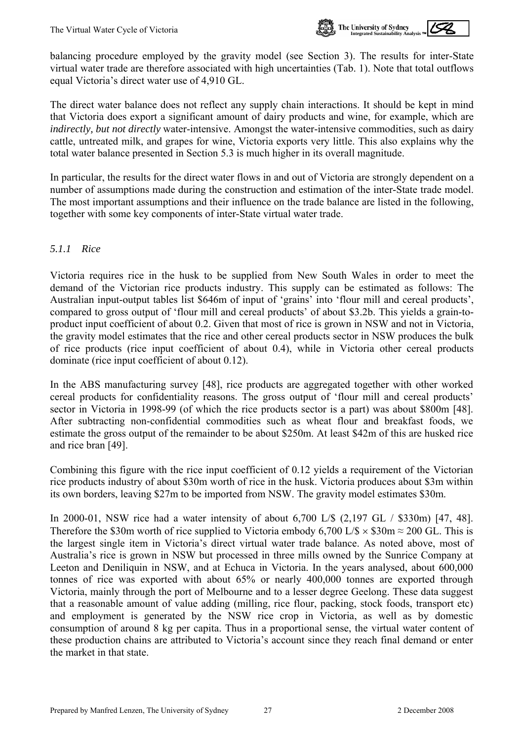

balancing procedure employed by the gravity model (see Section 3). The results for inter-State virtual water trade are therefore associated with high uncertainties (Tab. 1). Note that total outflows equal Victoria's direct water use of 4,910 GL.

The direct water balance does not reflect any supply chain interactions. It should be kept in mind that Victoria does export a significant amount of dairy products and wine, for example, which are *indirectly, but not directly* water-intensive. Amongst the water-intensive commodities, such as dairy cattle, untreated milk, and grapes for wine, Victoria exports very little. This also explains why the total water balance presented in Section 5.3 is much higher in its overall magnitude.

In particular, the results for the direct water flows in and out of Victoria are strongly dependent on a number of assumptions made during the construction and estimation of the inter-State trade model. The most important assumptions and their influence on the trade balance are listed in the following, together with some key components of inter-State virtual water trade.

#### *5.1.1 Rice*

Victoria requires rice in the husk to be supplied from New South Wales in order to meet the demand of the Victorian rice products industry. This supply can be estimated as follows: The Australian input-output tables list \$646m of input of 'grains' into 'flour mill and cereal products', compared to gross output of 'flour mill and cereal products' of about \$3.2b. This yields a grain-toproduct input coefficient of about 0.2. Given that most of rice is grown in NSW and not in Victoria, the gravity model estimates that the rice and other cereal products sector in NSW produces the bulk of rice products (rice input coefficient of about 0.4), while in Victoria other cereal products dominate (rice input coefficient of about 0.12).

In the ABS manufacturing survey [48], rice products are aggregated together with other worked cereal products for confidentiality reasons. The gross output of 'flour mill and cereal products' sector in Victoria in 1998-99 (of which the rice products sector is a part) was about \$800m [48]. After subtracting non-confidential commodities such as wheat flour and breakfast foods, we estimate the gross output of the remainder to be about \$250m. At least \$42m of this are husked rice and rice bran [49].

Combining this figure with the rice input coefficient of 0.12 yields a requirement of the Victorian rice products industry of about \$30m worth of rice in the husk. Victoria produces about \$3m within its own borders, leaving \$27m to be imported from NSW. The gravity model estimates \$30m.

In 2000-01, NSW rice had a water intensity of about 6,700 L/\$ (2,197 GL / \$330m) [47, 48]. Therefore the \$30m worth of rice supplied to Victoria embody 6,700 L/\$  $\times$  \$30m  $\approx$  200 GL. This is the largest single item in Victoria's direct virtual water trade balance. As noted above, most of Australia's rice is grown in NSW but processed in three mills owned by the Sunrice Company at Leeton and Deniliquin in NSW, and at Echuca in Victoria. In the years analysed, about 600,000 tonnes of rice was exported with about 65% or nearly 400,000 tonnes are exported through Victoria, mainly through the port of Melbourne and to a lesser degree Geelong. These data suggest that a reasonable amount of value adding (milling, rice flour, packing, stock foods, transport etc) and employment is generated by the NSW rice crop in Victoria, as well as by domestic consumption of around 8 kg per capita. Thus in a proportional sense, the virtual water content of these production chains are attributed to Victoria's account since they reach final demand or enter the market in that state.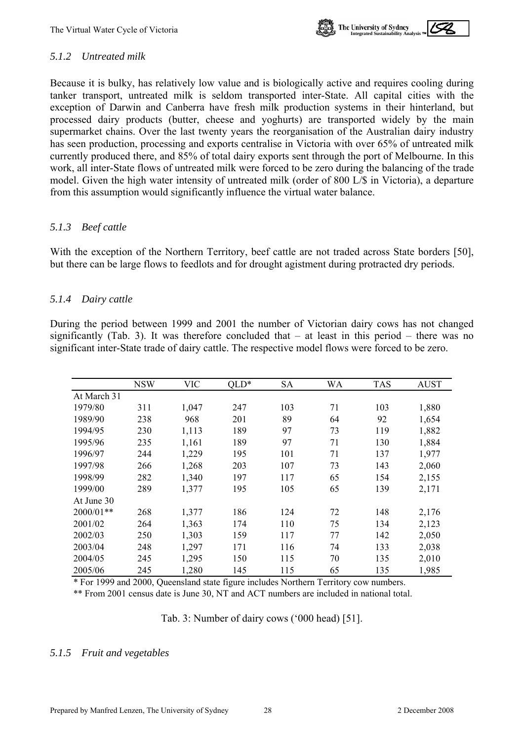

#### *5.1.2 Untreated milk*

Because it is bulky, has relatively low value and is biologically active and requires cooling during tanker transport, untreated milk is seldom transported inter-State. All capital cities with the exception of Darwin and Canberra have fresh milk production systems in their hinterland, but processed dairy products (butter, cheese and yoghurts) are transported widely by the main supermarket chains. Over the last twenty years the reorganisation of the Australian dairy industry has seen production, processing and exports centralise in Victoria with over 65% of untreated milk currently produced there, and 85% of total dairy exports sent through the port of Melbourne. In this work, all inter-State flows of untreated milk were forced to be zero during the balancing of the trade model. Given the high water intensity of untreated milk (order of 800 L/\$ in Victoria), a departure from this assumption would significantly influence the virtual water balance.

#### *5.1.3 Beef cattle*

With the exception of the Northern Territory, beef cattle are not traded across State borders [50], but there can be large flows to feedlots and for drought agistment during protracted dry periods.

#### *5.1.4 Dairy cattle*

During the period between 1999 and 2001 the number of Victorian dairy cows has not changed significantly (Tab. 3). It was therefore concluded that – at least in this period – there was no significant inter-State trade of dairy cattle. The respective model flows were forced to be zero.

|             | <b>NSW</b> | <b>VIC</b> | $OLD*$ | <b>SA</b> | WA | <b>TAS</b> | <b>AUST</b> |
|-------------|------------|------------|--------|-----------|----|------------|-------------|
| At March 31 |            |            |        |           |    |            |             |
| 1979/80     | 311        | 1,047      | 247    | 103       | 71 | 103        | 1,880       |
| 1989/90     | 238        | 968        | 201    | 89        | 64 | 92         | 1,654       |
| 1994/95     | 230        | 1,113      | 189    | 97        | 73 | 119        | 1,882       |
| 1995/96     | 235        | 1,161      | 189    | 97        | 71 | 130        | 1,884       |
| 1996/97     | 244        | 1,229      | 195    | 101       | 71 | 137        | 1,977       |
| 1997/98     | 266        | 1,268      | 203    | 107       | 73 | 143        | 2,060       |
| 1998/99     | 282        | 1,340      | 197    | 117       | 65 | 154        | 2,155       |
| 1999/00     | 289        | 1,377      | 195    | 105       | 65 | 139        | 2,171       |
| At June 30  |            |            |        |           |    |            |             |
| 2000/01**   | 268        | 1,377      | 186    | 124       | 72 | 148        | 2,176       |
| 2001/02     | 264        | 1,363      | 174    | 110       | 75 | 134        | 2,123       |
| 2002/03     | 250        | 1,303      | 159    | 117       | 77 | 142        | 2,050       |
| 2003/04     | 248        | 1,297      | 171    | 116       | 74 | 133        | 2,038       |
| 2004/05     | 245        | 1,295      | 150    | 115       | 70 | 135        | 2,010       |
| 2005/06     | 245        | 1,280      | 145    | 115       | 65 | 135        | 1,985       |

\* For 1999 and 2000, Queensland state figure includes Northern Territory cow numbers.

\*\* From 2001 census date is June 30, NT and ACT numbers are included in national total.

Tab. 3: Number of dairy cows ('000 head) [51].

#### <span id="page-30-0"></span>*5.1.5 Fruit and vegetables*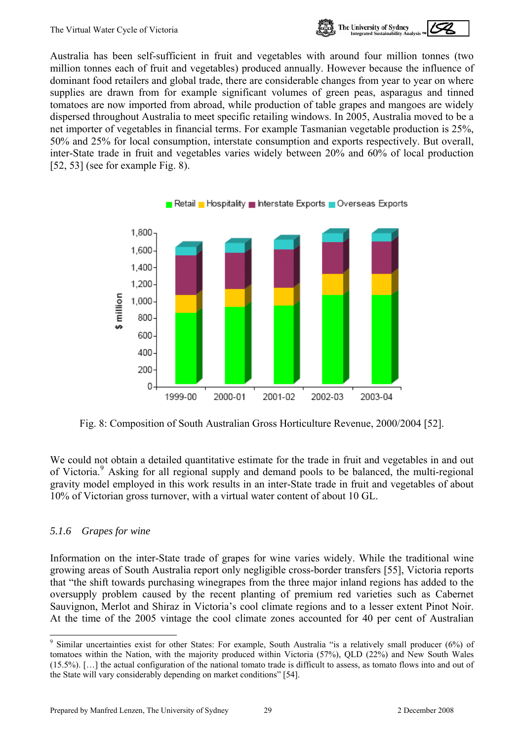

<span id="page-31-0"></span>Australia has been self-sufficient in fruit and vegetables with around four million tonnes (two million tonnes each of fruit and vegetables) produced annually. However because the influence of dominant food retailers and global trade, there are considerable changes from year to year on where supplies are drawn from for example significant volumes of green peas, asparagus and tinned tomatoes are now imported from abroad, while production of table grapes and mangoes are widely dispersed throughout Australia to meet specific retailing windows. In 2005, Australia moved to be a net importer of vegetables in financial terms. For example Tasmanian vegetable production is 25%, 50% and 25% for local consumption, interstate consumption and exports respectively. But overall, inter-State trade in fruit and vegetables varies widely between 20% and 60% of local production [52, 53] (see for example Fig. 8).



Fig. 8: Composition of South Australian Gross Horticulture Revenue, 2000/2004 [52].

We could not obtain a detailed quantitative estimate for the trade in fruit and vegetables in and out of Victoria.<sup>[9](#page-31-0)</sup> Asking for all regional supply and demand pools to be balanced, the multi-regional gravity model employed in this work results in an inter-State trade in fruit and vegetables of about 10% of Victorian gross turnover, with a virtual water content of about 10 GL.

#### *5.1.6 Grapes for wine*

l

Information on the inter-State trade of grapes for wine varies widely. While the traditional wine growing areas of South Australia report only negligible cross-border transfers [55], Victoria reports that "the shift towards purchasing winegrapes from the three major inland regions has added to the oversupply problem caused by the recent planting of premium red varieties such as Cabernet Sauvignon, Merlot and Shiraz in Victoria's cool climate regions and to a lesser extent Pinot Noir. At the time of the 2005 vintage the cool climate zones accounted for 40 per cent of Australian

<sup>&</sup>lt;sup>9</sup> Similar uncertainties exist for other States: For example, South Australia "is a relatively small producer (6%) of tomatoes within the Nation, with the majority produced within Victoria (57%), QLD (22%) and New South Wales (15.5%). […] the actual configuration of the national tomato trade is difficult to assess, as tomato flows into and out of the State will vary considerably depending on market conditions" [54].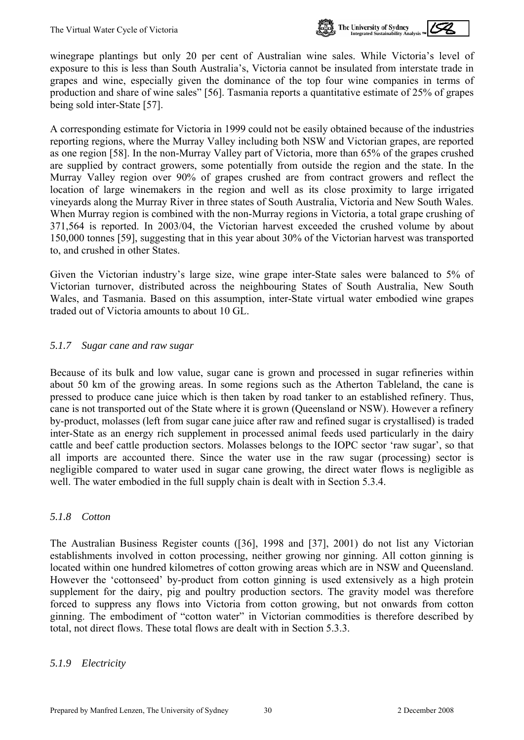

winegrape plantings but only 20 per cent of Australian wine sales. While Victoria's level of exposure to this is less than South Australia's, Victoria cannot be insulated from interstate trade in grapes and wine, especially given the dominance of the top four wine companies in terms of production and share of wine sales" [56]. Tasmania reports a quantitative estimate of 25% of grapes being sold inter-State [57].

A corresponding estimate for Victoria in 1999 could not be easily obtained because of the industries reporting regions, where the Murray Valley including both NSW and Victorian grapes, are reported as one region [58]. In the non-Murray Valley part of Victoria, more than 65% of the grapes crushed are supplied by contract growers, some potentially from outside the region and the state. In the Murray Valley region over 90% of grapes crushed are from contract growers and reflect the location of large winemakers in the region and well as its close proximity to large irrigated vineyards along the Murray River in three states of South Australia, Victoria and New South Wales. When Murray region is combined with the non-Murray regions in Victoria, a total grape crushing of 371,564 is reported. In 2003/04, the Victorian harvest exceeded the crushed volume by about 150,000 tonnes [59], suggesting that in this year about 30% of the Victorian harvest was transported to, and crushed in other States.

Given the Victorian industry's large size, wine grape inter-State sales were balanced to 5% of Victorian turnover, distributed across the neighbouring States of South Australia, New South Wales, and Tasmania. Based on this assumption, inter-State virtual water embodied wine grapes traded out of Victoria amounts to about 10 GL.

#### *5.1.7 Sugar cane and raw sugar*

Because of its bulk and low value, sugar cane is grown and processed in sugar refineries within about 50 km of the growing areas. In some regions such as the Atherton Tableland, the cane is pressed to produce cane juice which is then taken by road tanker to an established refinery. Thus, cane is not transported out of the State where it is grown (Queensland or NSW). However a refinery by-product, molasses (left from sugar cane juice after raw and refined sugar is crystallised) is traded inter-State as an energy rich supplement in processed animal feeds used particularly in the dairy cattle and beef cattle production sectors. Molasses belongs to the IOPC sector 'raw sugar', so that all imports are accounted there. Since the water use in the raw sugar (processing) sector is negligible compared to water used in sugar cane growing, the direct water flows is negligible as well. The water embodied in the full supply chain is dealt with in Section [5.3.4.](#page-38-0)

#### *5.1.8 Cotton*

The Australian Business Register counts ([36], 1998 and [37], 2001) do not list any Victorian establishments involved in cotton processing, neither growing nor ginning. All cotton ginning is located within one hundred kilometres of cotton growing areas which are in NSW and Queensland. However the 'cottonseed' by-product from cotton ginning is used extensively as a high protein supplement for the dairy, pig and poultry production sectors. The gravity model was therefore forced to suppress any flows into Victoria from cotton growing, but not onwards from cotton ginning. The embodiment of "cotton water" in Victorian commodities is therefore described by total, not direct flows. These total flows are dealt with in Section [5.3.3.](#page-38-1)

#### *5.1.9 Electricity*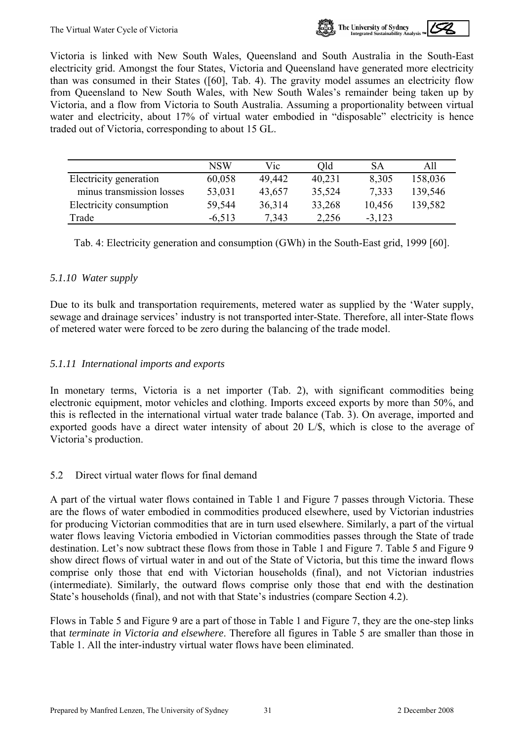

<span id="page-33-0"></span>Victoria is linked with New South Wales, Queensland and South Australia in the South-East electricity grid. Amongst the four States, Victoria and Queensland have generated more electricity than was consumed in their States ([60], Tab. 4). The gravity model assumes an electricity flow from Queensland to New South Wales, with New South Wales's remainder being taken up by Victoria, and a flow from Victoria to South Australia. Assuming a proportionality between virtual water and electricity, about 17% of virtual water embodied in "disposable" electricity is hence traded out of Victoria, corresponding to about 15 GL.

|                           | NSW      | Vic    | Old    | SA       | All     |
|---------------------------|----------|--------|--------|----------|---------|
| Electricity generation    | 60,058   | 49,442 | 40,231 | 8.305    | 158,036 |
| minus transmission losses | 53,031   | 43,657 | 35,524 | 7.333    | 139,546 |
| Electricity consumption   | 59,544   | 36,314 | 33,268 | 10,456   | 139,582 |
| Trade                     | $-6.513$ | 7.343  | 2,256  | $-3,123$ |         |

Tab. 4: Electricity generation and consumption (GWh) in the South-East grid, 1999 [60].

#### *5.1.10 Water supply*

Due to its bulk and transportation requirements, metered water as supplied by the 'Water supply, sewage and drainage services' industry is not transported inter-State. Therefore, all inter-State flows of metered water were forced to be zero during the balancing of the trade model.

#### *5.1.11 International imports and exports*

In monetary terms, Victoria is a net importer (Tab. 2), with significant commodities being electronic equipment, motor vehicles and clothing. Imports exceed exports by more than 50%, and this is reflected in the international virtual water trade balance (Tab. 3). On average, imported and exported goods have a direct water intensity of about 20 L/\$, which is close to the average of Victoria's production.

#### 5.2 Direct virtual water flows for final demand

A part of the virtual water flows contained in Table 1 and Figure 7 passes through Victoria. These are the flows of water embodied in commodities produced elsewhere, used by Victorian industries for producing Victorian commodities that are in turn used elsewhere. Similarly, a part of the virtual water flows leaving Victoria embodied in Victorian commodities passes through the State of trade destination. Let's now subtract these flows from those in Table 1 and Figure 7. Table 5 and Figure 9 show direct flows of virtual water in and out of the State of Victoria, but this time the inward flows comprise only those that end with Victorian households (final), and not Victorian industries (intermediate). Similarly, the outward flows comprise only those that end with the destination State's households (final), and not with that State's industries (compare Section [4.2](#page-23-1)).

Flows in Table 5 and Figure 9 are a part of those in Table 1 and Figure 7, they are the one-step links that *terminate in Victoria and elsewhere*. Therefore all figures in Table 5 are smaller than those in Table 1. All the inter-industry virtual water flows have been eliminated.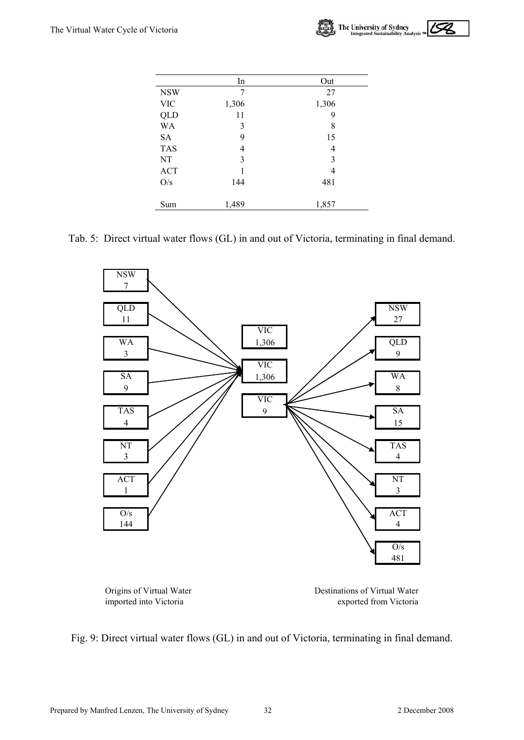

|            | In    | Out   |
|------------|-------|-------|
| <b>NSW</b> | 7     | 27    |
| <b>VIC</b> | 1,306 | 1,306 |
| <b>QLD</b> | 11    | 9     |
| WA         | 3     | 8     |
| <b>SA</b>  | 9     | 15    |
| <b>TAS</b> | 4     | 4     |
| NT         | 3     | 3     |
| <b>ACT</b> | 1     | 4     |
| O/s        | 144   | 481   |
| Sum        | 1,489 | 1,857 |

Tab. 5: Direct virtual water flows (GL) in and out of Victoria, terminating in final demand.



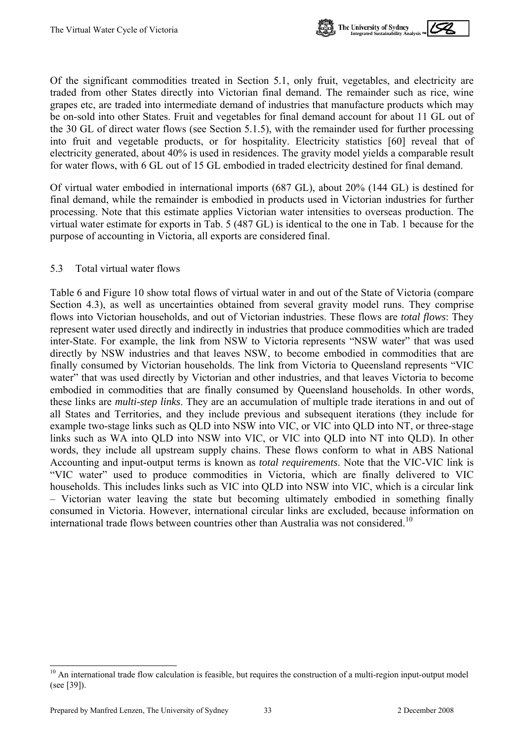

<span id="page-35-0"></span>Of the significant commodities treated in Section [5.1,](#page-27-1) only fruit, vegetables, and electricity are traded from other States directly into Victorian final demand. The remainder such as rice, wine grapes etc, are traded into intermediate demand of industries that manufacture products which may be on-sold into other States. Fruit and vegetables for final demand account for about 11 GL out of the 30 GL of direct water flows (see Section [5.1.5\)](#page-30-0), with the remainder used for further processing into fruit and vegetable products, or for hospitality. Electricity statistics [60] reveal that of electricity generated, about 40% is used in residences. The gravity model yields a comparable result for water flows, with 6 GL out of 15 GL embodied in traded electricity destined for final demand.

Of virtual water embodied in international imports (687 GL), about 20% (144 GL) is destined for final demand, while the remainder is embodied in products used in Victorian industries for further processing. Note that this estimate applies Victorian water intensities to overseas production. The virtual water estimate for exports in Tab. 5 (487 GL) is identical to the one in Tab. 1 because for the purpose of accounting in Victoria, all exports are considered final.

#### 5.3 Total virtual water flows

Table 6 and Figure 10 show total flows of virtual water in and out of the State of Victoria (compare Section [4.3\)](#page-24-1), as well as uncertainties obtained from several gravity model runs. They comprise flows into Victorian households, and out of Victorian industries. These flows are *total flows*: They represent water used directly and indirectly in industries that produce commodities which are traded inter-State. For example, the link from NSW to Victoria represents "NSW water" that was used directly by NSW industries and that leaves NSW, to become embodied in commodities that are finally consumed by Victorian households. The link from Victoria to Queensland represents "VIC water" that was used directly by Victorian and other industries, and that leaves Victoria to become embodied in commodities that are finally consumed by Queensland households. In other words, these links are *multi-step links*. They are an accumulation of multiple trade iterations in and out of all States and Territories, and they include previous and subsequent iterations (they include for example two-stage links such as QLD into NSW into VIC, or VIC into QLD into NT, or three-stage links such as WA into QLD into NSW into VIC, or VIC into QLD into NT into QLD). In other words, they include all upstream supply chains. These flows conform to what in ABS National Accounting and input-output terms is known as *total requirements*. Note that the VIC-VIC link is "VIC water" used to produce commodities in Victoria, which are finally delivered to VIC households. This includes links such as VIC into QLD into NSW into VIC, which is a circular link – Victorian water leaving the state but becoming ultimately embodied in something finally consumed in Victoria. However, international circular links are excluded, because information on international trade flows between countries other than Australia was not considered.<sup>[10](#page-35-0)</sup>

l

 $10$  An international trade flow calculation is feasible, but requires the construction of a multi-region input-output model (see [39]).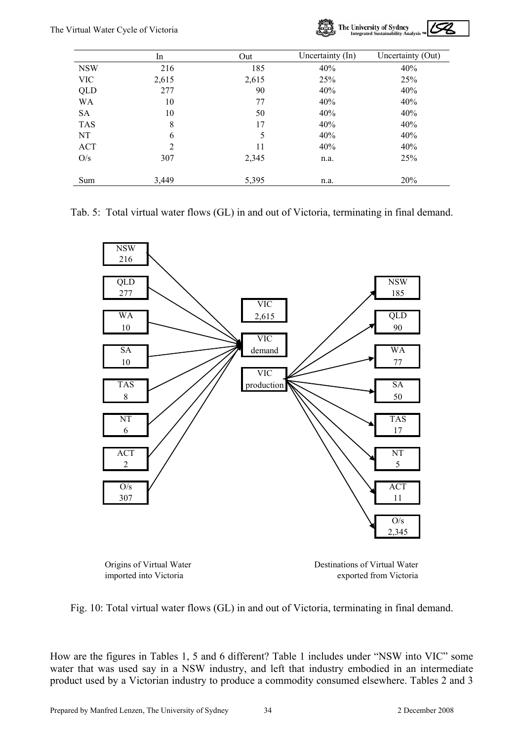

|            | In    | Out   | Uncertainty (In) | Uncertainty (Out) |
|------------|-------|-------|------------------|-------------------|
| <b>NSW</b> | 216   | 185   | 40%              | 40%               |
| <b>VIC</b> | 2,615 | 2,615 | 25%              | 25%               |
| QLD        | 277   | 90    | 40%              | 40%               |
| WA         | 10    | 77    | 40%              | 40%               |
| <b>SA</b>  | 10    | 50    | 40%              | 40%               |
| <b>TAS</b> | 8     | 17    | 40%              | 40%               |
| NT         | 6     | 5     | 40%              | 40%               |
| <b>ACT</b> | 2     | 11    | 40%              | 40%               |
| O/s        | 307   | 2,345 | n.a.             | 25%               |
| Sum        | 3,449 | 5,395 | n.a.             | 20%               |

#### Tab. 5: Total virtual water flows (GL) in and out of Victoria, terminating in final demand.





Origins of Virtual Water **Destinations of Virtual Water** imported into Victoria exported from Victoria



How are the figures in Tables 1, 5 and 6 different? Table 1 includes under "NSW into VIC" some water that was used say in a NSW industry, and left that industry embodied in an intermediate product used by a Victorian industry to produce a commodity consumed elsewhere. Tables 2 and 3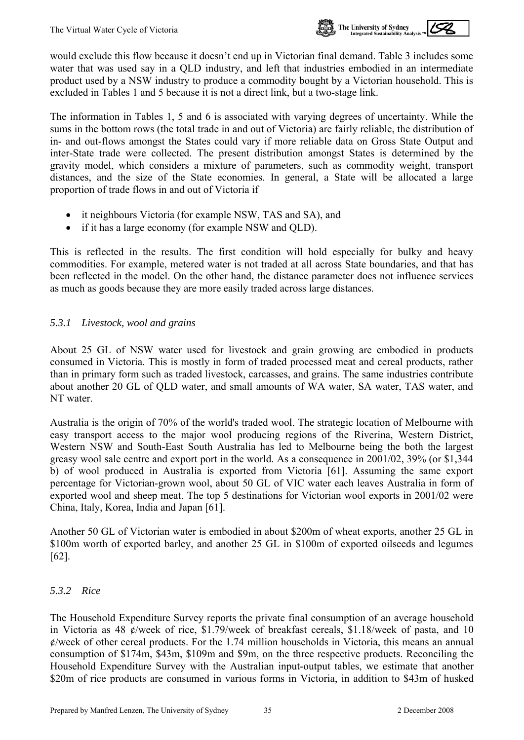

would exclude this flow because it doesn't end up in Victorian final demand. Table 3 includes some water that was used say in a QLD industry, and left that industries embodied in an intermediate product used by a NSW industry to produce a commodity bought by a Victorian household. This is excluded in Tables 1 and 5 because it is not a direct link, but a two-stage link.

The information in Tables 1, 5 and 6 is associated with varying degrees of uncertainty. While the sums in the bottom rows (the total trade in and out of Victoria) are fairly reliable, the distribution of in- and out-flows amongst the States could vary if more reliable data on Gross State Output and inter-State trade were collected. The present distribution amongst States is determined by the gravity model, which considers a mixture of parameters, such as commodity weight, transport distances, and the size of the State economies. In general, a State will be allocated a large proportion of trade flows in and out of Victoria if

- it neighbours Victoria (for example NSW, TAS and SA), and
- if it has a large economy (for example NSW and QLD).

This is reflected in the results. The first condition will hold especially for bulky and heavy commodities. For example, metered water is not traded at all across State boundaries, and that has been reflected in the model. On the other hand, the distance parameter does not influence services as much as goods because they are more easily traded across large distances.

#### *5.3.1 Livestock, wool and grains*

About 25 GL of NSW water used for livestock and grain growing are embodied in products consumed in Victoria. This is mostly in form of traded processed meat and cereal products, rather than in primary form such as traded livestock, carcasses, and grains. The same industries contribute about another 20 GL of QLD water, and small amounts of WA water, SA water, TAS water, and NT water.

Australia is the origin of 70% of the world's traded wool. The strategic location of Melbourne with easy transport access to the major wool producing regions of the Riverina, Western District, Western NSW and South-East South Australia has led to Melbourne being the both the largest greasy wool sale centre and export port in the world. As a consequence in 2001/02, 39% (or \$1,344 b) of wool produced in Australia is exported from Victoria [61]. Assuming the same export percentage for Victorian-grown wool, about 50 GL of VIC water each leaves Australia in form of exported wool and sheep meat. The top 5 destinations for Victorian wool exports in 2001/02 were China, Italy, Korea, India and Japan [61].

Another 50 GL of Victorian water is embodied in about \$200m of wheat exports, another 25 GL in \$100m worth of exported barley, and another 25 GL in \$100m of exported oilseeds and legumes [62].

#### *5.3.2 Rice*

The Household Expenditure Survey reports the private final consumption of an average household in Victoria as 48 ¢/week of rice, \$1.79/week of breakfast cereals, \$1.18/week of pasta, and 10  $\ell$ /week of other cereal products. For the 1.74 million households in Victoria, this means an annual consumption of \$174m, \$43m, \$109m and \$9m, on the three respective products. Reconciling the Household Expenditure Survey with the Australian input-output tables, we estimate that another \$20m of rice products are consumed in various forms in Victoria, in addition to \$43m of husked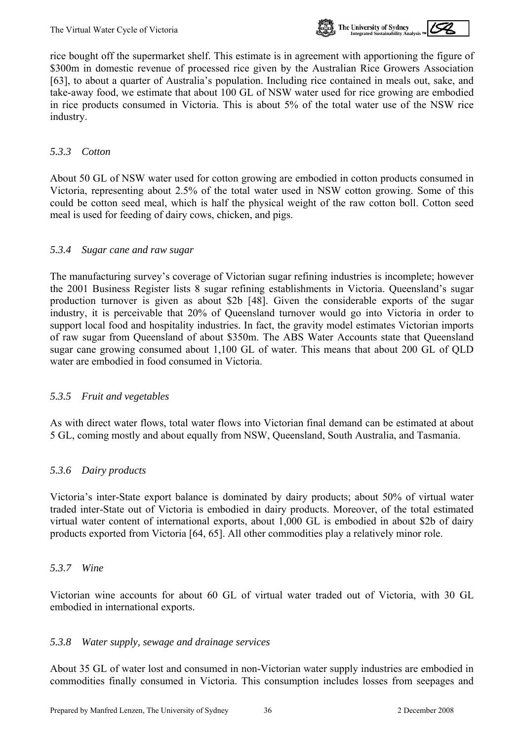

rice bought off the supermarket shelf. This estimate is in agreement with apportioning the figure of \$300m in domestic revenue of processed rice given by the Australian Rice Growers Association [63], to about a quarter of Australia's population. Including rice contained in meals out, sake, and take-away food, we estimate that about 100 GL of NSW water used for rice growing are embodied in rice products consumed in Victoria. This is about 5% of the total water use of the NSW rice industry.

#### <span id="page-38-1"></span>*5.3.3 Cotton*

About 50 GL of NSW water used for cotton growing are embodied in cotton products consumed in Victoria, representing about 2.5% of the total water used in NSW cotton growing. Some of this could be cotton seed meal, which is half the physical weight of the raw cotton boll. Cotton seed meal is used for feeding of dairy cows, chicken, and pigs.

#### <span id="page-38-0"></span>*5.3.4 Sugar cane and raw sugar*

The manufacturing survey's coverage of Victorian sugar refining industries is incomplete; however the 2001 Business Register lists 8 sugar refining establishments in Victoria. Queensland's sugar production turnover is given as about \$2b [48]. Given the considerable exports of the sugar industry, it is perceivable that 20% of Queensland turnover would go into Victoria in order to support local food and hospitality industries. In fact, the gravity model estimates Victorian imports of raw sugar from Queensland of about \$350m. The ABS Water Accounts state that Queensland sugar cane growing consumed about 1,100 GL of water. This means that about 200 GL of QLD water are embodied in food consumed in Victoria.

#### *5.3.5 Fruit and vegetables*

As with direct water flows, total water flows into Victorian final demand can be estimated at about 5 GL, coming mostly and about equally from NSW, Queensland, South Australia, and Tasmania.

## *5.3.6 Dairy products*

Victoria's inter-State export balance is dominated by dairy products; about 50% of virtual water traded inter-State out of Victoria is embodied in dairy products. Moreover, of the total estimated virtual water content of international exports, about 1,000 GL is embodied in about \$2b of dairy products exported from Victoria [64, 65]. All other commodities play a relatively minor role.

#### *5.3.7 Wine*

Victorian wine accounts for about 60 GL of virtual water traded out of Victoria, with 30 GL embodied in international exports.

#### *5.3.8 Water supply, sewage and drainage services*

About 35 GL of water lost and consumed in non-Victorian water supply industries are embodied in commodities finally consumed in Victoria. This consumption includes losses from seepages and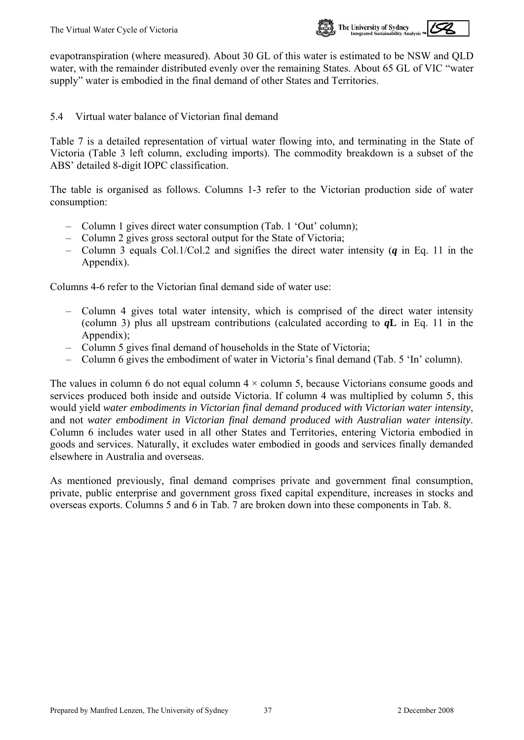

<span id="page-39-0"></span>evapotranspiration (where measured). About 30 GL of this water is estimated to be NSW and QLD water, with the remainder distributed evenly over the remaining States. About 65 GL of VIC "water supply" water is embodied in the final demand of other States and Territories.

5.4 Virtual water balance of Victorian final demand

Table 7 is a detailed representation of virtual water flowing into, and terminating in the State of Victoria (Table 3 left column, excluding imports). The commodity breakdown is a subset of the ABS' detailed 8-digit IOPC classification.

The table is organised as follows. Columns 1-3 refer to the Victorian production side of water consumption:

- Column 1 gives direct water consumption (Tab. 1 'Out' column);
- Column 2 gives gross sectoral output for the State of Victoria;
- Column 3 equals Col.1/Col.2 and signifies the direct water intensity (*q* in Eq. 11 in the Appendix).

Columns 4-6 refer to the Victorian final demand side of water use:

- Column 4 gives total water intensity, which is comprised of the direct water intensity (column 3) plus all upstream contributions (calculated according to *q***L** in Eq. 11 in the Appendix);
- Column 5 gives final demand of households in the State of Victoria;
- Column 6 gives the embodiment of water in Victoria's final demand (Tab. 5 'In' column).

The values in column 6 do not equal column  $4 \times$  column 5, because Victorians consume goods and services produced both inside and outside Victoria. If column 4 was multiplied by column 5, this would yield *water embodiments in Victorian final demand produced with Victorian water intensity*, and not *water embodiment in Victorian final demand produced with Australian water intensity*. Column 6 includes water used in all other States and Territories, entering Victoria embodied in goods and services. Naturally, it excludes water embodied in goods and services finally demanded elsewhere in Australia and overseas.

As mentioned previously, final demand comprises private and government final consumption, private, public enterprise and government gross fixed capital expenditure, increases in stocks and overseas exports. Columns 5 and 6 in Tab. 7 are broken down into these components in Tab. 8.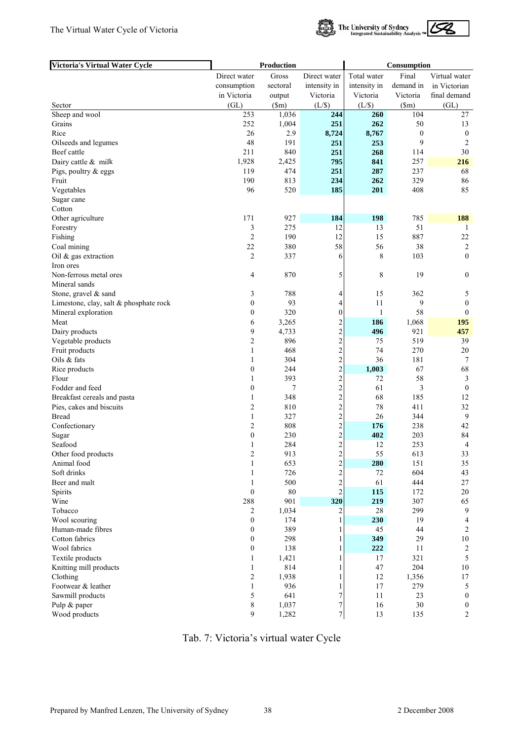**Victoria's Virtual Water Cycle**



**Production Consumption**

|                                        | Direct water            | Gross        | Direct water            | Total water  | Final            | Virtual water    |
|----------------------------------------|-------------------------|--------------|-------------------------|--------------|------------------|------------------|
|                                        | consumption             | sectoral     | intensity in            | intensity in | demand in        | in Victorian     |
|                                        | in Victoria             | output       | Victoria                | Victoria     | Victoria         | final demand     |
| Sector                                 | (GL)                    | \$m\$        | (L/S)                   | (L/S)        | (Sm)             | (GL)             |
| Sheep and wool                         | 253                     | 1,036        | 244                     | 260          | 104              | 27               |
| Grains                                 | 252                     | 1,004        | 251                     | 262          | 50               | 13               |
| Rice                                   | 26                      | 2.9          | 8,724                   | 8,767        | $\boldsymbol{0}$ | $\boldsymbol{0}$ |
| Oilseeds and legumes                   | 48                      | 191          | 251                     | 253          | 9                | $\overline{2}$   |
| Beef cattle                            | 211                     | 840          | 251                     | 268          | 114              | 30               |
| Dairy cattle & milk                    | 1,928                   | 2,425        | 795                     | 841          | 257              | 216              |
| Pigs, poultry & eggs                   | 119                     | 474          | 251                     | 287          | 237              | 68               |
| Fruit                                  | 190                     | 813          | 234                     | 262          | 329              | 86               |
| Vegetables                             | 96                      | 520          | 185                     | 201          | 408              | 85               |
| Sugar cane                             |                         |              |                         |              |                  |                  |
| Cotton                                 |                         |              |                         |              |                  |                  |
| Other agriculture                      | 171                     | 927          | 184                     | 198          | 785              | 188              |
| Forestry                               | 3                       | 275          | 12                      | 13           | 51               | -1               |
| Fishing                                | $\overline{2}$          | 190          | 12                      | 15           | 887              | $22\,$           |
| Coal mining                            | 22                      | 380          | 58                      | 56           | 38               | $\sqrt{2}$       |
| Oil & gas extraction                   | $\overline{2}$          | 337          | 6                       | 8            | 103              | $\mathbf{0}$     |
| Iron ores                              |                         |              |                         |              |                  |                  |
| Non-ferrous metal ores                 | 4                       | 870          | 5                       | 8            | 19               | $\boldsymbol{0}$ |
| Mineral sands                          |                         |              |                         |              |                  |                  |
| Stone, gravel & sand                   | 3                       | 788          | 4                       | 15           | 362              | 5                |
| Limestone, clay, salt & phosphate rock | $\boldsymbol{0}$        | 93           | 4                       | 11           | 9                | $\boldsymbol{0}$ |
| Mineral exploration                    | $\boldsymbol{0}$        | 320          | 0                       | $\mathbf{1}$ | 58               | $\mathbf{0}$     |
| Meat                                   | 6                       | 3,265        | $\overline{\mathbf{c}}$ | 186          | 1,068            | 195              |
| Dairy products                         | 9                       | 4,733        | $\overline{\mathbf{c}}$ | 496          | 921              | 457              |
| Vegetable products                     | $\overline{c}$          | 896          | $\overline{c}$          | 75           | 519              | 39               |
| Fruit products                         | $\mathbf{1}$            | 468          | $\overline{c}$          | 74           | 270              | 20               |
| Oils & fats                            | $\mathbf{1}$            | 304          | $\overline{\mathbf{c}}$ | 36           | 181              | 7                |
| Rice products                          | $\boldsymbol{0}$        | 244          | $\overline{c}$          | 1,003        | 67               | 68               |
| Flour                                  | 1                       | 393          | $\overline{c}$          | 72           | 58               | 3                |
| Fodder and feed                        | $\boldsymbol{0}$        | 7            | $\overline{c}$          | 61           | 3                | $\boldsymbol{0}$ |
| Breakfast cereals and pasta            | $\mathbf{1}$            | 348          | $\overline{c}$          | 68           | 185              | 12               |
| Pies, cakes and biscuits               | $\overline{2}$          | 810          | $\overline{\mathbf{c}}$ | 78           | 411              | 32               |
| <b>Bread</b>                           | $\mathbf{1}$            | 327          | $\overline{c}$          | 26           | 344              | 9                |
| Confectionary                          | $\overline{\mathbf{c}}$ | 808          | $\overline{c}$          | 176          | 238              | 42               |
| Sugar                                  | $\boldsymbol{0}$        | 230          | $\overline{\mathbf{c}}$ | 402          | 203              | 84               |
| Seafood                                | 1                       | 284          | $\overline{\mathbf{c}}$ | 12           | 253              | $\overline{4}$   |
| Other food products                    | 2                       | 913          | $\overline{c}$          | 55           | 613              | 33               |
| Animal food                            |                         | 653          | $\overline{c}$          | 280          | 151              | 35               |
| Soft drinks                            | $\mathbf{1}$            | 726          | $\overline{\mathbf{c}}$ | 72           | 604              | 43               |
| Beer and malt                          | $\mathbf{1}$            | 500          | $\overline{\mathbf{c}}$ | 61           | 444              | 27               |
| Spirits                                | $\boldsymbol{0}$        | 80           | $\overline{c}$          | 115          | 172              | 20               |
| Wine                                   | 288                     | 901          | 320                     | 219          | 307              | 65               |
| Tobacco                                | 2                       | 1,034        | 2                       | 28           | 299              | 9                |
| Wool scouring                          | $\boldsymbol{0}$        | 174          |                         | 230          | 19               | 4                |
| Human-made fibres<br>Cotton fabrics    | $\boldsymbol{0}$        | 389          |                         | 45           | 44               | 2                |
|                                        | 0                       | 298          |                         | 349          | 29               | $10\,$           |
| Wool fabrics                           | $\boldsymbol{0}$        | 138          |                         | 222          | 11<br>321        | $\overline{c}$   |
| Textile products                       | 1                       | 1,421        |                         | 17           |                  | 5                |
| Knitting mill products<br>Clothing     | 1                       | 814<br>1,938 |                         | 47<br>12     | 204<br>1,356     | 10<br>17         |
|                                        | 2                       | 936          |                         |              | 279              |                  |
| Footwear & leather                     | $\mathbf{1}$<br>5       | 641          | 7                       | 17<br>11     | 23               | 5<br>$\bf{0}$    |
| Sawmill products<br>Pulp & paper       | 8                       | 1,037        | $\overline{7}$          | 16           | 30               | $\boldsymbol{0}$ |
| Wood products                          | 9                       | 1,282        | $\overline{7}$          | 13           | 135              |                  |
|                                        |                         |              |                         |              |                  | 2                |

Tab. 7: Victoria's virtual water Cycle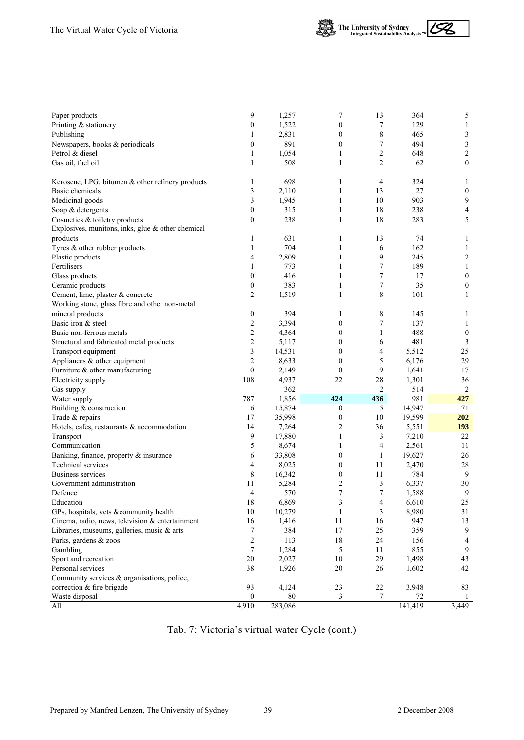



| Paper products                                    | 9                | 1,257   | 7                       | 13               | 364     | 5                       |
|---------------------------------------------------|------------------|---------|-------------------------|------------------|---------|-------------------------|
| Printing & stationery                             | $\boldsymbol{0}$ | 1,522   | $\overline{0}$          | 7                | 129     | 1                       |
| Publishing                                        | 1                | 2,831   | $\overline{0}$          | 8                | 465     | 3                       |
| Newspapers, books & periodicals                   | $\boldsymbol{0}$ | 891     | $\boldsymbol{0}$        | $\boldsymbol{7}$ | 494     | $\overline{\mathbf{3}}$ |
| Petrol & diesel                                   | $\mathbf{1}$     | 1,054   |                         | $\overline{c}$   | 648     | $\overline{2}$          |
| Gas oil, fuel oil                                 | 1                | 508     |                         | 2                | 62      | $\boldsymbol{0}$        |
|                                                   |                  |         |                         |                  |         |                         |
| Kerosene, LPG, bitumen & other refinery products  | 1                | 698     |                         | 4                | 324     | 1                       |
| Basic chemicals                                   | 3                | 2,110   |                         | 13               | 27      | $\boldsymbol{0}$        |
| Medicinal goods                                   | 3                | 1,945   |                         | 10               | 903     | 9                       |
| Soap & detergents                                 | $\mathbf{0}$     | 315     |                         | 18               | 238     | 4                       |
| Cosmetics & toiletry products                     | $\theta$         | 238     |                         | 18               | 283     | 5                       |
| Explosives, munitons, inks, glue & other chemical |                  |         |                         |                  |         |                         |
| products                                          | 1                | 631     |                         | 13               | 74      | 1                       |
| Tyres & other rubber products                     | $\mathbf{1}$     | 704     |                         | 6                | 162     | 1                       |
| Plastic products                                  | 4                | 2,809   |                         | 9                | 245     | $\overline{c}$          |
| Fertilisers                                       | 1                | 773     |                         | 7                | 189     | 1                       |
| Glass products                                    | $\boldsymbol{0}$ | 416     |                         | 7                | 17      | $\boldsymbol{0}$        |
| Ceramic products                                  | $\boldsymbol{0}$ | 383     |                         | 7                | 35      | 0                       |
| Cement, lime, plaster & concrete                  | $\overline{2}$   | 1,519   |                         | 8                | 101     | 1                       |
| Working stone, glass fibre and other non-metal    |                  |         |                         |                  |         |                         |
| mineral products                                  | $\boldsymbol{0}$ | 394     |                         | 8                | 145     | 1                       |
| Basic iron & steel                                | 2                | 3,394   | $\boldsymbol{0}$        | $\sqrt{ }$       | 137     | 1                       |
| Basic non-ferrous metals                          | $\overline{2}$   | 4,364   | 0                       | $\mathbf{1}$     | 488     | $\boldsymbol{0}$        |
| Structural and fabricated metal products          | $\sqrt{2}$       | 5,117   | $\boldsymbol{0}$        | 6                | 481     | 3                       |
| Transport equipment                               | 3                | 14,531  | $\mathbf{0}$            | 4                | 5,512   | 25                      |
| Appliances & other equipment                      | $\overline{c}$   | 8,633   | $\boldsymbol{0}$        | 5                | 6,176   | 29                      |
| Furniture & other manufacturing                   | $\boldsymbol{0}$ | 2,149   | 0                       | $\mathbf{9}$     | 1,641   | 17                      |
| Electricity supply                                | 108              | 4,937   | 22                      | 28               | 1,301   | 36                      |
| Gas supply                                        |                  | 362     |                         | 2                | 514     | 2                       |
| Water supply                                      | 787              | 1,856   | 424                     | 436              | 981     | 427                     |
| Building & construction                           | 6                | 15,874  | 0                       | 5                | 14,947  | 71                      |
| Trade & repairs                                   | 17               | 35,998  | $\boldsymbol{0}$        | 10               | 19,599  | 202                     |
| Hotels, cafes, restaurants & accommodation        | 14               | 7,264   | $\overline{\mathbf{c}}$ | 36               | 5,551   | 193                     |
| Transport                                         | 9                | 17,880  | $\mathbf{1}$            | 3                | 7,210   | 22                      |
| Communication                                     | 5                | 8,674   | 1                       | 4                | 2,561   | 11                      |
| Banking, finance, property & insurance            | 6                | 33,808  | $\boldsymbol{0}$        | $\mathbf{1}$     | 19,627  | 26                      |
| Technical services                                | 4                | 8,025   | $\boldsymbol{0}$        | 11               | 2,470   | 28                      |
| <b>Business services</b>                          | 8                | 16,342  | 0                       | 11               | 784     | 9                       |
| Government administration                         | 11               | 5,284   | $\overline{\mathbf{c}}$ | 3                | 6,337   | 30                      |
| Defence                                           | 4                | 570     | 7                       | 7                | 1,588   | 9                       |
| Education                                         | 18               | 6,869   | 3                       | 4                | 6,610   | 25                      |
| GPs, hospitals, vets &community health            | 10               | 10,279  | $\mathbf{1}$            | 3                | 8,980   | 31                      |
| Cinema, radio, news, television & entertainment   | 16               | 1,416   | 11                      | 16               | 947     | 13                      |
| Libraries, museums, galleries, music & arts       | 7                | 384     | 17                      | 25               | 359     | 9                       |
| Parks, gardens & zoos                             | 2                | 113     | 18                      | 24               | 156     | 4                       |
| Gambling                                          | $\tau$           | 1,284   | 5                       | 11               | 855     | 9                       |
| Sport and recreation                              | 20               | 2,027   | 10                      | 29               | 1,498   | 43                      |
| Personal services                                 | 38               | 1,926   | 20                      | 26               | 1,602   | 42                      |
| Community services & organisations, police,       |                  |         |                         |                  |         |                         |
| correction & fire brigade                         | 93               | 4,124   | 23                      | $22\,$           | 3,948   | 83                      |
| Waste disposal                                    | $\mathbf{0}$     | 80      | 3                       | 7                | 72      | 1                       |
| All                                               | 4,910            | 283,086 |                         |                  | 141,419 | 3,449                   |
|                                                   |                  |         |                         |                  |         |                         |

Tab. 7: Victoria's virtual water Cycle (cont.)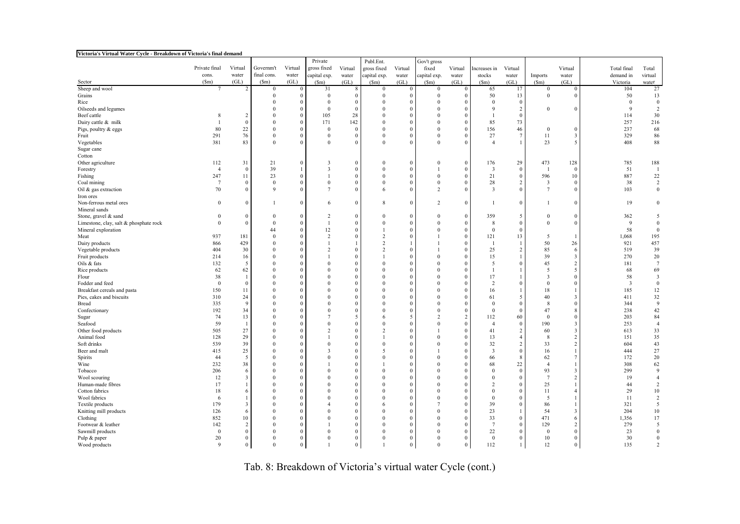| Victoria's Virtual Water Cycle - Breakdown of Victoria's final demand |                 |                |                 |                          |                  |                      |                            |              |                 |          |                      |                                |                         |                |                |                         |
|-----------------------------------------------------------------------|-----------------|----------------|-----------------|--------------------------|------------------|----------------------|----------------------------|--------------|-----------------|----------|----------------------|--------------------------------|-------------------------|----------------|----------------|-------------------------|
|                                                                       |                 |                |                 |                          | Private          |                      | Publ.Ent.                  |              | Gov't gross     |          |                      |                                |                         |                |                |                         |
|                                                                       | Private final   | Virtual        | Governm't       | Virtual                  | gross fixed      | Virtual              | gross fixed                | Virtual      | fixed           | Virtual  | Increases in         | Virtual                        |                         | Virtual        | Total final    | Total                   |
|                                                                       | cons.           | water          | final cons.     | water                    | capital exp.     | water                | capital exp.               | water        | capital exp.    | water    | stocks               | water                          | Imports                 | water          | demand in      | virtual                 |
| Sector                                                                | $(\mathsf{Sm})$ | (GL)           | $(\mathsf{Sm})$ | (GL)                     | (Sm)             | (GL)                 | (Sm)                       | (GL)         | $(\mathsf{Sm})$ | (GL)     | $(\text{Sm})$        | (GL)                           | (Sm)                    | (GL)           | Victoria       | water                   |
| Sheep and wool                                                        | 7               | $\overline{2}$ | $\mathbf{0}$    | $\theta$                 | 31               | 8                    | $\bf{0}$                   | $\mathbf{0}$ | $\mathbf{0}$    | $\Omega$ | 65                   | 17                             | $\mathbf{0}$            | $\Omega$       | 104            | 27                      |
| Grains                                                                |                 |                | $\theta$        | $\theta$                 | $\bf{0}$         | $\theta$             | $\mathbf{0}$               | $\Omega$     | $\mathbf{0}$    |          | 50                   | 13                             | $\mathbf{0}$            | $\epsilon$     | 50             | 13                      |
| Rice                                                                  |                 |                | $\Omega$        | $\mathbf{0}$             | $\mathbf{0}$     | $\mathbf{0}$         | $\theta$                   | $\Omega$     | $\mathbf{0}$    | $\theta$ | $\Omega$             | $\mathbf{0}$                   |                         |                | $\Omega$       | $\mathbf{0}$            |
| Oilseeds and legumes                                                  |                 |                |                 | $\Omega$                 | $\overline{0}$   | $\Omega$             |                            | $\Omega$     | $\theta$        |          | $\Omega$             | 2                              | $\Omega$                | $\epsilon$     | 9              | 2                       |
| Beef cattle                                                           | 8               | $\overline{2}$ |                 | $\mathbf{0}$             | 105              | 28                   | $\Omega$                   | $\Omega$     | $\mathbf{0}$    |          |                      | $\mathbf{0}$                   |                         |                | 114            | 30                      |
| Dairy cattle & milk                                                   |                 | $\theta$       | $\Omega$        | $\mathbf{0}$             | 171              | 142                  | $\Omega$                   | $\Omega$     | $\theta$        |          | 85                   | 73                             |                         |                | 257            | 216                     |
| Pigs, poultry & eggs                                                  | 80              | $22\,$         | $\theta$        | $\mathbf{0}$             | $\bf{0}$         | $\Omega$             | $\theta$                   | $\Omega$     | $\bf{0}$        | $\Omega$ | 156                  | 46                             | $\mathbf{0}$            | $\theta$       | 237            | 68                      |
| Fruit                                                                 | 291             | 76             | $\theta$        | $\theta$                 | $\bf{0}$         | $\Omega$             | $\Omega$                   |              | $\theta$        |          | 27                   | f.                             | 11                      | 3              | 329            | 86                      |
| Vegetables                                                            | 381             | 83             | $\Omega$        | $\theta$                 | $\mathbf{0}$     | $\Omega$             | $\Omega$                   |              | $\mathbf{0}$    |          | $\overline{4}$       | -1                             | 23                      | 5              | 408            | $88\,$                  |
| Sugar cane                                                            |                 |                |                 |                          |                  |                      |                            |              |                 |          |                      |                                |                         |                |                |                         |
| Cotton                                                                |                 |                |                 |                          |                  |                      |                            |              |                 |          |                      |                                |                         |                |                |                         |
| Other agriculture                                                     | 112             | 31             | 21              | $\mathbf{0}$             | 3                | $\mathbf{0}$         | $\mathbf{0}$               | $\Omega$     | $\mathbf{0}$    | $\Omega$ | 176                  | 29                             | 473                     | 128            | 785            | 188                     |
| Forestry                                                              | $\overline{4}$  | $\mathbf{0}$   | 39              |                          | 3                | $\mathbf{0}$         | $\Omega$                   | $\Omega$     |                 | $\Omega$ | 3                    | $\mathbf{0}$                   | $\overline{1}$          | $\sqrt{ }$     | 51             | <sup>1</sup>            |
| Fishing                                                               | 247             | 11             | 23              | $\theta$                 | $\mathbf{1}$     | $\theta$             | $\Omega$                   | $\Omega$     | $\mathbf{0}$    | $\Omega$ | 21                   | $\Omega$                       | 596                     | 10             | 887            | 22                      |
| Coal mining                                                           | $\overline{7}$  | $\mathbf{0}$   | $\mathbf{0}$    | $\mathbf{0}$             | $\boldsymbol{0}$ | $\theta$             | $\mathbf{0}$               | $\Omega$     | $\bf{0}$        | $\Omega$ | $28\,$               | $\overline{c}$                 | $\overline{\mathbf{3}}$ | $\sqrt{ }$     | 38             | $\overline{2}$          |
| Oil & gas extraction                                                  | 70              | $\mathbf{0}$   | $\mathbf Q$     | $\Omega$                 | $\overline{7}$   | $\Omega$             | 6                          |              | 2               |          | 3                    | $\Omega$                       | $\overline{7}$          | $\sqrt{ }$     | 103            | $\mathbf{0}$            |
| Iron ores                                                             |                 |                |                 |                          |                  |                      |                            |              |                 |          |                      |                                |                         |                |                |                         |
| Non-ferrous metal ores<br>Mineral sands                               | $\mathbf{0}$    | $\mathbf{0}$   |                 | $\theta$                 | 6                | $\mathbf{0}$         | 8                          | $\Omega$     | 2               | $\Omega$ | -1                   | $\Omega$                       | 1                       | $\Omega$       | 19             | $\theta$                |
| Stone, gravel & sand                                                  | $\bf{0}$        | $\mathbf{0}$   | $\theta$        | $\mathbf{0}$             | 2                | $\mathbf{0}$         | $\Omega$                   | $\Omega$     | $\mathbf{0}$    | $\Omega$ | 359                  | 5                              | $\mathbf{0}$            | $\theta$       | 362            | 5                       |
| Limestone, clay, salt & phosphate rock                                | $\mathbf{0}$    | $\mathbf{0}$   | $\Omega$        | $\mathbf{0}$             | $\overline{1}$   | $\Omega$             | $\Omega$                   | $\Omega$     | $\mathbf{0}$    | $\Omega$ | 8                    | $\Omega$                       | $\mathbf{0}$            | $\Omega$       | $\mathbf{Q}$   | $\Omega$                |
| Mineral exploration                                                   |                 |                | 44              | $\mathbf{0}$             | 12               | $\Omega$             |                            | $\Omega$     | $\Omega$        | $\Omega$ | $\Omega$             | $\Omega$                       |                         |                | 58             | $\theta$                |
| Meat                                                                  | 937             | 181            | $\mathbf{0}$    | $\mathbf{0}$             | $\overline{2}$   | $\Omega$             | $\overline{c}$             | $\Omega$     |                 | $\Omega$ | 121                  | 13                             | 5                       |                | 1,068          | 195                     |
| Dairy products                                                        | 866             | 429            | $\Omega$        | $\mathbf{0}$             | $\mathbf{1}$     |                      | $\overline{c}$             |              |                 |          | - 1                  | -1                             | 50                      | 26             | 921            | 457                     |
| Vegetable products                                                    | 404             | 30             | $\theta$        | $\mathbf{0}$             | 2                | $\Omega$             | $\overline{c}$             | $\Omega$     |                 |          | 25                   | $\overline{2}$                 | 85                      | 6              | 519            | 39                      |
| Fruit products                                                        | 214             | 16             | $\Omega$        | $\mathbf{0}$             | 1                | $\Omega$             |                            | $\Omega$     | $\Omega$        |          | 15                   |                                | 39                      | 3              | 270            | 20                      |
| Oils & fats                                                           | 132             | 5              | 0               | $\Omega$                 | $\overline{0}$   | $\theta$             | $\Omega$                   | $\Omega$     | $\mathbf{0}$    | $\Omega$ | 5                    | $\Omega$                       | 45                      | $\mathcal{I}$  | 181            | $7\phantom{.0}$         |
| Rice products                                                         | 62              | 62             |                 | $\mathbf{0}$             | $\theta$         | $\Omega$             |                            | $\Omega$     | $\theta$        |          | $\mathbf{1}$         |                                | 5                       | 5              | 68             | 69                      |
| Flour                                                                 | 38              |                | $\Omega$        | $\mathbf{0}$             | $\mathbf{0}$     | $\Omega$             | $\Omega$                   | $\Omega$     | $\mathbf{0}$    | $\Omega$ | 17                   |                                | 3                       | $\Omega$       | 58             | $\overline{\mathbf{3}}$ |
| Fodder and feed                                                       | $\mathbf{0}$    | $\mathbf{0}$   | $\Omega$        | $\theta$                 | $\theta$         | $\Omega$             |                            | $\Omega$     | $\Omega$        |          | 2                    | $\Omega$                       | $\Omega$                | $\Omega$       | $\overline{3}$ | $\Omega$                |
| Breakfast cereals and pasta                                           | 150             | 11             | 0               | $\Omega$                 | $\mathbf{0}$     | $\theta$             |                            | $\Omega$     | $\mathbf{0}$    | $\Omega$ | 16                   |                                | 18                      |                | 185            | $12 \,$                 |
| Pies, cakes and biscuits                                              | 310             | 24             |                 | $\mathbf{0}$             | $\Omega$         | $\Omega$             |                            | $\Omega$     | $\theta$        | $\Omega$ | 61                   | 5                              | 40                      | 3              | 411            | 32                      |
| <b>Bread</b>                                                          | 335             | 9              | $\Omega$        | $\theta$                 | $\theta$         | $\Omega$             |                            |              | $\mathbf{0}$    |          | $\Omega$             | $\Omega$                       | 8                       | $\sqrt{ }$     | 344            | $\mathbf{Q}$            |
| Confectionary                                                         | 192             | 34             | $\Omega$        | $\mathbf{0}$             | $\theta$         | $\Omega$             | 0                          | $\Omega$     | $\Omega$        |          | $\Omega$             | $\Omega$                       | 47                      | s              | 238            | 42                      |
| Sugar                                                                 | 74              | 13             | $\Omega$        | $\Omega$                 | $\overline{7}$   | 5                    | 6                          | -5           | $\overline{2}$  | 2        | 112                  | 60                             | $\bf{0}$                | $\Omega$       | 203            | 84                      |
| Seafood                                                               | 59<br>505       | -1<br>27       | $\Omega$        | $\mathbf{0}$<br>$\Omega$ | $\theta$<br>2    | $\Omega$<br>$\Omega$ | $\Omega$<br>$\overline{c}$ | $\Omega$     | $\Omega$        | $\Omega$ | $\overline{4}$<br>41 | $\mathbf{0}$<br>$\overline{2}$ | 190<br>60               | -3<br>3        | 253<br>613     | $\overline{4}$<br>33    |
| Other food products<br>Animal food                                    | 128             | 29             | 0               | $\Omega$                 | $\mathbf{1}$     | $\Omega$             |                            | $\Omega$     | $\mathbf{0}$    |          | 13                   | $\overline{4}$                 | 8                       | $\mathcal{I}$  | 151            | 35                      |
| Soft drinks                                                           | 539             | 39             |                 | $\Omega$                 | $\mathbf{0}$     | $\theta$             | $\Omega$                   |              | $\mathbf{0}$    | $\Omega$ | 32                   | $\overline{2}$                 | 33                      | 2              | 604            | 43                      |
| Beer and malt                                                         | 415             | 25             | $\Omega$        | $\Omega$                 | 3                | $\theta$             | $\sim$                     | $\Omega$     |                 |          | 3                    | $\mathbf{0}$                   | 16                      |                | 444            | $27\,$                  |
| Spirits                                                               | 44              | -5             | $\Omega$        | $\theta$                 | $\theta$         | $\theta$             | $\Omega$                   | $\Omega$     | $\Omega$        |          | 66                   | $\mathbf{8}$                   | 62                      | $\overline{1}$ | 172            | 20                      |
| Wine                                                                  | 232             | 38             | $\Omega$        | $\theta$                 | 1                | $\Omega$             |                            | $\Omega$     | $\Omega$        | $\Omega$ | 68                   | 22                             | $\overline{4}$          |                | 308            | 62                      |
| Tobacco                                                               | 206             | 6              |                 | $\Omega$                 | $\Omega$         | $\Omega$             | $\Omega$                   |              | $\Omega$        | $\Omega$ |                      | $\Omega$                       | 93                      | 3              | 299            | 9                       |
| Wool scouring                                                         | 12              | 3              | $\Omega$        | $\theta$                 | $\Omega$         | $\Omega$             | $\Omega$                   | $\Omega$     | $\mathbf{0}$    | $\Omega$ | $\Omega$             | $\mathbf{0}$                   | $\tau$                  | $\mathcal{I}$  | 19             | $\overline{4}$          |
| Human-made fibres                                                     | 17              |                | $\Omega$        | $\theta$                 | $\Omega$         | $\theta$             | $\Omega$                   | $\Omega$     | $\Omega$        | $\Omega$ | $\overline{2}$       | $\Omega$                       | 25                      |                | 44             | $\overline{2}$          |
| Cotton fabrics                                                        | 18              | 6              | $\Omega$        | $\Omega$                 | $\theta$         | $\theta$             | $\Omega$                   | $\Omega$     | $\Omega$        | $\Omega$ |                      | $\Omega$                       | 11                      |                | 29             | 10                      |
| Wool fabrics                                                          | 6               |                | 0               | $\theta$                 | $\Omega$         | $\theta$             | $\Omega$                   | $\Omega$     | $\mathbf{0}$    | $\Omega$ | $\Omega$             | $\Omega$                       | 5                       |                | 11             | 2                       |
| Textile products                                                      | 179             | $\overline{3}$ | $\Omega$        | $\mathbf{0}$             | $\overline{4}$   | $\Omega$             | 6                          | $\Omega$     | $\tau$          | $\Omega$ | 39                   | $\mathbf{0}$                   | 86                      |                | 321            | 5                       |
| Knitting mill products                                                | 126             | 6              | $\Omega$        | $\theta$                 | $\Omega$         | $\theta$             | $\Omega$                   | $\Omega$     | $\Omega$        | $\Omega$ | 23                   | -1                             | 54                      | 3              | 204            | 10                      |
| Clothing                                                              | 852             | 10             | $\Omega$        | $\theta$                 | $\Omega$         | $\Omega$             | $\Omega$                   | $\Omega$     | $\mathbf{0}$    | $\Omega$ | 33                   | $\mathbf{0}$                   | 471                     | 6              | 1,356          | 17                      |
| Footwear & leather                                                    | 142             | 2              | $\Omega$        | $\Omega$                 |                  | $\Omega$             | 0                          | $\Omega$     | $\mathbf{0}$    |          | $\overline{7}$       | $\Omega$                       | 129                     | $\mathcal{I}$  | 279            | 5                       |
| Sawmill products                                                      | $\bf{0}$        | $\Omega$       | $\theta$        | $\mathbf{0}$             | $\Omega$         | $\Omega$             | $\Omega$                   | $\Omega$     | $\mathbf{0}$    | $\Omega$ | 22                   | $\mathbf{0}$                   | $\mathbf{0}$            | $\Omega$       | 23             | $\Omega$                |
| Pulp & paper                                                          | 20              | $\mathbf{0}$   | $\Omega$        | $\mathbf{0}$             | $\theta$         | $\mathbf{0}$         | $\Omega$                   | $\Omega$     | $\theta$        | $\Omega$ | $\Omega$             | $\theta$                       | 10                      | $\Omega$       | 30             | $\Omega$                |
| Wood products                                                         | $\mathbf{Q}$    | $\theta$       | $\Omega$        | $\theta$                 |                  | $\Omega$             |                            | $\Omega$     | $\Omega$        | $\Omega$ | 112                  |                                | 12                      | $\Omega$       | 135            | $\mathcal{L}$           |

Tab. 8: Breakdown of Victoria's virtual water Cycle (cont.)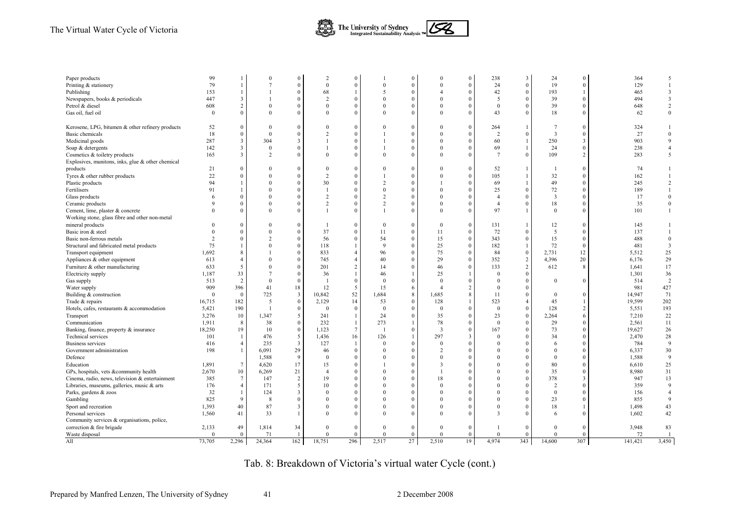#### The Virtual Water Cycle of Victoria



| Paper products                                    | 99            |                 |                | $\Omega$       | $\overline{2}$ | $\Omega$       |                | $\theta$     | $\Omega$       | $\Omega$                | 238             | $\overline{3}$   | 24             | $\Omega$       | 364     | 5                       |
|---------------------------------------------------|---------------|-----------------|----------------|----------------|----------------|----------------|----------------|--------------|----------------|-------------------------|-----------------|------------------|----------------|----------------|---------|-------------------------|
| Printing & stationery                             | 79            |                 |                | $\Omega$       | $\theta$       | $\Omega$       | $\Omega$       | $\theta$     | $\Omega$       | $\theta$                | 24              | $\mathbf{0}$     | 19             | $\mathbf{0}$   | 129     | $\overline{1}$          |
| Publishing                                        | 153           |                 |                | $\Omega$       | 68             | $\overline{1}$ | .5             | $\theta$     | $\overline{A}$ | $\theta$                | 42              | $\bf{0}$         | 193            | $\mathbf{1}$   | 465     | 3                       |
| Newspapers, books & periodicals                   | 447           |                 |                | $\theta$       | $\overline{2}$ | $\Omega$       | $\theta$       | $\theta$     | $\theta$       | $\theta$                | 5               | $\theta$         | 39             | $\theta$       | 494     | $\overline{\mathbf{3}}$ |
| Petrol & diesel                                   | 608           | $\overline{2}$  |                | $\Omega$       | $\Omega$       | $\Omega$       | $\Omega$       | $\theta$     | $\Omega$       | $\theta$                | $\Omega$        | $\mathbf{0}$     | 39             | $\Omega$       | 648     | $\overline{c}$          |
| Gas oil, fuel oil                                 | $\Omega$      |                 | $\Omega$       | $\Omega$       | $\Omega$       | $\Omega$       | $\Omega$       | $\theta$     | $\Omega$       | $\theta$                | 43              | $\mathbf{0}$     | 18             | $\Omega$       | 62      | $\mathbf{0}$            |
| Kerosene, LPG, bitumen & other refinery products  | 52            |                 | $\Omega$       | $\Omega$       | $\Omega$       | $\Omega$       | $\Omega$       | $\theta$     | $\Omega$       | $\theta$                | 264             | $\mathbf{1}$     | 7              | $\Omega$       | 324     |                         |
| Basic chemicals                                   | 18            | $\theta$        | $\theta$       | $\Omega$       | $\overline{2}$ | $\Omega$       |                | $\theta$     | $\Omega$       | $\theta$                | $\overline{2}$  | $\Omega$         | 3              | $\Omega$       | 27      | $\mathbf{0}$            |
| Medicinal goods                                   | 287           | $\overline{3}$  | 304            | $\overline{3}$ | $\overline{1}$ | $\Omega$       |                | $\theta$     | $\theta$       | $\theta$                | 60              | $\mathbf{1}$     | 250            | 3              | 903     | 9                       |
| Soap & detergents                                 | 142           | 3               | $\Omega$       | $\Omega$       |                | $\Omega$       |                | $\theta$     | $\Omega$       | $\theta$                | 69              | 1                | 24             | $\Omega$       | 238     | $\overline{4}$          |
| Cosmetics & toiletry products                     | 165           | 3               | $\overline{2}$ | $\Omega$       | $\Omega$       | $\Omega$       | $\Omega$       | $\theta$     | $\Omega$       | $\theta$                | $7\phantom{.0}$ | $\mathbf{0}$     | 109            | 2              | 283     | 5                       |
| Explosives, munitons, inks, glue & other chemical |               |                 |                |                |                |                |                |              |                |                         |                 |                  |                |                |         |                         |
| products                                          | 21            | $\Omega$        |                | $\Omega$       | $\Omega$       | $\Omega$       |                | $\theta$     | $\Omega$       | $\Omega$                | 52              | $\mathbf{1}$     |                | $\Omega$       | 74      |                         |
| Tyres & other rubber products                     | 22            |                 | $\Omega$       | $\Omega$       | $\overline{2}$ | $\Omega$       |                | $\mathbf{0}$ | $\theta$       | $\theta$                | 105             | $\mathbf{1}$     | 32             | $\Omega$       | 162     |                         |
| Plastic products                                  | 94            |                 | $\Omega$       | $\theta$       | 30             | $\Omega$       | $\overline{2}$ | $\theta$     |                | $\theta$                | 69              | $\mathbf{1}$     | 49             | $\Omega$       | 245     | $\overline{2}$          |
| Fertilisers                                       | 91            |                 | $\Omega$       | $\mathbf{0}$   |                | $\Omega$       | $\Omega$       | $\mathbf{0}$ | $\Omega$       | $\theta$                | 25              | $\mathbf{0}$     | 72             | $\mathbf{0}$   | 189     |                         |
| Glass products                                    |               |                 |                | $\theta$       | $\overline{2}$ | $\Omega$       | $\overline{2}$ | $\mathbf{0}$ | $\Omega$       | $\theta$                | $\overline{4}$  | $\mathbf{0}$     | 3              | $\Omega$       | 17      | $\overline{0}$          |
| Ceramic products                                  | $\mathbf Q$   |                 | $\Omega$       | $\theta$       | $\overline{2}$ | $\Omega$       | $\overline{2}$ | $\theta$     | $\theta$       | $\theta$                | $\overline{4}$  | $\mathbf{0}$     | 18             | $\Omega$       | 35      | $\mathbf{0}$            |
| Cement, lime, plaster & concrete                  |               | $\Omega$        | $\Omega$       | $\theta$       |                | $\Omega$       |                | $\theta$     | $\Omega$       | $\theta$                | 97              | $\mathbf{1}$     | $\mathbf{0}$   | $\Omega$       | 101     |                         |
| Working stone, glass fibre and other non-metal    |               |                 |                |                |                |                |                |              |                |                         |                 |                  |                |                |         |                         |
| mineral products                                  |               | $\theta$        | $\Omega$       | $\theta$       |                | $\theta$       | $\theta$       | $\mathbf{0}$ | $\theta$       | $\theta$                | 131             | $\overline{1}$   | 12             | $\Omega$       | 145     |                         |
| Basic iron & steel                                |               | $\Omega$        | $\Omega$       | $\mathbf{0}$   | 37             | $\Omega$       | 11             | $\theta$     | 11             | $\theta$                | 72              | $\mathbf{0}$     | 5              | $\mathbf{0}$   | 137     | $\mathbf{1}$            |
| Basic non-ferrous metals                          | $\mathcal{D}$ | $\Omega$        | $\overline{2}$ | $\mathbf{0}$   | 56             | $\theta$       | 54             | $\mathbf{0}$ | 15             | $\mathbf{0}$            | 343             | $\boldsymbol{0}$ | 15             | $\bf{0}$       | 488     | $\overline{0}$          |
| Structural and fabricated metal products          | 75            |                 | $\Omega$       | $\theta$       | 118            |                | 9              | $\theta$     | 25             | $\theta$                | 182             | $\overline{1}$   | 72             | $\theta$       | 481     | $\overline{\mathbf{3}}$ |
| Transport equipment                               | 1,692         |                 |                | $\theta$       | 833            | $\overline{4}$ | 96             | $\mathbf{0}$ | 75             | $\theta$                | 84              | $\mathbf{0}$     | 2,731          | 12             | 5,512   | 25                      |
| Appliances & other equipment                      | 613           |                 |                | $\mathbf{0}$   | 745            | $\overline{4}$ | 40             | $\mathbf{0}$ | 29             | $\mathbf{0}$            | 352             | 2                | 4,396          | 20             | 6,176   | 29                      |
| Furniture & other manufacturing                   | 633           | 5               | $\Omega$       | $\theta$       | 201            | $\overline{2}$ | 14             | $\mathbf{0}$ | 46             | $\theta$                | 133             | $\sqrt{2}$       | 612            | 8              | 1,641   | 17                      |
| Electricity supply                                | 1,187         | 33              | $\overline{7}$ | $\Omega$       | 36             | $\overline{1}$ | 46             | $\mathbf{1}$ | 25             |                         | $\Omega$        | $\mathbf{0}$     |                |                | 1,301   | 36                      |
| Gas supply                                        | 513           | 2               | $\Omega$       | $\mathbf{0}$   |                | $\Omega$       | $\Omega$       | $\mathbf{0}$ | $\Omega$       | $\Omega$                | $\Omega$        | $\bf{0}$         | $\Omega$       | $\Omega$       | 514     | $\overline{2}$          |
| Water supply                                      | 909           | 396             | 41             | 18             | 12             | 5              | 15             | 6            | $\overline{4}$ | $\overline{2}$          | $\theta$        | $\theta$         |                |                | 981     | 427                     |
| Building & construction                           | $\Omega$      | $\mathbf{0}$    | 725            | $\overline{3}$ | 10,842         | 52             | 1,684          | $8\,$        | 1,685          | 8                       | 11              | $\mathbf{0}$     | $\theta$       | $\Omega$       | 14,947  | 71                      |
| Trade & repairs                                   | 16,715        | 182             | 5              | $\bf{0}$       | 2,129          | 14             | 53             | $\mathbf{0}$ | 128            |                         | 523             | 4                | 45             | $\mathbf{1}$   | 19,599  | 202                     |
| Hotels, cafes, restaurants & accommodation        | 5,421         | 190             | $\overline{1}$ | $\theta$       | $\theta$       | $\Omega$       | $\theta$       | $\mathbf{0}$ | $\theta$       | $\theta$                | $\theta$        | $\theta$         | 128            | $\overline{2}$ | 5,551   | 193                     |
| Transport                                         | 3,276         | 10              | 1,347          | 5              | 241            | -1             | 24             | $\mathbf{0}$ | 35             | $\Omega$                | 23              | $\bf{0}$         | 2,264          | 6              | 7,210   | 22                      |
| Communication                                     | 1,911         | 8               | 38             | $\mathbf{0}$   | 232            | $\overline{1}$ | 273            | $\mathbf{1}$ | 78             | $\theta$                | $\mathbf{0}$    | $\mathbf{0}$     | 29             | $\Omega$       | 2,561   | 11                      |
| Banking, finance, property & insurance            | 18,250        | 19              | 10             | $\mathbf{0}$   | 1,123          | $\overline{7}$ | $\overline{1}$ | $\mathbf{0}$ | $\overline{3}$ | $\mathbf{0}$            | 167             | $\mathbf{0}$     | 73             | $\mathbf{0}$   | 19,627  | 26                      |
| <b>Technical services</b>                         | 101           |                 | 476            | 5              | 1,436          | 16             | 126            | $\mathbf{1}$ | 297            | $\overline{\mathbf{3}}$ | $\theta$        | $\mathbf{0}$     | 34             | $\Omega$       | 2,470   | 28                      |
| <b>Business services</b>                          | 416           | $\overline{4}$  | 235            | $\overline{3}$ | 127            |                | $\Omega$       | $\mathbf{0}$ | $\theta$       | $\theta$                | $\Omega$        | $\mathbf{0}$     | 6              | $\Omega$       | 784     | 9                       |
| Government administration                         | 198           |                 | 6,091          | 29             | 46             | $\Omega$       | $\Omega$       | $\theta$     | $\overline{c}$ | $\Omega$                | $\Omega$        | $\Omega$         | $\theta$       | $\Omega$       | 6,337   | 30                      |
| Defence                                           |               |                 | 1,588          | 9              | $\Omega$       | $\Omega$       | $\Omega$       | $\theta$     | $\Omega$       | $\Omega$                | $\Omega$        | $\Omega$         | $\theta$       | $\Omega$       | 1,588   | 9                       |
| Education                                         | 1,891         | $7\phantom{.0}$ | 4,620          | 17             | 15             | $\Omega$       |                | $\mathbf{0}$ | 3              | $\theta$                | $\Omega$        | $\mathbf{0}$     | 80             | $\Omega$       | 6,610   | 25                      |
| GPs, hospitals, vets &community health            | 2,670         | 10              | 6,269          | 21             | $\overline{4}$ | $\Omega$       | $\Omega$       | $\theta$     |                | $\theta$                | $\theta$        | $\theta$         | 35             | $\Omega$       | 8,980   | 31                      |
| Cinema, radio, news, television & entertainment   | 385           | 7               | 147            | $\overline{c}$ | 19             | $\theta$       | $\Omega$       | $\mathbf{0}$ | 18             | $\Omega$                | $\Omega$        | $\mathbf{0}$     | 378            | 3              | 947     | 13                      |
| Libraries, museums, galleries, music & arts       | 176           | $\overline{4}$  | 171            | 5              | 10             | $\theta$       | $\Omega$       | $\mathbf{0}$ | $\Omega$       | $\Omega$                | $\Omega$        | $\mathbf{0}$     | $\overline{2}$ | $\Omega$       | 359     | 9                       |
| Parks, gardens & zoos                             | 32            |                 | 124            | 3              | $\Omega$       | $\Omega$       | $\Omega$       | $\theta$     | $\Omega$       | $\theta$                | $\Omega$        | $\Omega$         | $\theta$       | $\theta$       | 156     | $\overline{A}$          |
| Gambling                                          | 825           | $\mathbf Q$     | $\mathbf{8}$   | $\theta$       | $\Omega$       | $\Omega$       | $\Omega$       | $\theta$     | $\Omega$       | $\Omega$                | $\Omega$        | $\theta$         | 23             | $\Omega$       | 855     | 9                       |
|                                                   | 1,393         | 40              | 87             | $\overline{3}$ | $\theta$       | $\Omega$       | $\Omega$       | $\mathbf{0}$ | $\theta$       | $\theta$                | $\theta$        | $\mathbf{0}$     | 18             | 1              | 1,498   | 43                      |
| Sport and recreation<br>Personal services         | 1,560         | 41              | 33             | $\mathbf{1}$   | $\Omega$       | $\Omega$       | $\Omega$       | $\theta$     | $\Omega$       | $\theta$                | 3               | $\Omega$         | 6              | $\Omega$       | 1,602   | 42                      |
| Community services & organisations, police,       |               |                 |                |                |                |                |                |              |                |                         |                 |                  |                |                |         |                         |
| correction & fire brigade                         | 2,133         | 49              | 1,814          | 34             | $\Omega$       | $\theta$       | $\Omega$       | $\theta$     | $\Omega$       | $\theta$                |                 | $\Omega$         | $\theta$       | $\theta$       | 3,948   | 83                      |
| Waste disposal                                    | $\Omega$      | $\theta$        | 71             | $\overline{1}$ | $\Omega$       | $\theta$       | $\Omega$       | $\theta$     | $\Omega$       | $\theta$                | $\Omega$        | $\theta$         | $\theta$       | $\theta$       | 72      |                         |
| All                                               | 73,705        | 2,296           | 24,364         | 162            | 18,751         | 296            | 2,517          | 27           | 2,510          | 19                      | 4,974           | 343              | 14,600         | 307            | 141,421 | 3,450                   |
|                                                   |               |                 |                |                |                |                |                |              |                |                         |                 |                  |                |                |         |                         |

Tab. 8: Breakdown of Victoria's virtual water Cycle (cont.)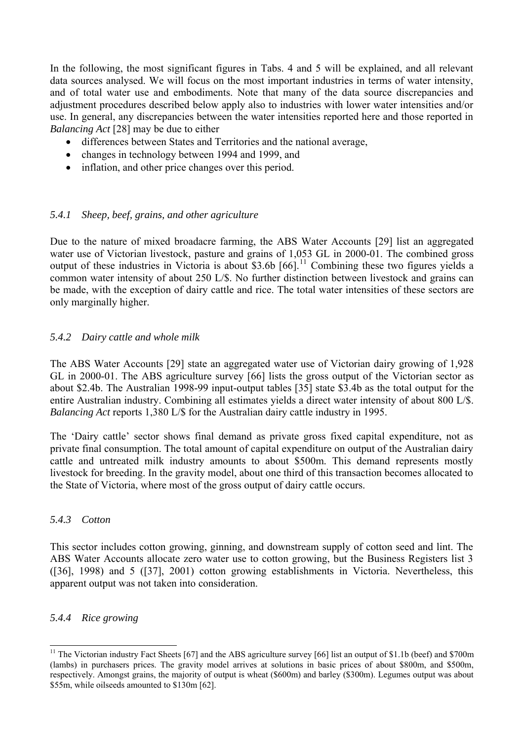<span id="page-44-0"></span>In the following, the most significant figures in Tabs. 4 and 5 will be explained, and all relevant data sources analysed. We will focus on the most important industries in terms of water intensity, and of total water use and embodiments. Note that many of the data source discrepancies and adjustment procedures described below apply also to industries with lower water intensities and/or use. In general, any discrepancies between the water intensities reported here and those reported in *Balancing Act* [28] may be due to either

- differences between States and Territories and the national average,
- changes in technology between 1994 and 1999, and
- inflation, and other price changes over this period.

#### *5.4.1 Sheep, beef, grains, and other agriculture*

Due to the nature of mixed broadacre farming, the ABS Water Accounts [29] list an aggregated water use of Victorian livestock, pasture and grains of 1,053 GL in 2000-01. The combined gross output of these industries in Victoria is about \$3.6b  $[66]$ .<sup>[11](#page-44-0)</sup> Combining these two figures yields a common water intensity of about 250 L/\$. No further distinction between livestock and grains can be made, with the exception of dairy cattle and rice. The total water intensities of these sectors are only marginally higher.

#### *5.4.2 Dairy cattle and whole milk*

The ABS Water Accounts [29] state an aggregated water use of Victorian dairy growing of 1,928 GL in 2000-01. The ABS agriculture survey [66] lists the gross output of the Victorian sector as about \$2.4b. The Australian 1998-99 input-output tables [35] state \$3.4b as the total output for the entire Australian industry. Combining all estimates yields a direct water intensity of about 800 L/\$. *Balancing Act* reports 1,380 L/\$ for the Australian dairy cattle industry in 1995.

The 'Dairy cattle' sector shows final demand as private gross fixed capital expenditure, not as private final consumption. The total amount of capital expenditure on output of the Australian dairy cattle and untreated milk industry amounts to about \$500m. This demand represents mostly livestock for breeding. In the gravity model, about one third of this transaction becomes allocated to the State of Victoria, where most of the gross output of dairy cattle occurs.

#### *5.4.3 Cotton*

This sector includes cotton growing, ginning, and downstream supply of cotton seed and lint. The ABS Water Accounts allocate zero water use to cotton growing, but the Business Registers list 3 ([36], 1998) and 5 ([37], 2001) cotton growing establishments in Victoria. Nevertheless, this apparent output was not taken into consideration.

#### *5.4.4 Rice growing*

l

<sup>&</sup>lt;sup>11</sup> The Victorian industry Fact Sheets [67] and the ABS agriculture survey [66] list an output of \$1.1b (beef) and \$700m (lambs) in purchasers prices. The gravity model arrives at solutions in basic prices of about \$800m, and \$500m, respectively. Amongst grains, the majority of output is wheat (\$600m) and barley (\$300m). Legumes output was about \$55m, while oilseeds amounted to \$130m [62].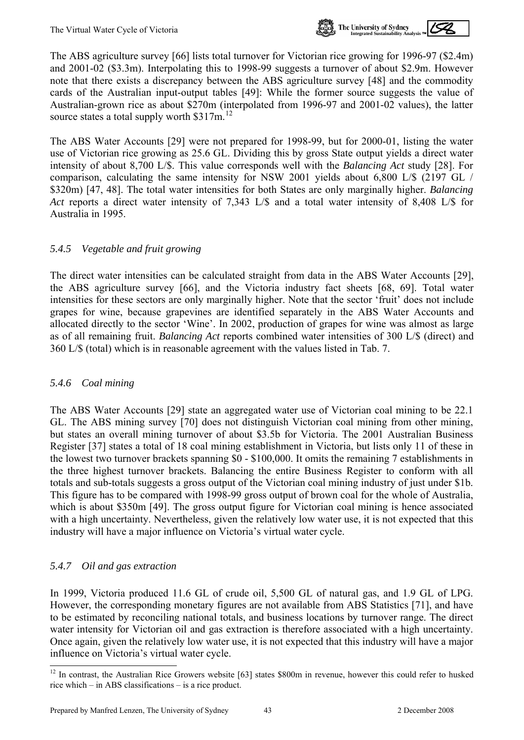

<span id="page-45-0"></span>The ABS agriculture survey [66] lists total turnover for Victorian rice growing for 1996-97 (\$2.4m) and 2001-02 (\$3.3m). Interpolating this to 1998-99 suggests a turnover of about \$2.9m. However note that there exists a discrepancy between the ABS agriculture survey [48] and the commodity cards of the Australian input-output tables [49]: While the former source suggests the value of Australian-grown rice as about \$270m (interpolated from 1996-97 and 2001-02 values), the latter source states a total supply worth \$317m.<sup>[12](#page-45-0)</sup>

The ABS Water Accounts [29] were not prepared for 1998-99, but for 2000-01, listing the water use of Victorian rice growing as 25.6 GL. Dividing this by gross State output yields a direct water intensity of about 8,700 L/\$. This value corresponds well with the *Balancing Act* study [28]. For comparison, calculating the same intensity for NSW 2001 yields about 6,800 L/\$ (2197 GL / \$320m) [47, 48]. The total water intensities for both States are only marginally higher. *Balancing Act* reports a direct water intensity of 7,343 L/\$ and a total water intensity of 8,408 L/\$ for Australia in 1995.

#### *5.4.5 Vegetable and fruit growing*

The direct water intensities can be calculated straight from data in the ABS Water Accounts [29], the ABS agriculture survey [66], and the Victoria industry fact sheets [68, 69]. Total water intensities for these sectors are only marginally higher. Note that the sector 'fruit' does not include grapes for wine, because grapevines are identified separately in the ABS Water Accounts and allocated directly to the sector 'Wine'. In 2002, production of grapes for wine was almost as large as of all remaining fruit. *Balancing Act* reports combined water intensities of 300 L/\$ (direct) and 360 L/\$ (total) which is in reasonable agreement with the values listed in Tab. 7.

#### *5.4.6 Coal mining*

The ABS Water Accounts [29] state an aggregated water use of Victorian coal mining to be 22.1 GL. The ABS mining survey [70] does not distinguish Victorian coal mining from other mining, but states an overall mining turnover of about \$3.5b for Victoria. The 2001 Australian Business Register [37] states a total of 18 coal mining establishment in Victoria, but lists only 11 of these in the lowest two turnover brackets spanning \$0 - \$100,000. It omits the remaining 7 establishments in the three highest turnover brackets. Balancing the entire Business Register to conform with all totals and sub-totals suggests a gross output of the Victorian coal mining industry of just under \$1b. This figure has to be compared with 1998-99 gross output of brown coal for the whole of Australia, which is about \$350m [49]. The gross output figure for Victorian coal mining is hence associated with a high uncertainty. Nevertheless, given the relatively low water use, it is not expected that this industry will have a major influence on Victoria's virtual water cycle.

## *5.4.7 Oil and gas extraction*

l

In 1999, Victoria produced 11.6 GL of crude oil, 5,500 GL of natural gas, and 1.9 GL of LPG. However, the corresponding monetary figures are not available from ABS Statistics [71], and have to be estimated by reconciling national totals, and business locations by turnover range. The direct water intensity for Victorian oil and gas extraction is therefore associated with a high uncertainty. Once again, given the relatively low water use, it is not expected that this industry will have a major influence on Victoria's virtual water cycle.

<sup>&</sup>lt;sup>12</sup> In contrast, the Australian Rice Growers website [63] states \$800m in revenue, however this could refer to husked rice which – in ABS classifications – is a rice product.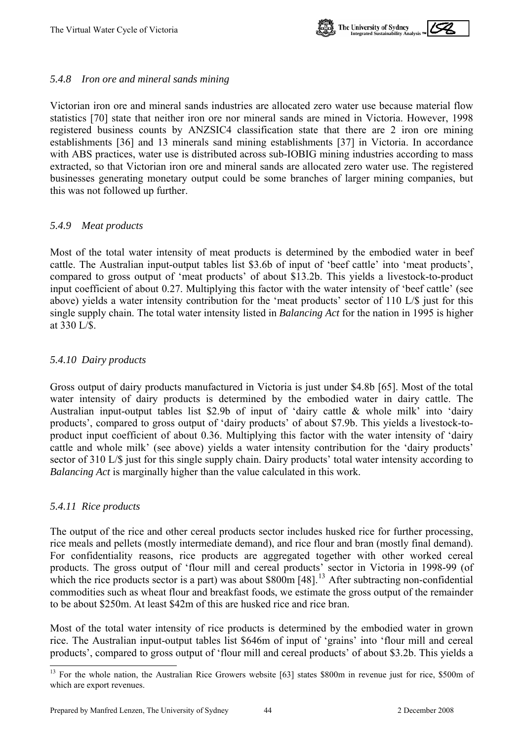

#### <span id="page-46-0"></span>*5.4.8 Iron ore and mineral sands mining*

Victorian iron ore and mineral sands industries are allocated zero water use because material flow statistics [70] state that neither iron ore nor mineral sands are mined in Victoria. However, 1998 registered business counts by ANZSIC4 classification state that there are 2 iron ore mining establishments [36] and 13 minerals sand mining establishments [37] in Victoria. In accordance with ABS practices, water use is distributed across sub-IOBIG mining industries according to mass extracted, so that Victorian iron ore and mineral sands are allocated zero water use. The registered businesses generating monetary output could be some branches of larger mining companies, but this was not followed up further.

#### *5.4.9 Meat products*

Most of the total water intensity of meat products is determined by the embodied water in beef cattle. The Australian input-output tables list \$3.6b of input of 'beef cattle' into 'meat products', compared to gross output of 'meat products' of about \$13.2b. This yields a livestock-to-product input coefficient of about 0.27. Multiplying this factor with the water intensity of 'beef cattle' (see above) yields a water intensity contribution for the 'meat products' sector of 110 L/\$ just for this single supply chain. The total water intensity listed in *Balancing Act* for the nation in 1995 is higher at 330 L/\$.

#### *5.4.10 Dairy products*

Gross output of dairy products manufactured in Victoria is just under \$4.8b [65]. Most of the total water intensity of dairy products is determined by the embodied water in dairy cattle. The Australian input-output tables list \$2.9b of input of 'dairy cattle & whole milk' into 'dairy products', compared to gross output of 'dairy products' of about \$7.9b. This yields a livestock-toproduct input coefficient of about 0.36. Multiplying this factor with the water intensity of 'dairy cattle and whole milk' (see above) yields a water intensity contribution for the 'dairy products' sector of 310 L/\$ just for this single supply chain. Dairy products' total water intensity according to *Balancing Act* is marginally higher than the value calculated in this work.

#### *5.4.11 Rice products*

l

The output of the rice and other cereal products sector includes husked rice for further processing, rice meals and pellets (mostly intermediate demand), and rice flour and bran (mostly final demand). For confidentiality reasons, rice products are aggregated together with other worked cereal products. The gross output of 'flour mill and cereal products' sector in Victoria in 1998-99 (of which the rice products sector is a part) was about  $$800m$  [48].<sup>[13](#page-46-0)</sup> After subtracting non-confidential commodities such as wheat flour and breakfast foods, we estimate the gross output of the remainder to be about \$250m. At least \$42m of this are husked rice and rice bran.

Most of the total water intensity of rice products is determined by the embodied water in grown rice. The Australian input-output tables list \$646m of input of 'grains' into 'flour mill and cereal products', compared to gross output of 'flour mill and cereal products' of about \$3.2b. This yields a

<sup>&</sup>lt;sup>13</sup> For the whole nation, the Australian Rice Growers website [63] states \$800m in revenue just for rice, \$500m of which are export revenues.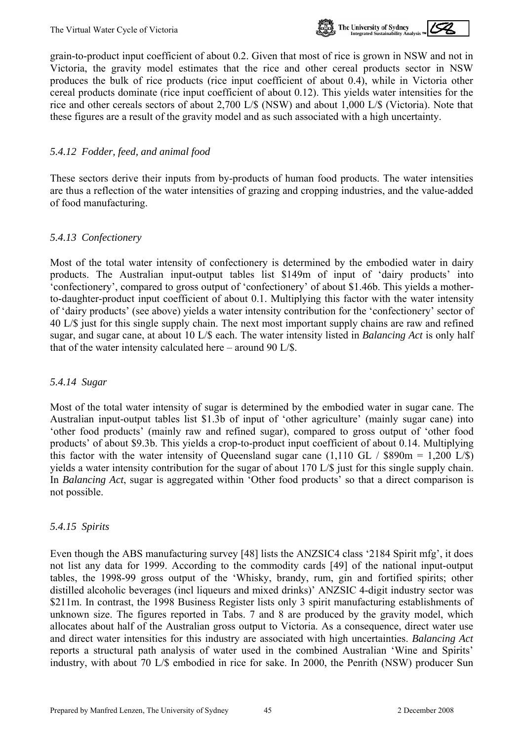

grain-to-product input coefficient of about 0.2. Given that most of rice is grown in NSW and not in Victoria, the gravity model estimates that the rice and other cereal products sector in NSW produces the bulk of rice products (rice input coefficient of about 0.4), while in Victoria other cereal products dominate (rice input coefficient of about 0.12). This yields water intensities for the rice and other cereals sectors of about 2,700 L/\$ (NSW) and about 1,000 L/\$ (Victoria). Note that these figures are a result of the gravity model and as such associated with a high uncertainty.

#### *5.4.12 Fodder, feed, and animal food*

These sectors derive their inputs from by-products of human food products. The water intensities are thus a reflection of the water intensities of grazing and cropping industries, and the value-added of food manufacturing.

#### *5.4.13 Confectionery*

Most of the total water intensity of confectionery is determined by the embodied water in dairy products. The Australian input-output tables list \$149m of input of 'dairy products' into 'confectionery', compared to gross output of 'confectionery' of about \$1.46b. This yields a motherto-daughter-product input coefficient of about 0.1. Multiplying this factor with the water intensity of 'dairy products' (see above) yields a water intensity contribution for the 'confectionery' sector of 40 L/\$ just for this single supply chain. The next most important supply chains are raw and refined sugar, and sugar cane, at about 10 L/\$ each. The water intensity listed in *Balancing Act* is only half that of the water intensity calculated here – around 90 L/\$.

#### *5.4.14 Sugar*

Most of the total water intensity of sugar is determined by the embodied water in sugar cane. The Australian input-output tables list \$1.3b of input of 'other agriculture' (mainly sugar cane) into 'other food products' (mainly raw and refined sugar), compared to gross output of 'other food products' of about \$9.3b. This yields a crop-to-product input coefficient of about 0.14. Multiplying this factor with the water intensity of Queensland sugar cane  $(1,110 \text{ GL} / \text{$}890 \text{m} = 1,200 \text{ L/s})$ yields a water intensity contribution for the sugar of about 170 L/\$ just for this single supply chain. In *Balancing Act*, sugar is aggregated within 'Other food products' so that a direct comparison is not possible.

#### *5.4.15 Spirits*

Even though the ABS manufacturing survey [48] lists the ANZSIC4 class '2184 Spirit mfg', it does not list any data for 1999. According to the commodity cards [49] of the national input-output tables, the 1998-99 gross output of the 'Whisky, brandy, rum, gin and fortified spirits; other distilled alcoholic beverages (incl liqueurs and mixed drinks)' ANZSIC 4-digit industry sector was \$211m. In contrast, the 1998 Business Register lists only 3 spirit manufacturing establishments of unknown size. The figures reported in Tabs. 7 and 8 are produced by the gravity model, which allocates about half of the Australian gross output to Victoria. As a consequence, direct water use and direct water intensities for this industry are associated with high uncertainties. *Balancing Act* reports a structural path analysis of water used in the combined Australian 'Wine and Spirits' industry, with about 70 L/\$ embodied in rice for sake. In 2000, the Penrith (NSW) producer Sun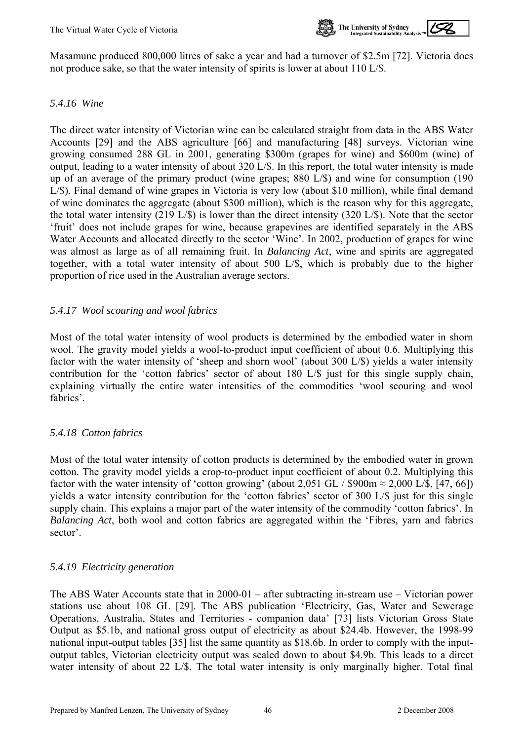

Masamune produced 800,000 litres of sake a year and had a turnover of \$2.5m [72]. Victoria does not produce sake, so that the water intensity of spirits is lower at about 110 L/\$.

#### *5.4.16 Wine*

The direct water intensity of Victorian wine can be calculated straight from data in the ABS Water Accounts [29] and the ABS agriculture [66] and manufacturing [48] surveys. Victorian wine growing consumed 288 GL in 2001, generating \$300m (grapes for wine) and \$600m (wine) of output, leading to a water intensity of about 320 L/\$. In this report, the total water intensity is made up of an average of the primary product (wine grapes; 880 L/\$) and wine for consumption (190 L/\$). Final demand of wine grapes in Victoria is very low (about \$10 million), while final demand of wine dominates the aggregate (about \$300 million), which is the reason why for this aggregate, the total water intensity (219 L/\$) is lower than the direct intensity (320 L/\$). Note that the sector 'fruit' does not include grapes for wine, because grapevines are identified separately in the ABS Water Accounts and allocated directly to the sector 'Wine'. In 2002, production of grapes for wine was almost as large as of all remaining fruit. In *Balancing Act*, wine and spirits are aggregated together, with a total water intensity of about 500 L/\$, which is probably due to the higher proportion of rice used in the Australian average sectors.

#### *5.4.17 Wool scouring and wool fabrics*

Most of the total water intensity of wool products is determined by the embodied water in shorn wool. The gravity model yields a wool-to-product input coefficient of about 0.6. Multiplying this factor with the water intensity of 'sheep and shorn wool' (about 300 L/\$) yields a water intensity contribution for the 'cotton fabrics' sector of about 180 L/\$ just for this single supply chain, explaining virtually the entire water intensities of the commodities 'wool scouring and wool fabrics'.

## *5.4.18 Cotton fabrics*

Most of the total water intensity of cotton products is determined by the embodied water in grown cotton. The gravity model yields a crop-to-product input coefficient of about 0.2. Multiplying this factor with the water intensity of 'cotton growing' (about 2,051 GL /  $$900m \approx 2,000$  L/\$, [47, 66]) yields a water intensity contribution for the 'cotton fabrics' sector of 300 L/\$ just for this single supply chain. This explains a major part of the water intensity of the commodity 'cotton fabrics'. In *Balancing Act*, both wool and cotton fabrics are aggregated within the 'Fibres, yarn and fabrics sector'.

#### *5.4.19 Electricity generation*

The ABS Water Accounts state that in 2000-01 – after subtracting in-stream use – Victorian power stations use about 108 GL [29]. The ABS publication 'Electricity, Gas, Water and Sewerage Operations, Australia, States and Territories - companion data' [73] lists Victorian Gross State Output as \$5.1b, and national gross output of electricity as about \$24.4b. However, the 1998-99 national input-output tables [35] list the same quantity as \$18.6b. In order to comply with the inputoutput tables, Victorian electricity output was scaled down to about \$4.9b. This leads to a direct water intensity of about 22 L/\$. The total water intensity is only marginally higher. Total final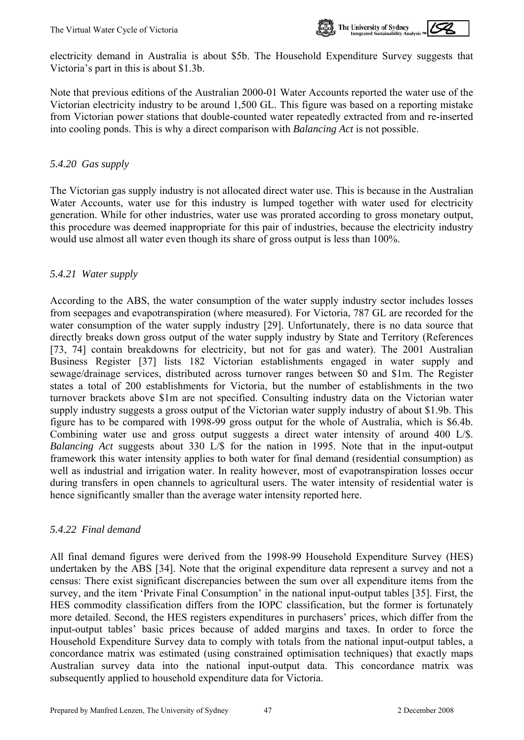

Note that previous editions of the Australian 2000-01 Water Accounts reported the water use of the Victorian electricity industry to be around 1,500 GL. This figure was based on a reporting mistake from Victorian power stations that double-counted water repeatedly extracted from and re-inserted into cooling ponds. This is why a direct comparison with *Balancing Act* is not possible.

## *5.4.20 Gas supply*

The Victorian gas supply industry is not allocated direct water use. This is because in the Australian Water Accounts, water use for this industry is lumped together with water used for electricity generation. While for other industries, water use was prorated according to gross monetary output, this procedure was deemed inappropriate for this pair of industries, because the electricity industry would use almost all water even though its share of gross output is less than 100%.

## *5.4.21 Water supply*

According to the ABS, the water consumption of the water supply industry sector includes losses from seepages and evapotranspiration (where measured). For Victoria, 787 GL are recorded for the water consumption of the water supply industry [29]. Unfortunately, there is no data source that directly breaks down gross output of the water supply industry by State and Territory (References [73, 74] contain breakdowns for electricity, but not for gas and water). The 2001 Australian Business Register [37] lists 182 Victorian establishments engaged in water supply and sewage/drainage services, distributed across turnover ranges between \$0 and \$1m. The Register states a total of 200 establishments for Victoria, but the number of establishments in the two turnover brackets above \$1m are not specified. Consulting industry data on the Victorian water supply industry suggests a gross output of the Victorian water supply industry of about \$1.9b. This figure has to be compared with 1998-99 gross output for the whole of Australia, which is \$6.4b. Combining water use and gross output suggests a direct water intensity of around 400 L/\$. *Balancing Act* suggests about 330 L/\$ for the nation in 1995. Note that in the input-output framework this water intensity applies to both water for final demand (residential consumption) as well as industrial and irrigation water. In reality however, most of evapotranspiration losses occur during transfers in open channels to agricultural users. The water intensity of residential water is hence significantly smaller than the average water intensity reported here.

#### *5.4.22 Final demand*

All final demand figures were derived from the 1998-99 Household Expenditure Survey (HES) undertaken by the ABS [34]. Note that the original expenditure data represent a survey and not a census: There exist significant discrepancies between the sum over all expenditure items from the survey, and the item 'Private Final Consumption' in the national input-output tables [35]. First, the HES commodity classification differs from the IOPC classification, but the former is fortunately more detailed. Second, the HES registers expenditures in purchasers' prices, which differ from the input-output tables' basic prices because of added margins and taxes. In order to force the Household Expenditure Survey data to comply with totals from the national input-output tables, a concordance matrix was estimated (using constrained optimisation techniques) that exactly maps Australian survey data into the national input-output data. This concordance matrix was subsequently applied to household expenditure data for Victoria.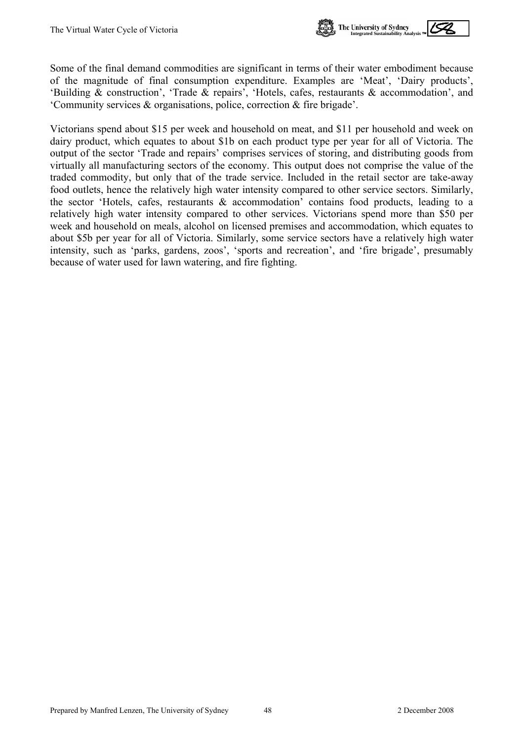

Some of the final demand commodities are significant in terms of their water embodiment because of the magnitude of final consumption expenditure. Examples are 'Meat', 'Dairy products', 'Building & construction', 'Trade & repairs', 'Hotels, cafes, restaurants & accommodation', and 'Community services & organisations, police, correction & fire brigade'.

Victorians spend about \$15 per week and household on meat, and \$11 per household and week on dairy product, which equates to about \$1b on each product type per year for all of Victoria. The output of the sector 'Trade and repairs' comprises services of storing, and distributing goods from virtually all manufacturing sectors of the economy. This output does not comprise the value of the traded commodity, but only that of the trade service. Included in the retail sector are take-away food outlets, hence the relatively high water intensity compared to other service sectors. Similarly, the sector 'Hotels, cafes, restaurants & accommodation' contains food products, leading to a relatively high water intensity compared to other services. Victorians spend more than \$50 per week and household on meals, alcohol on licensed premises and accommodation, which equates to about \$5b per year for all of Victoria. Similarly, some service sectors have a relatively high water intensity, such as 'parks, gardens, zoos', 'sports and recreation', and 'fire brigade', presumably because of water used for lawn watering, and fire fighting.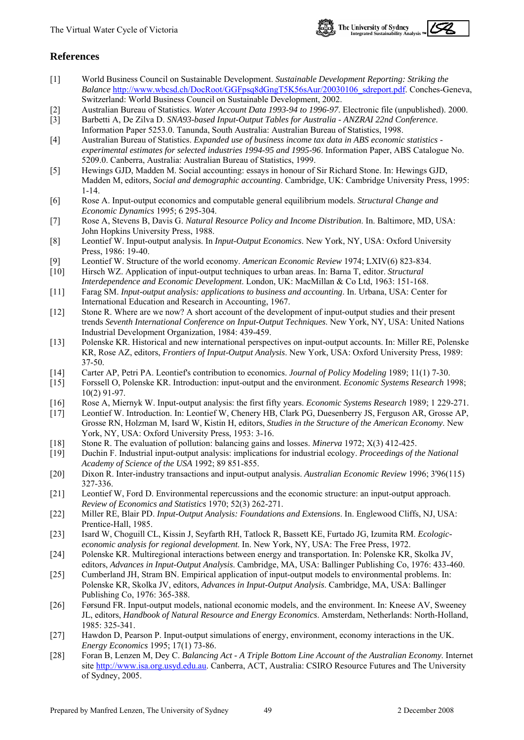

#### <span id="page-51-0"></span>**References**

- [1] World Business Council on Sustainable Development. *Sustainable Development Reporting: Striking the Balance* [http://www.wbcsd.ch/DocRoot/GGFpsq8dGngT5K56sAur/20030106\\_sdreport.pdf.](http://www.wbcsd.ch/DocRoot/GGFpsq8dGngT5K56sAur/20030106_sdreport.pdf) Conches-Geneva, Switzerland: World Business Council on Sustainable Development, 2002.
- [2] Australian Bureau of Statistics. *Water Account Data 1993-94 to 1996-97*. Electronic file (unpublished). 2000.
- [3] Barbetti A, De Zilva D. *SNA93-based Input-Output Tables for Australia ANZRAI 22nd Conference*. Information Paper 5253.0. Tanunda, South Australia: Australian Bureau of Statistics, 1998.
- [4] Australian Bureau of Statistics. *Expanded use of business income tax data in ABS economic statistics experimental estimates for selected industries 1994-95 and 1995-96*. Information Paper, ABS Catalogue No. 5209.0. Canberra, Australia: Australian Bureau of Statistics, 1999.
- [5] Hewings GJD, Madden M. Social accounting: essays in honour of Sir Richard Stone. In: Hewings GJD, Madden M, editors, *Social and demographic accounting*. Cambridge, UK: Cambridge University Press, 1995: 1-14.
- [6] Rose A. Input-output economics and computable general equilibrium models. *Structural Change and Economic Dynamics* 1995; 6 295-304.
- [7] Rose A, Stevens B, Davis G. *Natural Resource Policy and Income Distribution*. In. Baltimore, MD, USA: John Hopkins University Press, 1988.
- [8] Leontief W. Input-output analysis. In *Input-Output Economics*. New York, NY, USA: Oxford University Press, 1986: 19-40.
- [9] Leontief W. Structure of the world economy. *American Economic Review* 1974; LXIV(6) 823-834.
- [10] Hirsch WZ. Application of input-output techniques to urban areas. In: Barna T, editor. *Structural Interdependence and Economic Development*. London, UK: MacMillan & Co Ltd, 1963: 151-168.
- [11] Farag SM. *Input-output analysis: applications to business and accounting*. In. Urbana, USA: Center for International Education and Research in Accounting, 1967.
- [12] Stone R. Where are we now? A short account of the development of input-output studies and their present trends *Seventh International Conference on Input-Output Techniques*. New York, NY, USA: United Nations Industrial Development Organization, 1984: 439-459.
- [13] Polenske KR. Historical and new international perspectives on input-output accounts. In: Miller RE, Polenske KR, Rose AZ, editors, *Frontiers of Input-Output Analysis*. New York, USA: Oxford University Press, 1989: 37-50.
- [14] Carter AP, Petri PA. Leontief's contribution to economics. *Journal of Policy Modeling* 1989; 11(1) 7-30.
- [15] Forssell O, Polenske KR. Introduction: input-output and the environment. *Economic Systems Research* 1998; 10(2) 91-97.
- [16] Rose A, Miernyk W. Input-output analysis: the first fifty years. *Economic Systems Research* 1989; 1 229-271.
- [17] Leontief W. Introduction. In: Leontief W, Chenery HB, Clark PG, Duesenberry JS, Ferguson AR, Grosse AP, Grosse RN, Holzman M, Isard W, Kistin H, editors, *Studies in the Structure of the American Economy*. New York, NY, USA: Oxford University Press, 1953: 3-16.
- [18] Stone R. The evaluation of pollution: balancing gains and losses. *Minerva* 1972; X(3) 412-425.
- [19] Duchin F. Industrial input-output analysis: implications for industrial ecology. *Proceedings of the National Academy of Science of the USA* 1992; 89 851-855.
- [20] Dixon R. Inter-industry transactions and input-output analysis. *Australian Economic Review* 1996; 3'96(115) 327-336.
- [21] Leontief W, Ford D. Environmental repercussions and the economic structure: an input-output approach. *Review of Economics and Statistics* 1970; 52(3) 262-271.
- [22] Miller RE, Blair PD. *Input-Output Analysis: Foundations and Extensions*. In. Englewood Cliffs, NJ, USA: Prentice-Hall, 1985.
- [23] Isard W, Choguill CL, Kissin J, Seyfarth RH, Tatlock R, Bassett KE, Furtado JG, Izumita RM. *Ecologiceconomic analysis for regional development*. In. New York, NY, USA: The Free Press, 1972.
- [24] Polenske KR. Multiregional interactions between energy and transportation. In: Polenske KR, Skolka JV, editors, *Advances in Input-Output Analysis*. Cambridge, MA, USA: Ballinger Publishing Co, 1976: 433-460.
- [25] Cumberland JH, Stram BN. Empirical application of input-output models to environmental problems. In: Polenske KR, Skolka JV, editors, *Advances in Input-Output Analysis*. Cambridge, MA, USA: Ballinger Publishing Co, 1976: 365-388.
- [26] Førsund FR. Input-output models, national economic models, and the environment. In: Kneese AV, Sweeney JL, editors, *Handbook of Natural Resource and Energy Economics*. Amsterdam, Netherlands: North-Holland, 1985: 325-341.
- [27] Hawdon D, Pearson P. Input-output simulations of energy, environment, economy interactions in the UK. *Energy Economics* 1995; 17(1) 73-86.
- [28] Foran B, Lenzen M, Dey C. *Balancing Act A Triple Bottom Line Account of the Australian Economy*. Internet site [http://www.isa.org.usyd.edu.au.](http://www.isa.org.usyd.edu.au/) Canberra, ACT, Australia: CSIRO Resource Futures and The University of Sydney, 2005.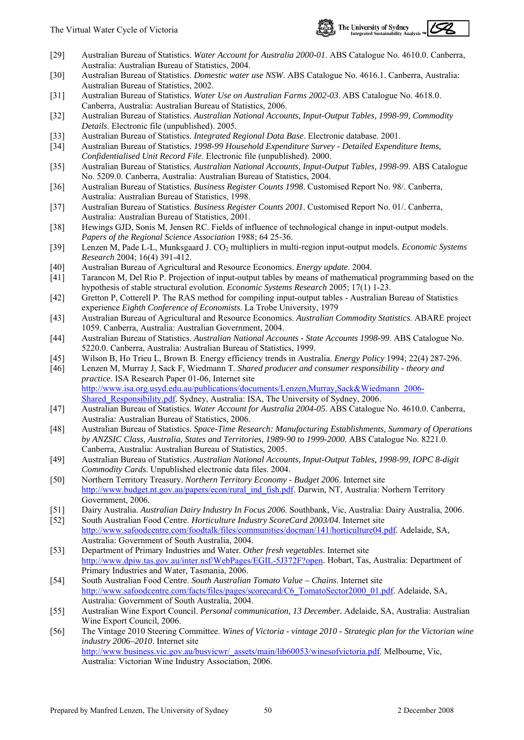

- [29] Australian Bureau of Statistics. *Water Account for Australia 2000-01*. ABS Catalogue No. 4610.0. Canberra, Australia: Australian Bureau of Statistics, 2004.
- [30] Australian Bureau of Statistics. *Domestic water use NSW*. ABS Catalogue No. 4616.1. Canberra, Australia: Australian Bureau of Statistics, 2002.
- [31] Australian Bureau of Statistics. *Water Use on Australian Farms 2002-03*. ABS Catalogue No. 4618.0. Canberra, Australia: Australian Bureau of Statistics, 2006.
- [32] Australian Bureau of Statistics. *Australian National Accounts, Input-Output Tables, 1998-99, Commodity Details*. Electronic file (unpublished). 2005.
- [33] Australian Bureau of Statistics. *Integrated Regional Data Base*. Electronic database. 2001.
- [34] Australian Bureau of Statistics. *1998-99 Household Expenditure Survey Detailed Expenditure Items, Confidentialised Unit Record File*. Electronic file (unpublished). 2000.
- [35] Australian Bureau of Statistics. *Australian National Accounts, Input-Output Tables, 1998-99*. ABS Catalogue No. 5209.0. Canberra, Australia: Australian Bureau of Statistics, 2004.
- [36] Australian Bureau of Statistics. *Business Register Counts 1998*. Customised Report No. 98/. Canberra, Australia: Australian Bureau of Statistics, 1998.
- [37] Australian Bureau of Statistics. *Business Register Counts 2001*. Customised Report No. 01/. Canberra, Australia: Australian Bureau of Statistics, 2001.
- [38] Hewings GJD, Sonis M, Jensen RC. Fields of influence of technological change in input-output models. *Papers of the Regional Science Association* 1988; 64 25-36.
- [39] Lenzen M, Pade L-L, Munksgaard J. CO<sub>2</sub> multipliers in multi-region input-output models. *Economic Systems Research* 2004; 16(4) 391-412.
- [40] Australian Bureau of Agricultural and Resource Economics. *Energy update*. 2004.
- [41] Tarancon M, Del Rio P. Projection of input-output tables by means of mathematical programming based on the hypothesis of stable structural evolution. *Economic Systems Research* 2005; 17(1) 1-23.
- [42] Gretton P, Cotterell P. The RAS method for compiling input-output tables Australian Bureau of Statistics experience *Eighth Conference of Economists*. La Trobe University, 1979
- [43] Australian Bureau of Agricultural and Resource Economics. *Australian Commodity Statistics*. ABARE project 1059. Canberra, Australia: Australian Government, 2004.
- [44] Australian Bureau of Statistics. *Australian National Accounts State Accounts 1998-99*. ABS Catalogue No. 5220.0. Canberra, Australia: Australian Bureau of Statistics, 1999.
- [45] Wilson B, Ho Trieu L, Brown B. Energy efficiency trends in Australia. *Energy Policy* 1994; 22(4) 287-296.
- [46] Lenzen M, Murray J, Sack F, Wiedmann T. *Shared producer and consumer responsibility theory and practice*. ISA Research Paper 01-06, Internet site [http://www.isa.org.usyd.edu.au/publications/documents/Lenzen,Murray,Sack&Wiedmann\\_2006-](http://www.isa.org.usyd.edu.au/publications/documents/Lenzen,Murray,Sack&Wiedmann_2006-Shared_Responsibility.pdf) [Shared\\_Responsibility.pdf](http://www.isa.org.usyd.edu.au/publications/documents/Lenzen,Murray,Sack&Wiedmann_2006-Shared_Responsibility.pdf). Sydney, Australia: ISA, The University of Sydney, 2006.
- [47] Australian Bureau of Statistics. *Water Account for Australia 2004-05*. ABS Catalogue No. 4610.0. Canberra, Australia: Australian Bureau of Statistics, 2006.
- [48] Australian Bureau of Statistics. *Space-Time Research: Manufacturing Establishments, Summary of Operations by ANZSIC Class, Australia, States and Territories, 1989-90 to 1999-2000*. ABS Catalogue No. 8221.0. Canberra, Australia: Australian Bureau of Statistics, 2005.
- [49] Australian Bureau of Statistics. *Australian National Accounts, Input-Output Tables, 1998-99, IOPC 8-digit Commodity Cards*. Unpublished electronic data files. 2004.
- [50] Northern Territory Treasury. *Northern Territory Economy Budget 2006*. Internet site [http://www.budget.nt.gov.au/papers/econ/rural\\_ind\\_fish.pdf.](http://www.budget.nt.gov.au/papers/econ/rural_ind_fish.pdf) Darwin, NT, Australia: Norhern Territory Government, 2006.
- [51] Dairy Australia. *Australian Dairy Industry In Focus 2006*. Southbank, Vic, Australia: Dairy Australia, 2006.
- [52] South Australian Food Centre. *Horticulture Industry ScoreCard 2003/04*. Internet site [http://www.safoodcentre.com/foodtalk/files/communities/docman/141/horticulture04.pdf.](http://www.safoodcentre.com/foodtalk/files/communities/docman/141/horticulture04.pdf) Adelaide, SA, Australia: Government of South Australia, 2004.
- [53] Department of Primary Industries and Water. *Other fresh vegetables*. Internet site <http://www.dpiw.tas.gov.au/inter.nsf/WebPages/EGIL-5J372F?open>. Hobart, Tas, Australia: Department of Primary Industries and Water, Tasmania, 2006.
- [54] South Australian Food Centre. *South Australian Tomato Value Chains*. Internet site [http://www.safoodcentre.com/facts/files/pages/scorecard/C6\\_TomatoSector2000\\_01.pdf.](http://www.safoodcentre.com/facts/files/pages/scorecard/C6_TomatoSector2000_01.pdf) Adelaide, SA, Australia: Government of South Australia, 2004.
- [55] Australian Wine Export Council. *Personal communication, 13 December.* Adelaide, SA, Australia: Australian Wine Export Council, 2006.
- [56] The Vintage 2010 Steering Committee. *Wines of Victoria vintage 2010 Strategic plan for the Victorian wine industry 2006–2010*. Internet site [http://www.business.vic.gov.au/busvicwr/\\_assets/main/lib60053/winesofvictoria.pdf.](http://www.business.vic.gov.au/busvicwr/_assets/main/lib60053/winesofvictoria.pdf) Melbourne, Vic, Australia: Victorian Wine Industry Association, 2006.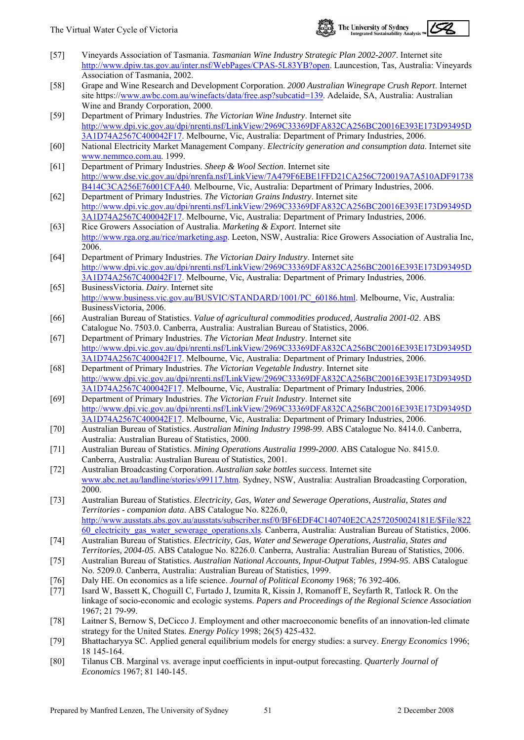

- [57] Vineyards Association of Tasmania. *Tasmanian Wine Industry Strategic Plan 2002-2007*. Internet site [http://www.dpiw.tas.gov.au/inter.nsf/WebPages/CPAS-5L83YB?open.](http://www.dpiw.tas.gov.au/inter.nsf/WebPages/CPAS-5L83YB?open) Launcestion, Tas, Australia: Vineyards Association of Tasmania, 2002.
- [58] Grape and Wine Research and Development Corporation. *2000 Australian Winegrape Crush Report*. Internet site https:/[/www.awbc.com.au/winefacts/data/free.asp?subcatid=139](http://www.awbc.com.au/winefacts/data/free.asp?subcatid=139). Adelaide, SA, Australia: Australian Wine and Brandy Corporation, 2000.
- [59] Department of Primary Industries. *The Victorian Wine Industry*. Internet site [http://www.dpi.vic.gov.au/dpi/nrenti.nsf/LinkView/2969C33369DFA832CA256BC20016E393E173D93495D](http://www.dpi.vic.gov.au/dpi/nrenti.nsf/LinkView/2969C33369DFA832CA256BC20016E393E173D93495D3A1D74A2567C400042F17) [3A1D74A2567C400042F17.](http://www.dpi.vic.gov.au/dpi/nrenti.nsf/LinkView/2969C33369DFA832CA256BC20016E393E173D93495D3A1D74A2567C400042F17) Melbourne, Vic, Australia: Department of Primary Industries, 2006.
- [60] National Electricity Market Management Company. *Electricity generation and consumption data*. Internet site [www.nemmco.com.au](http://www.nemmco.com.au/). 1999.
- [61] Department of Primary Industries. *Sheep & Wool Section*. Internet site [http://www.dse.vic.gov.au/dpi/nrenfa.nsf/LinkView/7A479F6EBE1FFD21CA256C720019A7A510ADF91738](http://www.dse.vic.gov.au/dpi/nrenfa.nsf/LinkView/7A479F6EBE1FFD21CA256C720019A7A510ADF91738B414C3CA256E76001CFA40) [B414C3CA256E76001CFA40.](http://www.dse.vic.gov.au/dpi/nrenfa.nsf/LinkView/7A479F6EBE1FFD21CA256C720019A7A510ADF91738B414C3CA256E76001CFA40) Melbourne, Vic, Australia: Department of Primary Industries, 2006.
- [62] Department of Primary Industries. *The Victorian Grains Industry*. Internet site [http://www.dpi.vic.gov.au/dpi/nrenti.nsf/LinkView/2969C33369DFA832CA256BC20016E393E173D93495D](http://www.dpi.vic.gov.au/dpi/nrenti.nsf/LinkView/2969C33369DFA832CA256BC20016E393E173D93495D3A1D74A2567C400042F17) [3A1D74A2567C400042F17.](http://www.dpi.vic.gov.au/dpi/nrenti.nsf/LinkView/2969C33369DFA832CA256BC20016E393E173D93495D3A1D74A2567C400042F17) Melbourne, Vic, Australia: Department of Primary Industries, 2006.
- [63] Rice Growers Association of Australia. *Marketing & Export*. Internet site <http://www.rga.org.au/rice/marketing.asp>. Leeton, NSW, Australia: Rice Growers Association of Australia Inc, 2006.
- [64] Department of Primary Industries. *The Victorian Dairy Industry*. Internet site [http://www.dpi.vic.gov.au/dpi/nrenti.nsf/LinkView/2969C33369DFA832CA256BC20016E393E173D93495D](http://www.dpi.vic.gov.au/dpi/nrenti.nsf/LinkView/2969C33369DFA832CA256BC20016E393E173D93495D3A1D74A2567C400042F17) [3A1D74A2567C400042F17.](http://www.dpi.vic.gov.au/dpi/nrenti.nsf/LinkView/2969C33369DFA832CA256BC20016E393E173D93495D3A1D74A2567C400042F17) Melbourne, Vic, Australia: Department of Primary Industries, 2006.
- [65] BusinessVictoria. *Dairy*. Internet site [http://www.business.vic.gov.au/BUSVIC/STANDARD/1001/PC\\_60186.html](http://www.business.vic.gov.au/BUSVIC/STANDARD/1001/PC_60186.html). Melbourne, Vic, Australia: BusinessVictoria, 2006.
- [66] Australian Bureau of Statistics. *Value of agricultural commodities produced, Australia 2001-02*. ABS Catalogue No. 7503.0. Canberra, Australia: Australian Bureau of Statistics, 2006.
- [67] Department of Primary Industries. *The Victorian Meat Industry*. Internet site [http://www.dpi.vic.gov.au/dpi/nrenti.nsf/LinkView/2969C33369DFA832CA256BC20016E393E173D93495D](http://www.dpi.vic.gov.au/dpi/nrenti.nsf/LinkView/2969C33369DFA832CA256BC20016E393E173D93495D3A1D74A2567C400042F17) [3A1D74A2567C400042F17.](http://www.dpi.vic.gov.au/dpi/nrenti.nsf/LinkView/2969C33369DFA832CA256BC20016E393E173D93495D3A1D74A2567C400042F17) Melbourne, Vic, Australia: Department of Primary Industries, 2006.
- [68] Department of Primary Industries. *The Victorian Vegetable Industry*. Internet site [http://www.dpi.vic.gov.au/dpi/nrenti.nsf/LinkView/2969C33369DFA832CA256BC20016E393E173D93495D](http://www.dpi.vic.gov.au/dpi/nrenti.nsf/LinkView/2969C33369DFA832CA256BC20016E393E173D93495D3A1D74A2567C400042F17) [3A1D74A2567C400042F17.](http://www.dpi.vic.gov.au/dpi/nrenti.nsf/LinkView/2969C33369DFA832CA256BC20016E393E173D93495D3A1D74A2567C400042F17) Melbourne, Vic, Australia: Department of Primary Industries, 2006.
- [69] Department of Primary Industries. *The Victorian Fruit Industry*. Internet site [http://www.dpi.vic.gov.au/dpi/nrenti.nsf/LinkView/2969C33369DFA832CA256BC20016E393E173D93495D](http://www.dpi.vic.gov.au/dpi/nrenti.nsf/LinkView/2969C33369DFA832CA256BC20016E393E173D93495D3A1D74A2567C400042F17) [3A1D74A2567C400042F17.](http://www.dpi.vic.gov.au/dpi/nrenti.nsf/LinkView/2969C33369DFA832CA256BC20016E393E173D93495D3A1D74A2567C400042F17) Melbourne, Vic, Australia: Department of Primary Industries, 2006.
- [70] Australian Bureau of Statistics. *Australian Mining Industry 1998-99*. ABS Catalogue No. 8414.0. Canberra, Australia: Australian Bureau of Statistics, 2000.
- [71] Australian Bureau of Statistics. *Mining Operations Australia 1999-2000*. ABS Catalogue No. 8415.0. Canberra, Australia: Australian Bureau of Statistics, 2001.
- [72] Australian Broadcasting Corporation. *Australian sake bottles success*. Internet site [www.abc.net.au/landline/stories/s99117.htm](http://www.abc.net.au/landline/stories/s99117.htm). Sydney, NSW, Australia: Australian Broadcasting Corporation, 2000.
- [73] Australian Bureau of Statistics. *Electricity, Gas, Water and Sewerage Operations, Australia, States and Territories - companion data*. ABS Catalogue No. 8226.0, [http://www.ausstats.abs.gov.au/ausstats/subscriber.nsf/0/BF6EDF4C140740E2CA2572050024181E/\\$File/822](http://www.ausstats.abs.gov.au/ausstats/subscriber.nsf/0/BF6EDF4C140740E2CA2572050024181E/$File/82260_electricity_gas_water_sewerage_operations.xls) [60\\_electricity\\_gas\\_water\\_sewerage\\_operations.xls.](http://www.ausstats.abs.gov.au/ausstats/subscriber.nsf/0/BF6EDF4C140740E2CA2572050024181E/$File/82260_electricity_gas_water_sewerage_operations.xls) Canberra, Australia: Australian Bureau of Statistics, 2006.
- [74] Australian Bureau of Statistics. *Electricity, Gas, Water and Sewerage Operations, Australia, States and Territories, 2004-05*. ABS Catalogue No. 8226.0. Canberra, Australia: Australian Bureau of Statistics, 2006.
- [75] Australian Bureau of Statistics. *Australian National Accounts, Input-Output Tables, 1994-95*. ABS Catalogue No. 5209.0. Canberra, Australia: Australian Bureau of Statistics, 1999.
- [76] Daly HE. On economics as a life science. *Journal of Political Economy* 1968; 76 392-406.
- [77] Isard W, Bassett K, Choguill C, Furtado J, Izumita R, Kissin J, Romanoff E, Seyfarth R, Tatlock R. On the linkage of socio-economic and ecologic systems. *Papers and Proceedings of the Regional Science Association* 1967; 21 79-99.
- [78] Laitner S, Bernow S, DeCicco J. Employment and other macroeconomic benefits of an innovation-led climate strategy for the United States. *Energy Policy* 1998; 26(5) 425-432.
- [79] Bhattacharyya SC. Applied general equilibrium models for energy studies: a survey. *Energy Economics* 1996; 18 145-164.
- [80] Tilanus CB. Marginal vs. average input coefficients in input-output forecasting. *Quarterly Journal of Economics* 1967; 81 140-145.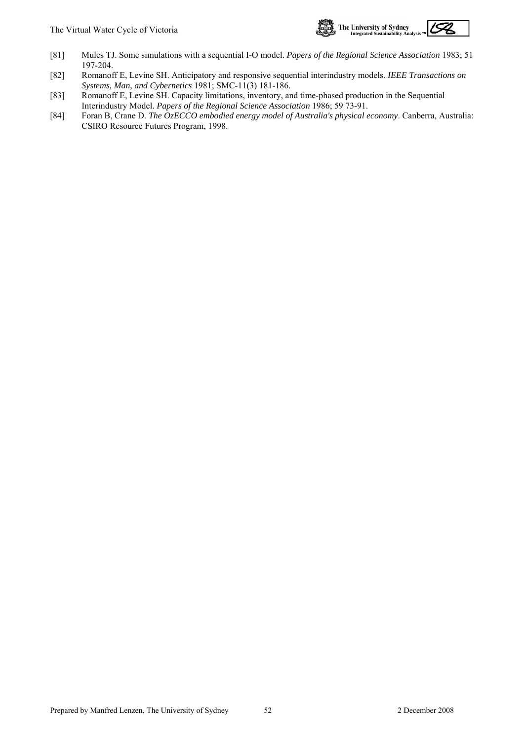

- [81] Mules TJ. Some simulations with a sequential I-O model. *Papers of the Regional Science Association* 1983; 51 197-204.
- [82] Romanoff E, Levine SH. Anticipatory and responsive sequential interindustry models. *IEEE Transactions on Systems, Man, and Cybernetics* 1981; SMC-11(3) 181-186.
- [83] Romanoff E, Levine SH. Capacity limitations, inventory, and time-phased production in the Sequential Interindustry Model. *Papers of the Regional Science Association* 1986; 59 73-91.
- [84] Foran B, Crane D. *The OzECCO embodied energy model of Australia's physical economy*. Canberra, Australia: CSIRO Resource Futures Program, 1998.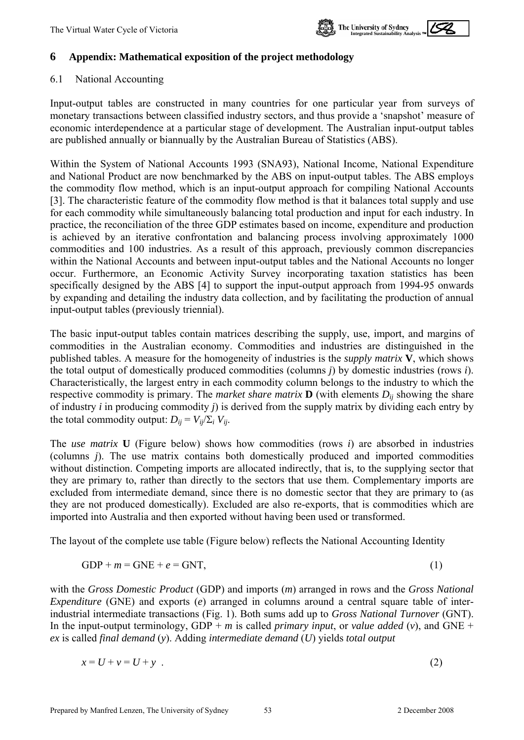

## <span id="page-55-0"></span>**6 Appendix: Mathematical exposition of the project methodology**

#### 6.1 National Accounting

Input-output tables are constructed in many countries for one particular year from surveys of monetary transactions between classified industry sectors, and thus provide a 'snapshot' measure of economic interdependence at a particular stage of development. The Australian input-output tables are published annually or biannually by the Australian Bureau of Statistics (ABS).

Within the System of National Accounts 1993 (SNA93), National Income, National Expenditure and National Product are now benchmarked by the ABS on input-output tables. The ABS employs the commodity flow method, which is an input-output approach for compiling National Accounts [3]. The characteristic feature of the commodity flow method is that it balances total supply and use for each commodity while simultaneously balancing total production and input for each industry. In practice, the reconciliation of the three GDP estimates based on income, expenditure and production is achieved by an iterative confrontation and balancing process involving approximately 1000 commodities and 100 industries. As a result of this approach, previously common discrepancies within the National Accounts and between input-output tables and the National Accounts no longer occur. Furthermore, an Economic Activity Survey incorporating taxation statistics has been specifically designed by the ABS [4] to support the input-output approach from 1994-95 onwards by expanding and detailing the industry data collection, and by facilitating the production of annual input-output tables (previously triennial).

The basic input-output tables contain matrices describing the supply, use, import, and margins of commodities in the Australian economy. Commodities and industries are distinguished in the published tables. A measure for the homogeneity of industries is the *supply matrix* **V**, which shows the total output of domestically produced commodities (columns *j*) by domestic industries (rows *i*). Characteristically, the largest entry in each commodity column belongs to the industry to which the respective commodity is primary. The *market share matrix*  $\mathbf{D}$  (with elements  $D_{ij}$  showing the share of industry *i* in producing commodity *j*) is derived from the supply matrix by dividing each entry by the total commodity output:  $D_{ii} = V_{ii}/\Sigma_i V_{ii}$ .

The *use matrix* **U** (Figure below) shows how commodities (rows *i*) are absorbed in industries (columns *j*). The use matrix contains both domestically produced and imported commodities without distinction. Competing imports are allocated indirectly, that is, to the supplying sector that they are primary to, rather than directly to the sectors that use them. Complementary imports are excluded from intermediate demand, since there is no domestic sector that they are primary to (as they are not produced domestically). Excluded are also re-exports, that is commodities which are imported into Australia and then exported without having been used or transformed.

The layout of the complete use table (Figure below) reflects the National Accounting Identity

$$
GDP + m = GNE + e = GNT,
$$
\n<sup>(1)</sup>

with the *Gross Domestic Product* (GDP) and imports (*m*) arranged in rows and the *Gross National Expenditure* (GNE) and exports (*e*) arranged in columns around a central square table of interindustrial intermediate transactions (Fig. 1). Both sums add up to *Gross National Turnover* (GNT). In the input-output terminology, GDP + *m* is called *primary input*, or *value added*  $(v)$ , and GNE + *ex* is called *final demand* (*y*). Adding *intermediate demand* (*U*) yields *total output* 

$$
x = U + v = U + y \tag{2}
$$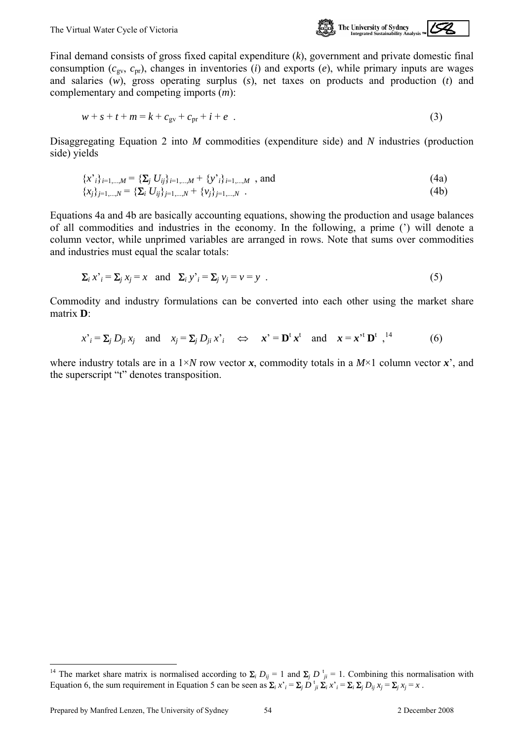

<span id="page-56-0"></span>Final demand consists of gross fixed capital expenditure (*k*), government and private domestic final consumption  $(c_{\text{gv}}, c_{\text{pr}})$ , changes in inventories (*i*) and exports (*e*), while primary inputs are wages and salaries (*w*), gross operating surplus (*s*), net taxes on products and production (*t*) and complementary and competing imports (*m*):

$$
w + s + t + m = k + c_{\text{gv}} + c_{\text{pr}} + i + e
$$
 (3)

Disaggregating Equation 2 into *M* commodities (expenditure side) and *N* industries (production side) yields

$$
\{x_i\}_{i=1,\dots,M} = \{\Sigma_j U_{ij}\}_{i=1,\dots,M} + \{y_i\}_{i=1,\dots,M} \text{ , and } \tag{4a}
$$
  

$$
\{x_j\}_{j=1,\dots,N} = \{\Sigma_i U_{ij}\}_{j=1,\dots,N} + \{v_j\}_{j=1,\dots,N} \text{ .}
$$

Equations 4a and 4b are basically accounting equations, showing the production and usage balances of all commodities and industries in the economy. In the following, a prime (') will denote a column vector, while unprimed variables are arranged in rows. Note that sums over commodities and industries must equal the scalar totals:

$$
\sum_{i} x^{i} = \sum_{j} x_{j} = x \quad \text{and} \quad \sum_{i} y^{i} = \sum_{j} v_{j} = v = y \quad . \tag{5}
$$

Commodity and industry formulations can be converted into each other using the market share matrix **D**:

$$
x_i^* = \sum_j D_{ji} x_j \quad \text{and} \quad x_j = \sum_j D_{ji} x_i^* \quad \Leftrightarrow \quad x_i^* = \mathbf{D}^{\mathsf{t}} x^{\mathsf{t}} \quad \text{and} \quad x = x_i^* \mathbf{D}^{\mathsf{t}} x_i^*
$$
(6)

where industry totals are in a  $1 \times N$  row vector *x*, commodity totals in a  $M \times 1$  column vector *x*<sup>'</sup>, and the superscript "t" denotes transposition.

l

<sup>&</sup>lt;sup>14</sup> The market share matrix is normalised according to  $\Sigma_i D_{ij} = 1$  and  $\Sigma_j D_{ji}^{\dagger} = 1$ . Combining this normalisation with Equation 6, the sum requirement in Equation 5 can be seen as  $\Sigma_i x_i = \Sigma_j D_{ij}^{\dagger} \Sigma_i x_i = \Sigma_i \Sigma_j D_{ij} x_j = \Sigma_j x_j = x$ .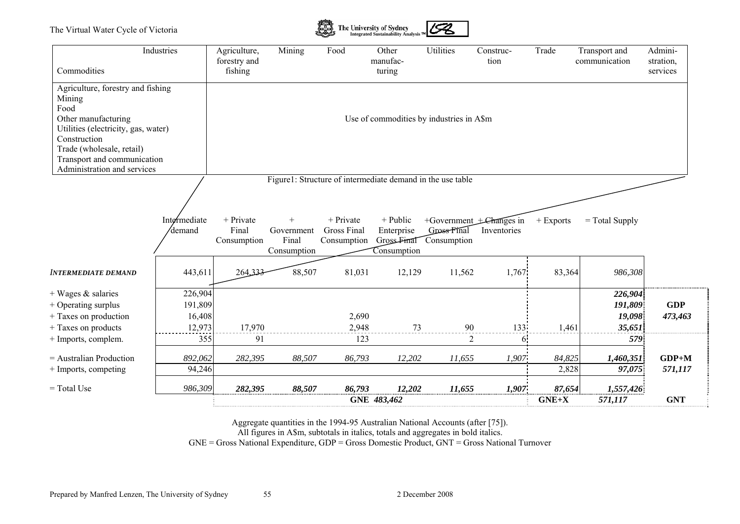

| Commodities                                                                                                                            | Industries                             | Agriculture,<br>forestry and<br>fishing | Mining                         | Food                              | Other<br>manufac-<br>turing                                | Utilities             | Construc-<br>tion                       | Trade             | Transport and<br>communication         | Admini-<br>stration.<br>services |
|----------------------------------------------------------------------------------------------------------------------------------------|----------------------------------------|-----------------------------------------|--------------------------------|-----------------------------------|------------------------------------------------------------|-----------------------|-----------------------------------------|-------------------|----------------------------------------|----------------------------------|
| Agriculture, forestry and fishing<br>Mining<br>Food                                                                                    |                                        |                                         |                                |                                   |                                                            |                       |                                         |                   |                                        |                                  |
| Other manufacturing<br>Utilities (electricity, gas, water)<br>Construction<br>Trade (wholesale, retail)<br>Transport and communication |                                        |                                         |                                |                                   | Use of commodities by industries in A\$m                   |                       |                                         |                   |                                        |                                  |
| Administration and services                                                                                                            |                                        |                                         |                                |                                   |                                                            |                       |                                         |                   |                                        |                                  |
|                                                                                                                                        |                                        |                                         |                                |                                   | Figure1: Structure of intermediate demand in the use table |                       |                                         |                   |                                        |                                  |
|                                                                                                                                        | Intermediate<br>'demand                | + Private<br>Final                      | $^{+}$<br>Government           | $+$ Private<br><b>Gross Final</b> | + Public<br>Enterprise                                     | Gross Final           | +Government + Changes in<br>Inventories | + Exports         | $=$ Total Supply                       |                                  |
| <b>INTERMEDIATE DEMAND</b>                                                                                                             | 443,611                                | Consumption<br>264,333                  | Final<br>Consumption<br>88,507 | Consumption<br>81,031             | Gross-Final<br>Consumption<br>12,129                       | Consumption<br>11,562 | 1,767                                   | 83,364            | 986,308                                |                                  |
| $+$ Wages $\&$ salaries<br>+ Operating surplus<br>+ Taxes on production<br>+ Taxes on products                                         | 226,904<br>191,809<br>16,408<br>12,973 | 17,970                                  |                                | 2,690<br>2,948                    | 73                                                         | 90                    | 133                                     | 1,461             | 226,904<br>191,809<br>19,098<br>35,651 | <b>GDP</b><br>473,463            |
| + Imports, complem.                                                                                                                    | 355                                    | 91                                      |                                | 123                               |                                                            | 2                     | <sup>6</sup>                            |                   | 579                                    |                                  |
| = Australian Production<br>+ Imports, competing                                                                                        | 892,062<br>94,246                      | 282,395                                 | 88,507                         | 86,793                            | 12,202                                                     | 11,655                | 1,907                                   | 84,825<br>2,828   | 1,460,351<br>97,075                    | $GDP+M$<br>571,117               |
| $=$ Total Use                                                                                                                          | 986,309                                | 282,395                                 | 88,507                         | 86,793                            | 12,202<br>GNE 483,462                                      | 11,655                | 1,907                                   | 87,654<br>$GNE+X$ | 1,557,426<br>571,117                   | <b>GNT</b>                       |

Aggregate quantities in the 1994-95 Australian National Accounts (after [75]).

All figures in A\$m, subtotals in italics, totals and aggregates in bold italics.

GNE = Gross National Expenditure, GDP = Gross Domestic Product, GNT = Gross National Turnover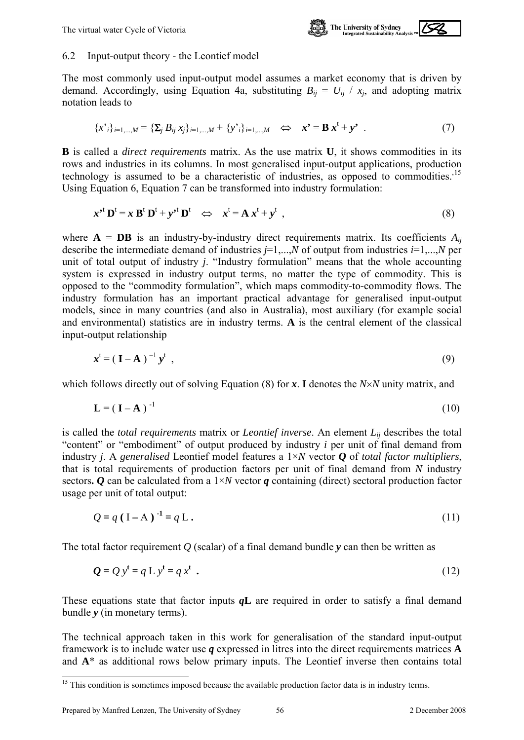

#### <span id="page-58-0"></span>6.2 Input-output theory - the Leontief model

The most commonly used input-output model assumes a market economy that is driven by demand. Accordingly, using Equation 4a, substituting  $B_{ij} = U_{ij} / x_j$ , and adopting matrix notation leads to

$$
\{x_{i}\}_{i=1,...,M} = \{\sum_{j} B_{ij} x_{j}\}_{i=1,...,M} + \{y_{i}\}_{i=1,...,M} \iff x^{\bullet} = B x^{t} + y^{\bullet}.
$$
 (7)

**B** is called a *direct requirements* matrix. As the use matrix **U**, it shows commodities in its rows and industries in its columns. In most generalised input-output applications, production technology is assumed to be a characteristic of industries, as opposed to commodities.<sup>[15](#page-58-0)</sup> Using Equation 6, Equation 7 can be transformed into industry formulation:

$$
x^{\prime t} \mathbf{D}^{t} = x \mathbf{B}^{t} \mathbf{D}^{t} + y^{\prime t} \mathbf{D}^{t} \iff x^{t} = \mathbf{A} x^{t} + y^{t} , \tag{8}
$$

where  $A = DB$  is an industry-by-industry direct requirements matrix. Its coefficients  $A_{ii}$ describe the intermediate demand of industries  $j=1,...,N$  of output from industries  $i=1,...,N$  per unit of total output of industry *j*. "Industry formulation" means that the whole accounting system is expressed in industry output terms, no matter the type of commodity. This is opposed to the "commodity formulation", which maps commodity-to-commodity flows. The industry formulation has an important practical advantage for generalised input-output models, since in many countries (and also in Australia), most auxiliary (for example social and environmental) statistics are in industry terms. **A** is the central element of the classical input-output relationship

$$
\boldsymbol{x}^{\mathrm{t}} = (\mathbf{I} - \mathbf{A})^{-1} \boldsymbol{y}^{\mathrm{t}} \tag{9}
$$

which follows directly out of solving Equation (8) for *x*. **I** denotes the *N*×*N* unity matrix, and

$$
\mathbf{L} = (\mathbf{I} - \mathbf{A})^{-1} \tag{10}
$$

is called the *total requirements* matrix or *Leontief inverse*. An element *Lij* describes the total "content" or "embodiment" of output produced by industry *i* per unit of final demand from industry *j*. A *generalised* Leontief model features a 1×*N* vector *Q* of *total factor multipliers*, that is total requirements of production factors per unit of final demand from *N* industry sectors. *O* can be calculated from a  $1 \times N$  vector *q* containing (direct) sectoral production factor usage per unit of total output:

$$
Q = q (I - A)^{-1} = q L.
$$
 (11)

The total factor requirement *Q* (scalar) of a final demand bundle *y* can then be written as

$$
Q = Q yt = q L yt = q xt
$$
 (12)

These equations state that factor inputs *q***L** are required in order to satisfy a final demand bundle *y* (in monetary terms).

The technical approach taken in this work for generalisation of the standard input-output framework is to include water use *q* expressed in litres into the direct requirements matrices **A** and **A**\* as additional rows below primary inputs. The Leontief inverse then contains total

 $\overline{a}$ 

<sup>&</sup>lt;sup>15</sup> This condition is sometimes imposed because the available production factor data is in industry terms.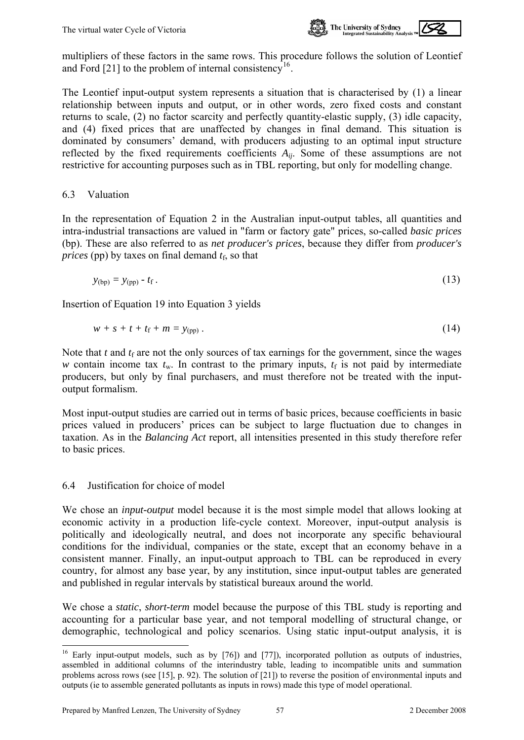

<span id="page-59-0"></span>

The Leontief input-output system represents a situation that is characterised by (1) a linear relationship between inputs and output, or in other words, zero fixed costs and constant returns to scale, (2) no factor scarcity and perfectly quantity-elastic supply, (3) idle capacity, and (4) fixed prices that are unaffected by changes in final demand. This situation is dominated by consumers' demand, with producers adjusting to an optimal input structure reflected by the fixed requirements coefficients *Aij*. Some of these assumptions are not restrictive for accounting purposes such as in TBL reporting, but only for modelling change.

#### 6.3 Valuation

In the representation of Equation 2 in the Australian input-output tables, all quantities and intra-industrial transactions are valued in "farm or factory gate" prices, so-called *basic prices*  (bp). These are also referred to as *net producer's prices*, because they differ from *producer's prices* (pp) by taxes on final demand  $t_f$ , so that

$$
y_{\text{(bp)}} = y_{\text{(pp)}} - t_{\text{f}} \tag{13}
$$

Insertion of Equation 19 into Equation 3 yields

$$
w + s + t + t_{\rm f} + m = y_{\rm (pp)}\,. \tag{14}
$$

Note that  $t$  and  $t_f$  are not the only sources of tax earnings for the government, since the wages *w* contain income tax  $t_w$ . In contrast to the primary inputs,  $t_f$  is not paid by intermediate producers, but only by final purchasers, and must therefore not be treated with the inputoutput formalism.

Most input-output studies are carried out in terms of basic prices, because coefficients in basic prices valued in producers' prices can be subject to large fluctuation due to changes in taxation. As in the *Balancing Act* report, all intensities presented in this study therefore refer to basic prices.

#### 6.4 Justification for choice of model

We chose an *input-output* model because it is the most simple model that allows looking at economic activity in a production life-cycle context. Moreover, input-output analysis is politically and ideologically neutral, and does not incorporate any specific behavioural conditions for the individual, companies or the state, except that an economy behave in a consistent manner. Finally, an input-output approach to TBL can be reproduced in every country, for almost any base year, by any institution, since input-output tables are generated and published in regular intervals by statistical bureaux around the world.

We chose a *static*, *short-term* model because the purpose of this TBL study is reporting and accounting for a particular base year, and not temporal modelling of structural change, or demographic, technological and policy scenarios. Using static input-output analysis, it is

 $\overline{a}$ <sup>16</sup> Early input-output models, such as by  $[76]$ ) and  $[77]$ ), incorporated pollution as outputs of industries, assembled in additional columns of the interindustry table, leading to incompatible units and summation problems across rows (see [15], p. 92). The solution of [21]) to reverse the position of environmental inputs and outputs (ie to assemble generated pollutants as inputs in rows) made this type of model operational.